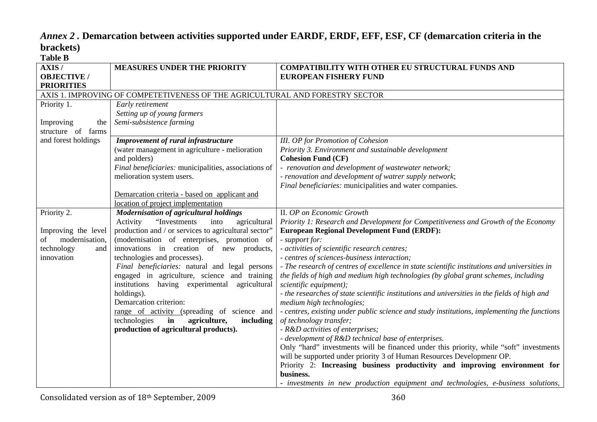## *Annex 2 .* **Demarcation between activities supported under EARDF, ERDF, EFF, ESF, CF (demarcation criteria in the brackets) Table B**

| 1 avit D             |                                                                              |                                                                                              |
|----------------------|------------------------------------------------------------------------------|----------------------------------------------------------------------------------------------|
| AXIS/                | <b>MEASURES UNDER THE PRIORITY</b>                                           | <b>COMPATIBILITY WITH OTHER EU STRUCTURAL FUNDS AND</b>                                      |
| <b>OBJECTIVE</b> /   |                                                                              | <b>EUROPEAN FISHERY FUND</b>                                                                 |
| <b>PRIORITIES</b>    |                                                                              |                                                                                              |
|                      | AXIS 1. IMPROVING OF COMPETETIVENESS OF THE AGRICULTURAL AND FORESTRY SECTOR |                                                                                              |
| Priority 1.          | Early retirement                                                             |                                                                                              |
|                      | Setting up of young farmers                                                  |                                                                                              |
| Improving<br>the     | Semi-subsistence farming                                                     |                                                                                              |
| structure of farms   |                                                                              |                                                                                              |
| and forest holdings  | <b>Improvement of rural infrastructure</b>                                   | <b>III.</b> OP for Promotion of Cohesion                                                     |
|                      | (water management in agriculture - melioration                               | Priority 3. Environment and sustainable development                                          |
|                      | and polders)                                                                 | <b>Cohesion Fund (CF)</b>                                                                    |
|                      | Final beneficiaries: municipalities, associations of                         | - renovation and development of wastewater network;                                          |
|                      | melioration system users.                                                    | - renovation and development of watrer supply network;                                       |
|                      |                                                                              | Final beneficiaries: municipalities and water companies.                                     |
|                      | Demarcation criteria - based on applicant and                                |                                                                                              |
|                      | location of project implementation                                           |                                                                                              |
| Priority 2.          | <b>Modernisation of agricultural holdings</b>                                | II. OP on Economic Growth                                                                    |
|                      | "Investments"<br>Activity<br>into<br>agricultural                            | Priority 1: Research and Development for Competitiveness and Growth of the Economy           |
| Improving the level  | production and / or services to agricultural sector"                         | <b>European Regional Development Fund (ERDF):</b>                                            |
| modernisation,<br>οf | (modernisation of enterprises, promotion of                                  | - support for:                                                                               |
| technology<br>and    | innovations in creation of new products,                                     | - activities of scientific research centres;                                                 |
| innovation           | technologies and processes).                                                 | - centres of sciences-business interaction;                                                  |
|                      | Final beneficiaries: natural and legal persons                               | - The research of centres of excellence in state scientific institutions and universities in |
|                      | engaged in agriculture, science and training                                 | the fields of high and medium high technologies (by global grant schemes, including          |
|                      | institutions having experimental<br>agricultural                             | scientific equipment);                                                                       |
|                      | holdings).                                                                   | - the researches of state scientific institutions and universities in the fields of high and |
|                      | Demarcation criterion:                                                       | medium high technologies;                                                                    |
|                      | range of activity (spreading of science and                                  | - centres, existing under public science and study institutions, implementing the functions  |
|                      | technologies<br>in<br>agriculture,<br>including                              | of technology transfer;                                                                      |
|                      | production of agricultural products).                                        | - R&D activities of enterprises;                                                             |
|                      |                                                                              | - development of R&D technical base of enterprises.                                          |
|                      |                                                                              | Only "hard" investments will be financed under this priority, while "soft" investments       |
|                      |                                                                              | will be supported under priority 3 of Human Resources Developmenr OP.                        |
|                      |                                                                              | Priority 2: Increasing business productivity and improving environment for                   |
|                      |                                                                              | business.                                                                                    |
|                      |                                                                              | - investments in new production equipment and technologies, e-business solutions,            |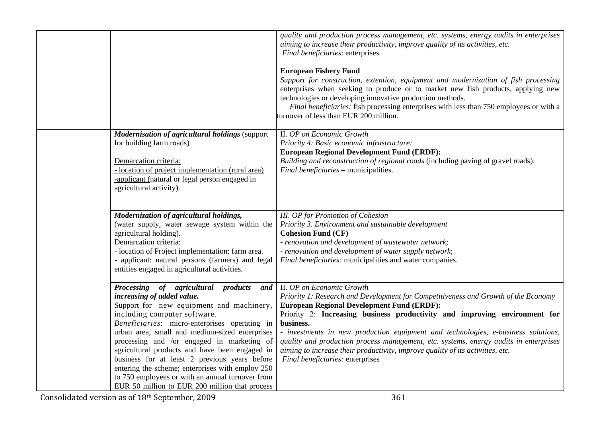|                                                                                                                                                                                                                                                                                                                                                                                                                                                                                                                                                                    | quality and production process management, etc. systems, energy audits in enterprises<br>aiming to increase their productivity, improve quality of its activities, etc.<br>Final beneficiaries: enterprises<br><b>European Fishery Fund</b><br>Support for construction, extention, equipment and modernization of fish processing<br>enterprises when seeking to produce or to market new fish products, applying new<br>technologies or developing innovative production methods.<br>Final beneficiaries: fish processing enterprises with less than 750 employees or with a<br>turnover of less than EUR 200 million. |
|--------------------------------------------------------------------------------------------------------------------------------------------------------------------------------------------------------------------------------------------------------------------------------------------------------------------------------------------------------------------------------------------------------------------------------------------------------------------------------------------------------------------------------------------------------------------|--------------------------------------------------------------------------------------------------------------------------------------------------------------------------------------------------------------------------------------------------------------------------------------------------------------------------------------------------------------------------------------------------------------------------------------------------------------------------------------------------------------------------------------------------------------------------------------------------------------------------|
| <b>Modernisation of agricultural holdings (support</b><br>for building farm roads)<br>Demarcation criteria:<br>- location of project implementation (rural area)<br>-applicant (natural or legal person engaged in<br>agricultural activity).                                                                                                                                                                                                                                                                                                                      | II. OP on Economic Growth<br>Priority 4: Basic economic infrastructure:<br><b>European Regional Development Fund (ERDF):</b><br>Building and reconstruction of regional roads (including paving of gravel roads).<br>Final beneficiaries - municipalities.                                                                                                                                                                                                                                                                                                                                                               |
| Modernization of agricultural holdings,<br>(water supply, water sewage system within the<br>agricultural holding).<br>Demarcation criteria:<br>- location of Project implementation: farm area.<br>- applicant: natural persons (farmers) and legal<br>entities engaged in agricultural activities.                                                                                                                                                                                                                                                                | <b>III.</b> OP for Promotion of Cohesion<br>Priority 3. Environment and sustainable development<br><b>Cohesion Fund (CF)</b><br>- renovation and development of wastewater network;<br>- renovation and development of water supply network;<br>Final beneficiaries: municipalities and water companies.                                                                                                                                                                                                                                                                                                                 |
| Processing of agricultural products<br>and<br>increasing of added value.<br>Support for new equipment and machinery,<br>including computer software.<br>Beneficiaries: micro-enterprises operating in<br>urban area, small and medium-sized enterprises<br>processing and /or engaged in marketing of<br>agricultural products and have been engaged in<br>business for at least 2 previous years before<br>entering the scheme; enterprises with employ 250<br>to 750 employees or with an annual turnover from<br>EUR 50 million to EUR 200 million that process | II. OP on Economic Growth<br>Priority 1: Research and Development for Competitiveness and Growth of the Economy<br><b>European Regional Development Fund (ERDF):</b><br>Priority 2: Increasing business productivity and improving environment for<br>business.<br>- investments in new production equipment and technologies, e-business solutions,<br>quality and production process management, etc. systems, energy audits in enterprises<br>aiming to increase their productivity, improve quality of its activities, etc.<br>Final beneficiaries: enterprises                                                      |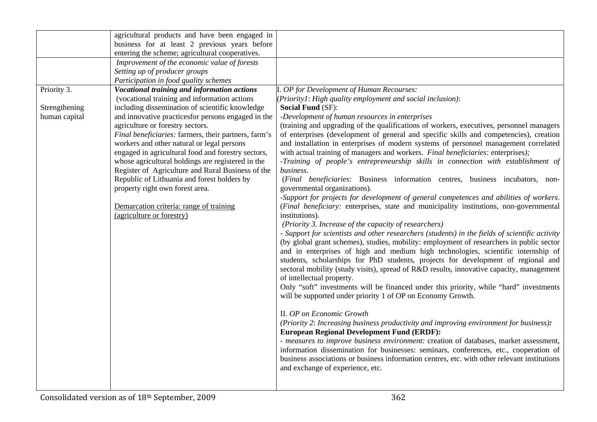|               | agricultural products and have been engaged in       |                                                                                                                                            |
|---------------|------------------------------------------------------|--------------------------------------------------------------------------------------------------------------------------------------------|
|               | business for at least 2 previous years before        |                                                                                                                                            |
|               | entering the scheme; agricultural cooperatives.      |                                                                                                                                            |
|               | Improvement of the economic value of forests         |                                                                                                                                            |
|               | Setting up of producer groups                        |                                                                                                                                            |
|               | Participation in food quality schemes                |                                                                                                                                            |
| Priority 3.   | Vocational training and information actions          | I. OP for Development of Human Recourses:                                                                                                  |
|               | (vocational training and information actions         | (Priority1: High quality employment and social inclusion):                                                                                 |
| Strengthening | including dissemination of scientific knowledge      | <b>Social Fund (SF):</b>                                                                                                                   |
| human capital | and innovative practices for persons engaged in the  | -Development of human resources in enterprises                                                                                             |
|               | agriculture or forestry sectors.                     | (training and upgrading of the qualifications of workers, executives, personnel managers                                                   |
|               | Final beneficiaries: farmers, their partners, farm's | of enterprises (development of general and specific skills and competencies), creation                                                     |
|               | workers and other natural or legal persons           | and installation in enterprises of modern systems of personnel management correlated                                                       |
|               | engaged in agricultural food and forestry sectors,   | with actual training of managers and workers. Final beneficiaries: enterprises);                                                           |
|               | whose agricultural holdings are registered in the    | -Training of people's entrepreneurship skills in connection with establishment of                                                          |
|               | Register of Agriculture and Rural Business of the    | business.                                                                                                                                  |
|               | Republic of Lithuania and forest holders by          | (Final beneficiaries: Business information centres, business incubators, non-                                                              |
|               | property right own forest area.                      | governmental organizations).                                                                                                               |
|               |                                                      | -Support for projects for development of general competences and abilities of workers.                                                     |
|               | Demarcation criteria: range of training              | (Final beneficiary: enterprises, state and municipality institutions, non-governmental                                                     |
|               | (agriculture or forestry)                            | institutions).                                                                                                                             |
|               |                                                      | (Priority 3. Increase of the capacity of researchers)                                                                                      |
|               |                                                      | - Support for scientists and other researchers (students) in the fields of scientific activity                                             |
|               |                                                      | (by global grant schemes), studies, mobility: employment of researchers in public sector                                                   |
|               |                                                      | and in enterprises of high and medium high technologies, scientific internship of                                                          |
|               |                                                      | students, scholarships for PhD students, projects for development of regional and                                                          |
|               |                                                      | sectoral mobility (study visits), spread of R&D results, innovative capacity, management                                                   |
|               |                                                      | of intellectual property.                                                                                                                  |
|               |                                                      | Only "soft" investments will be financed under this priority, while "hard" investments                                                     |
|               |                                                      | will be supported under priority 1 of OP on Economy Growth.                                                                                |
|               |                                                      |                                                                                                                                            |
|               |                                                      | II. OP on Economic Growth                                                                                                                  |
|               |                                                      | (Priority 2: Increasing business productivity and improving environment for business):                                                     |
|               |                                                      | <b>European Regional Development Fund (ERDF):</b><br>- measures to improve business environment: creation of databases, market assessment, |
|               |                                                      | information dissemination for businesses: seminars, conferences, etc., cooperation of                                                      |
|               |                                                      | business associations or business information centres, etc. with other relevant institutions                                               |
|               |                                                      | and exchange of experience, etc.                                                                                                           |
|               |                                                      |                                                                                                                                            |
|               |                                                      |                                                                                                                                            |
|               |                                                      |                                                                                                                                            |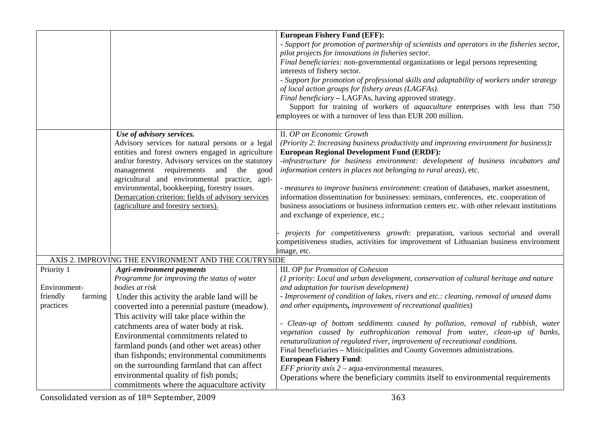|                                                                |                                                                                                                                                                                                                                                                                                                                                                                                                                                                                                                                                                | <b>European Fishery Fund (EFF):</b><br>- Support for promotion of partnership of scientists and operators in the fisheries sector,<br>pilot projects for innovations in fisheries sector.<br>Final beneficiaries: non-governmental organizations or legal persons representing<br>interests of fishery sector.<br>- Support for promotion of professional skills and adaptability of workers under strategy<br>of local action groups for fishery areas (LAGFAs).<br>Final beneficiary - LAGFAs, having approved strategy.<br>Support for training of workers of <i>aquaculture</i> enterprises with less than 750<br>employees or with a turnover of less than EUR 200 million.                                                                                                                                                                  |
|----------------------------------------------------------------|----------------------------------------------------------------------------------------------------------------------------------------------------------------------------------------------------------------------------------------------------------------------------------------------------------------------------------------------------------------------------------------------------------------------------------------------------------------------------------------------------------------------------------------------------------------|---------------------------------------------------------------------------------------------------------------------------------------------------------------------------------------------------------------------------------------------------------------------------------------------------------------------------------------------------------------------------------------------------------------------------------------------------------------------------------------------------------------------------------------------------------------------------------------------------------------------------------------------------------------------------------------------------------------------------------------------------------------------------------------------------------------------------------------------------|
|                                                                | Use of advisory services.<br>Advisory services for natural persons or a legal<br>entities and forest owners engaged in agriculture<br>and/or forestry. Advisory services on the statutory<br>management requirements and<br>the<br>good<br>agricultural and environmental practice, agri-<br>environmental, bookkeeping, forestry issues.<br>Demarcation criterion: fields of advisory services<br>(agriculture and forestry sectors).                                                                                                                         | II. OP on Economic Growth<br>(Priority 2: Increasing business productivity and improving environment for business):<br><b>European Regional Development Fund (ERDF):</b><br>-infrastructure for business environment: development of business incubators and<br>information centers in places not belonging to rural areas), etc.<br>- measures to improve business environment: creation of databases, market assesment,<br>information dissemination for businesses: seminars, conferences, etc. cooperation of<br>business associations or business information centers etc. with other relevant institutions<br>and exchange of experience, etc.;<br>projects for competitiveness growth: preparation, various sectorial and overall<br>competitiveness studies, activities for improvement of Lithuanian business environment<br>image, etc. |
|                                                                | AXIS 2. IMPROVING THE ENVIRONMENT AND THE COUTRYSIDE                                                                                                                                                                                                                                                                                                                                                                                                                                                                                                           |                                                                                                                                                                                                                                                                                                                                                                                                                                                                                                                                                                                                                                                                                                                                                                                                                                                   |
| Priority 1<br>Environment-<br>friendly<br>farming<br>practices | <b>Agri-environment payments</b><br>Programme for improving the status of water<br>bodies at risk<br>Under this activity the arable land will be<br>converted into a perennial pasture (meadow).<br>This activity will take place within the<br>catchments area of water body at risk.<br>Environmental commitments related to<br>farmland ponds (and other wet areas) other<br>than fishponds; environmental commitments<br>on the surrounding farmland that can affect<br>environmental quality of fish ponds;<br>commitments where the aquaculture activity | III. OP for Promotion of Cohesion<br>(1 priority: Local and urban development, conservation of cultural heritage and nature<br>and adaptation for tourism development)<br>- Improvement of condition of lakes, rivers and etc.: cleaning, removal of unused dams<br>and other equipments, improvement of recreational qualities)<br>- Clean-up of bottom seddiments caused by pollution, removal of rubbish, water<br>vegetation caused by euthrophication removal from water, clean-up of banks,<br>renaturalization of regulated river, improvement of recreational conditions.<br>Final beneficiaries - Minicipalities and County Governors administrations.<br><b>European Fishery Fund:</b><br>EFF priority $axis 2 - a$ qua-environmental measures.<br>Operations where the beneficiary commits itself to environmental requirements        |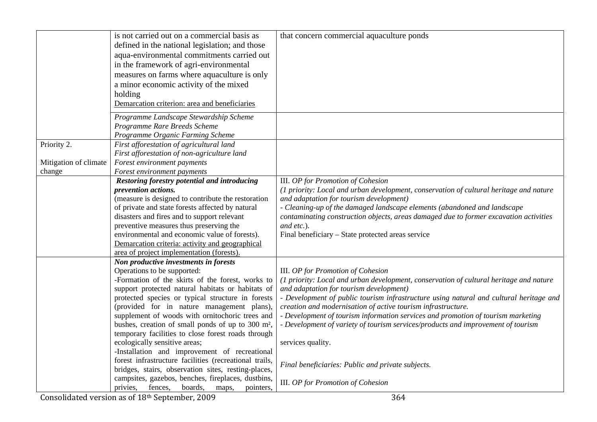|                       | is not carried out on a commercial basis as                   | that concern commercial aquaculture ponds                                              |
|-----------------------|---------------------------------------------------------------|----------------------------------------------------------------------------------------|
|                       | defined in the national legislation; and those                |                                                                                        |
|                       | aqua-environmental commitments carried out                    |                                                                                        |
|                       | in the framework of agri-environmental                        |                                                                                        |
|                       | measures on farms where aquaculture is only                   |                                                                                        |
|                       | a minor economic activity of the mixed                        |                                                                                        |
|                       | holding                                                       |                                                                                        |
|                       | Demarcation criterion: area and beneficiaries                 |                                                                                        |
|                       |                                                               |                                                                                        |
|                       | Programme Landscape Stewardship Scheme                        |                                                                                        |
|                       | Programme Rare Breeds Scheme                                  |                                                                                        |
|                       | Programme Organic Farming Scheme                              |                                                                                        |
| Priority 2.           | First afforestation of agricultural land                      |                                                                                        |
|                       | First afforestation of non-agriculture land                   |                                                                                        |
| Mitigation of climate | Forest environment payments                                   |                                                                                        |
| change                | Forest environment payments                                   |                                                                                        |
|                       | Restoring forestry potential and introducing                  | <b>III.</b> OP for Promotion of Cohesion                                               |
|                       | prevention actions.                                           | (1 priority: Local and urban development, conservation of cultural heritage and nature |
|                       | (measure is designed to contribute the restoration            | and adaptation for tourism development)                                                |
|                       | of private and state forests affected by natural              | - Cleaning-up of the damaged landscape elements (abandoned and landscape               |
|                       | disasters and fires and to support relevant                   | contaminating construction objects, areas damaged due to former excavation activities  |
|                       | preventive measures thus preserving the                       | and etc.).                                                                             |
|                       | environmental and economic value of forests).                 | Final beneficiary - State protected areas service                                      |
|                       | Demarcation criteria: activity and geographical               |                                                                                        |
|                       | area of project implementation (forests).                     |                                                                                        |
|                       | Non productive investments in forests                         |                                                                                        |
|                       | Operations to be supported:                                   | III. OP for Promotion of Cohesion                                                      |
|                       | -Formation of the skirts of the forest, works to              | (1 priority: Local and urban development, conservation of cultural heritage and nature |
|                       | support protected natural habitats or habitats of             | and adaptation for tourism development)                                                |
|                       | protected species or typical structure in forests             | - Development of public tourism infrastructure using natural and cultural heritage and |
|                       | (provided for in nature management plans),                    | creation and modernisation of active tourism infrastructure.                           |
|                       | supplement of woods with ornitochoric trees and               | - Development of tourism information services and promotion of tourism marketing       |
|                       | bushes, creation of small ponds of up to 300 m <sup>2</sup> , | - Development of variety of tourism services/products and improvement of tourism       |
|                       | temporary facilities to close forest roads through            |                                                                                        |
|                       | ecologically sensitive areas;                                 | services quality.                                                                      |
|                       | -Installation and improvement of recreational                 |                                                                                        |
|                       | forest infrastructure facilities (recreational trails,        | Final beneficiaries: Public and private subjects.                                      |
|                       | bridges, stairs, observation sites, resting-places,           |                                                                                        |
|                       | campsites, gazebos, benches, fireplaces, dustbins,            | III. OP for Promotion of Cohesion                                                      |
|                       | privies,<br>fences,<br>boards,<br>maps,<br>pointers,          |                                                                                        |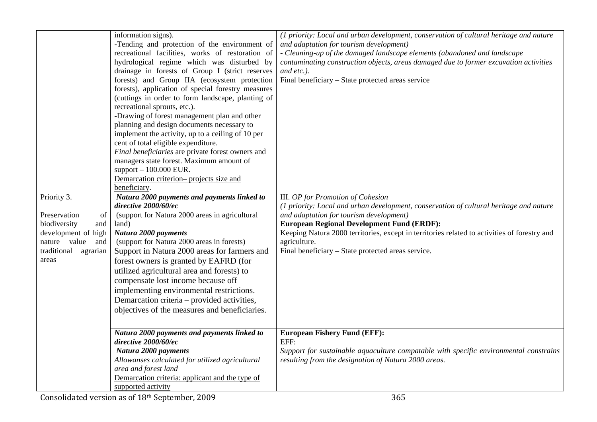| Priority 3.<br>Preservation<br>of<br>biodiversity<br>and<br>development of high<br>nature value<br>and<br>traditional<br>agrarian<br>areas | information signs).<br>-Tending and protection of the environment of<br>recreational facilities, works of restoration of<br>hydrological regime which was disturbed by<br>drainage in forests of Group I (strict reserves<br>forests) and Group IIA (ecosystem protection<br>forests), application of special forestry measures<br>(cuttings in order to form landscape, planting of<br>recreational sprouts, etc.).<br>-Drawing of forest management plan and other<br>planning and design documents necessary to<br>implement the activity, up to a ceiling of 10 per<br>cent of total eligible expenditure.<br>Final beneficiaries are private forest owners and<br>managers state forest. Maximum amount of<br>support $-100.000$ EUR.<br>Demarcation criterion- projects size and<br>beneficiary.<br>Natura 2000 payments and payments linked to<br>directive 2000/60/ec<br>(support for Natura 2000 areas in agricultural<br>land)<br>Natura 2000 payments<br>(support for Natura 2000 areas in forests)<br>Support in Natura 2000 areas for farmers and<br>forest owners is granted by EAFRD (for<br>utilized agricultural area and forests) to<br>compensate lost income because off<br>implementing environmental restrictions.<br>Demarcation criteria – provided activities,<br>objectives of the measures and beneficiaries. | (1 priority: Local and urban development, conservation of cultural heritage and nature<br>and adaptation for tourism development)<br>- Cleaning-up of the damaged landscape elements (abandoned and landscape<br>contaminating construction objects, areas damaged due to former excavation activities<br>and etc.).<br>Final beneficiary - State protected areas service<br><b>III.</b> OP for Promotion of Cohesion<br>(1 priority: Local and urban development, conservation of cultural heritage and nature<br>and adaptation for tourism development)<br><b>European Regional Development Fund (ERDF):</b><br>Keeping Natura 2000 territories, except in territories related to activities of forestry and<br>agriculture.<br>Final beneficiary - State protected areas service. |
|--------------------------------------------------------------------------------------------------------------------------------------------|------------------------------------------------------------------------------------------------------------------------------------------------------------------------------------------------------------------------------------------------------------------------------------------------------------------------------------------------------------------------------------------------------------------------------------------------------------------------------------------------------------------------------------------------------------------------------------------------------------------------------------------------------------------------------------------------------------------------------------------------------------------------------------------------------------------------------------------------------------------------------------------------------------------------------------------------------------------------------------------------------------------------------------------------------------------------------------------------------------------------------------------------------------------------------------------------------------------------------------------------------------------------------------------------------------------------------------------|---------------------------------------------------------------------------------------------------------------------------------------------------------------------------------------------------------------------------------------------------------------------------------------------------------------------------------------------------------------------------------------------------------------------------------------------------------------------------------------------------------------------------------------------------------------------------------------------------------------------------------------------------------------------------------------------------------------------------------------------------------------------------------------|
|                                                                                                                                            | Natura 2000 payments and payments linked to<br>directive 2000/60/ec                                                                                                                                                                                                                                                                                                                                                                                                                                                                                                                                                                                                                                                                                                                                                                                                                                                                                                                                                                                                                                                                                                                                                                                                                                                                      | <b>European Fishery Fund (EFF):</b><br>EFF:                                                                                                                                                                                                                                                                                                                                                                                                                                                                                                                                                                                                                                                                                                                                           |
|                                                                                                                                            | Natura 2000 payments<br>Allowanses calculated for utilized agricultural<br>area and forest land<br>Demarcation criteria: applicant and the type of<br>supported activity                                                                                                                                                                                                                                                                                                                                                                                                                                                                                                                                                                                                                                                                                                                                                                                                                                                                                                                                                                                                                                                                                                                                                                 | Support for sustainable aquaculture compatable with specific environmental constrains<br>resulting from the designation of Natura 2000 areas.                                                                                                                                                                                                                                                                                                                                                                                                                                                                                                                                                                                                                                         |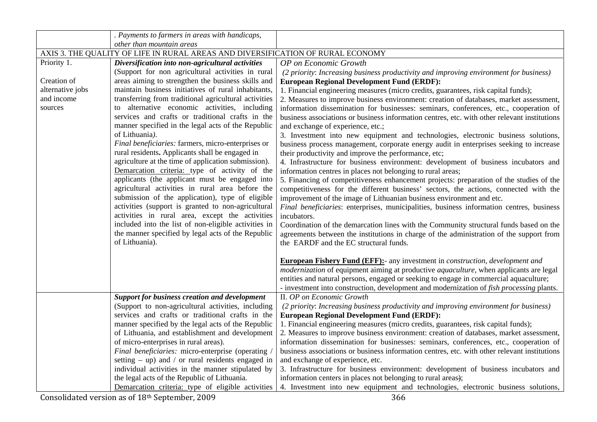|                  | . Payments to farmers in areas with handicaps,                                                                                                                                                            |                                                                                                                                                                                                                                                |
|------------------|-----------------------------------------------------------------------------------------------------------------------------------------------------------------------------------------------------------|------------------------------------------------------------------------------------------------------------------------------------------------------------------------------------------------------------------------------------------------|
|                  | other than mountain areas                                                                                                                                                                                 |                                                                                                                                                                                                                                                |
|                  | AXIS 3. THE QUALITY OF LIFE IN RURAL AREAS AND DIVERSIFICATION OF RURAL ECONOMY                                                                                                                           |                                                                                                                                                                                                                                                |
| Priority 1.      | Diversification into non-agricultural activities                                                                                                                                                          | OP on Economic Growth                                                                                                                                                                                                                          |
|                  | (Support for non agricultural activities in rural                                                                                                                                                         | (2 priority: Increasing business productivity and improving environment for business)                                                                                                                                                          |
| Creation of      | areas aiming to strengthen the business skills and                                                                                                                                                        | <b>European Regional Development Fund (ERDF):</b>                                                                                                                                                                                              |
| alternative jobs | maintain business initiatives of rural inhabitants,                                                                                                                                                       | 1. Financial engineering measures (micro credits, guarantees, risk capital funds);                                                                                                                                                             |
| and income       | transferring from traditional agricultural activities                                                                                                                                                     | 2. Measures to improve business environment: creation of databases, market assessment,                                                                                                                                                         |
| sources          | to alternative economic activities, including                                                                                                                                                             | information dissemination for businesses: seminars, conferences, etc., cooperation of                                                                                                                                                          |
|                  | services and crafts or traditional crafts in the                                                                                                                                                          | business associations or business information centres, etc. with other relevant institutions                                                                                                                                                   |
|                  | manner specified in the legal acts of the Republic                                                                                                                                                        | and exchange of experience, etc.;                                                                                                                                                                                                              |
|                  | of Lithuania).                                                                                                                                                                                            | 3. Investment into new equipment and technologies, electronic business solutions,                                                                                                                                                              |
|                  | Final beneficiaries: farmers, micro-enterprises or                                                                                                                                                        | business process management, corporate energy audit in enterprises seeking to increase                                                                                                                                                         |
|                  | rural residents. Applicants shall be engaged in                                                                                                                                                           | their productivity and improve the performance, etc;                                                                                                                                                                                           |
|                  | agriculture at the time of application submission).                                                                                                                                                       | 4. Infrastructure for business environment: development of business incubators and                                                                                                                                                             |
|                  | Demarcation criteria: type of activity of the                                                                                                                                                             | information centres in places not belonging to rural areas;                                                                                                                                                                                    |
|                  | applicants (the applicant must be engaged into                                                                                                                                                            | 5. Financing of competitiveness enhancement projects: preparation of the studies of the                                                                                                                                                        |
|                  | agricultural activities in rural area before the                                                                                                                                                          | competitiveness for the different business' sectors, the actions, connected with the                                                                                                                                                           |
|                  | submission of the application), type of eligible                                                                                                                                                          | improvement of the image of Lithuanian business environment and etc.                                                                                                                                                                           |
|                  | activities (support is granted to non-agricultural                                                                                                                                                        | Final beneficiaries: enterprises, municipalities, business information centres, business                                                                                                                                                       |
|                  | activities in rural area, except the activities                                                                                                                                                           | incubators.                                                                                                                                                                                                                                    |
|                  | included into the list of non-eligible activities in                                                                                                                                                      | Coordination of the demarcation lines with the Community structural funds based on the                                                                                                                                                         |
|                  | the manner specified by legal acts of the Republic                                                                                                                                                        | agreements between the institutions in charge of the administration of the support from                                                                                                                                                        |
|                  | of Lithuania).                                                                                                                                                                                            | the EARDF and the EC structural funds.                                                                                                                                                                                                         |
|                  |                                                                                                                                                                                                           | <b>European Fishery Fund (EFF):-</b> any investment in <i>construction</i> , <i>development and</i>                                                                                                                                            |
|                  |                                                                                                                                                                                                           | <i>modernization</i> of equipment aiming at productive <i>aquaculture</i> , when applicants are legal                                                                                                                                          |
|                  |                                                                                                                                                                                                           | entities and natural persons, engaged or seeking to engage in commercial aquaculture;                                                                                                                                                          |
|                  |                                                                                                                                                                                                           | - investment into construction, development and modernization of fish processing plants.                                                                                                                                                       |
|                  | <b>Support for business creation and development</b>                                                                                                                                                      | II. OP on Economic Growth                                                                                                                                                                                                                      |
|                  | (Support to non-agricultural activities, including                                                                                                                                                        | (2 priority: Increasing business productivity and improving environment for business)                                                                                                                                                          |
|                  | services and crafts or traditional crafts in the                                                                                                                                                          | <b>European Regional Development Fund (ERDF):</b>                                                                                                                                                                                              |
|                  | manner specified by the legal acts of the Republic                                                                                                                                                        | 1. Financial engineering measures (micro credits, guarantees, risk capital funds);                                                                                                                                                             |
|                  | of Lithuania, and establishment and development                                                                                                                                                           | 2. Measures to improve business environment: creation of databases, market assessment,                                                                                                                                                         |
|                  | of micro-enterprises in rural areas).                                                                                                                                                                     | information dissemination for businesses: seminars, conferences, etc., cooperation of                                                                                                                                                          |
|                  | Final beneficiaries: micro-enterprise (operating)                                                                                                                                                         | business associations or business information centres, etc. with other relevant institutions                                                                                                                                                   |
|                  | setting $-$ up) and $/$ or rural residents engaged in                                                                                                                                                     | and exchange of experience, etc.                                                                                                                                                                                                               |
|                  |                                                                                                                                                                                                           |                                                                                                                                                                                                                                                |
|                  |                                                                                                                                                                                                           |                                                                                                                                                                                                                                                |
|                  |                                                                                                                                                                                                           |                                                                                                                                                                                                                                                |
|                  |                                                                                                                                                                                                           |                                                                                                                                                                                                                                                |
|                  | individual activities in the manner stipulated by<br>the legal acts of the Republic of Lithuania.<br>Demarcation criteria: type of eligible activities<br>Consolidated version as of 18th September, 2009 | 3. Infrastructure for business environment: development of business incubators and<br>information centers in places not belonging to rural areas);<br>4. Investment into new equipment and technologies, electronic business solutions,<br>366 |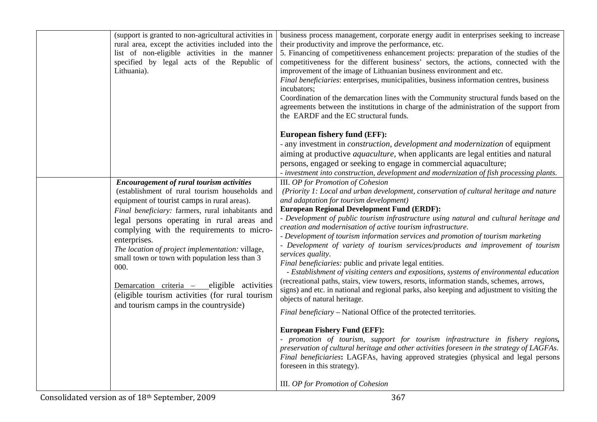| (support is granted to non-agricultural activities in<br>rural area, except the activities included into the<br>list of non-eligible activities in the manner<br>specified by legal acts of the Republic of<br>Lithuania).                                                                                                                                                                                                                                                                                                                                                | business process management, corporate energy audit in enterprises seeking to increase<br>their productivity and improve the performance, etc.<br>5. Financing of competitiveness enhancement projects: preparation of the studies of the<br>competitiveness for the different business' sectors, the actions, connected with the<br>improvement of the image of Lithuanian business environment and etc.<br>Final beneficiaries: enterprises, municipalities, business information centres, business<br>incubators;<br>Coordination of the demarcation lines with the Community structural funds based on the<br>agreements between the institutions in charge of the administration of the support from<br>the EARDF and the EC structural funds.                                                                                                                                                                                                                                                                                                                                                                                                                                                                                                                                                                                                                                                                                       |
|---------------------------------------------------------------------------------------------------------------------------------------------------------------------------------------------------------------------------------------------------------------------------------------------------------------------------------------------------------------------------------------------------------------------------------------------------------------------------------------------------------------------------------------------------------------------------|-------------------------------------------------------------------------------------------------------------------------------------------------------------------------------------------------------------------------------------------------------------------------------------------------------------------------------------------------------------------------------------------------------------------------------------------------------------------------------------------------------------------------------------------------------------------------------------------------------------------------------------------------------------------------------------------------------------------------------------------------------------------------------------------------------------------------------------------------------------------------------------------------------------------------------------------------------------------------------------------------------------------------------------------------------------------------------------------------------------------------------------------------------------------------------------------------------------------------------------------------------------------------------------------------------------------------------------------------------------------------------------------------------------------------------------------|
| <b>Encouragement of rural tourism activities</b><br>(establishment of rural tourism households and<br>equipment of tourist camps in rural areas).<br>Final beneficiary: farmers, rural inhabitants and<br>legal persons operating in rural areas and<br>complying with the requirements to micro-<br>enterprises.<br>The location of project implementation: village,<br>small town or town with population less than 3<br>000.<br>Demarcation criteria - eligible activities<br>(eligible tourism activities (for rural tourism<br>and tourism camps in the countryside) | <b>European fishery fund (EFF):</b><br>- any investment in <i>construction</i> , <i>development and modernization</i> of equipment<br>aiming at productive <i>aquaculture</i> , when applicants are legal entities and natural<br>persons, engaged or seeking to engage in commercial aquaculture;<br>- investment into construction, development and modernization of fish processing plants.<br>III. OP for Promotion of Cohesion<br>(Priority 1: Local and urban development, conservation of cultural heritage and nature<br>and adaptation for tourism development)<br><b>European Regional Development Fund (ERDF):</b><br>- Development of public tourism infrastructure using natural and cultural heritage and<br>creation and modernisation of active tourism infrastructure.<br>- Development of tourism information services and promotion of tourism marketing<br>- Development of variety of tourism services/products and improvement of tourism<br>services quality.<br>Final beneficiaries: public and private legal entities.<br>- Establishment of visiting centers and expositions, systems of environmental education<br>(recreational paths, stairs, view towers, resorts, information stands, schemes, arrows,<br>signs) and etc. in national and regional parks, also keeping and adjustment to visiting the<br>objects of natural heritage.<br>Final beneficiary - National Office of the protected territories. |
|                                                                                                                                                                                                                                                                                                                                                                                                                                                                                                                                                                           | <b>European Fishery Fund (EFF):</b><br>- promotion of tourism, support for tourism infrastructure in fishery regions,<br>preservation of cultural heritage and other activities foreseen in the strategy of LAGFAs.<br>Final beneficiaries: LAGFAs, having approved strategies (physical and legal persons<br>foreseen in this strategy).<br>III. OP for Promotion of Cohesion                                                                                                                                                                                                                                                                                                                                                                                                                                                                                                                                                                                                                                                                                                                                                                                                                                                                                                                                                                                                                                                            |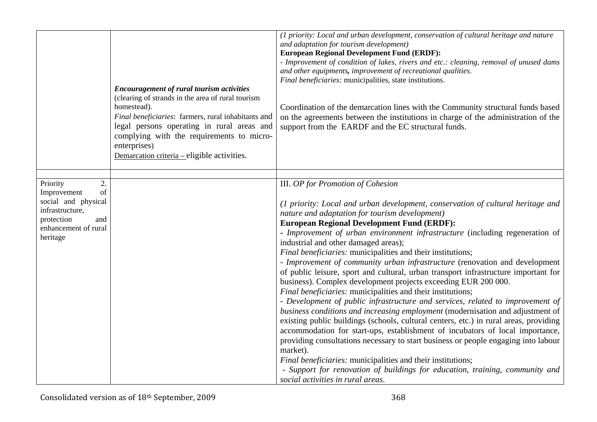|                                                                                                                                        | <b>Encouragement of rural tourism activities</b><br>(clearing of strands in the area of rural tourism<br>homestead).<br>Final beneficiaries: farmers, rural inhabitants and<br>legal persons operating in rural areas and<br>complying with the requirements to micro-<br>enterprises)<br>Demarcation criteria - eligible activities. | (1 priority: Local and urban development, conservation of cultural heritage and nature<br>and adaptation for tourism development)<br><b>European Regional Development Fund (ERDF):</b><br>- Improvement of condition of lakes, rivers and etc.: cleaning, removal of unused dams<br>and other equipments, improvement of recreational qualities.<br>Final beneficiaries: municipalities, state institutions.<br>Coordination of the demarcation lines with the Community structural funds based<br>on the agreements between the institutions in charge of the administration of the<br>support from the EARDF and the EC structural funds.                                                                                                                                                                                                                                                                                                                                                                                                                                                                                                                                                                                                                                                                                                                          |
|----------------------------------------------------------------------------------------------------------------------------------------|---------------------------------------------------------------------------------------------------------------------------------------------------------------------------------------------------------------------------------------------------------------------------------------------------------------------------------------|----------------------------------------------------------------------------------------------------------------------------------------------------------------------------------------------------------------------------------------------------------------------------------------------------------------------------------------------------------------------------------------------------------------------------------------------------------------------------------------------------------------------------------------------------------------------------------------------------------------------------------------------------------------------------------------------------------------------------------------------------------------------------------------------------------------------------------------------------------------------------------------------------------------------------------------------------------------------------------------------------------------------------------------------------------------------------------------------------------------------------------------------------------------------------------------------------------------------------------------------------------------------------------------------------------------------------------------------------------------------|
| 2.<br>Priority<br>of<br>Improvement<br>social and physical<br>infrastructure,<br>protection<br>and<br>enhancement of rural<br>heritage |                                                                                                                                                                                                                                                                                                                                       | <b>III.</b> OP for Promotion of Cohesion<br>(1 priority: Local and urban development, conservation of cultural heritage and<br>nature and adaptation for tourism development)<br><b>European Regional Development Fund (ERDF):</b><br>- Improvement of urban environment infrastructure (including regeneration of<br>industrial and other damaged areas);<br>Final beneficiaries: municipalities and their institutions;<br>- Improvement of community urban infrastructure (renovation and development<br>of public leisure, sport and cultural, urban transport infrastructure important for<br>business). Complex development projects exceeding EUR 200 000.<br>Final beneficiaries: municipalities and their institutions;<br>- Development of public infrastructure and services, related to improvement of<br>business conditions and increasing employment (modernisation and adjustment of<br>existing public buildings (schools, cultural centers, etc.) in rural areas, providing<br>accommodation for start-ups, establishment of incubators of local importance,<br>providing consultations necessary to start business or people engaging into labour<br>market).<br>Final beneficiaries: municipalities and their institutions;<br>- Support for renovation of buildings for education, training, community and<br>social activities in rural areas. |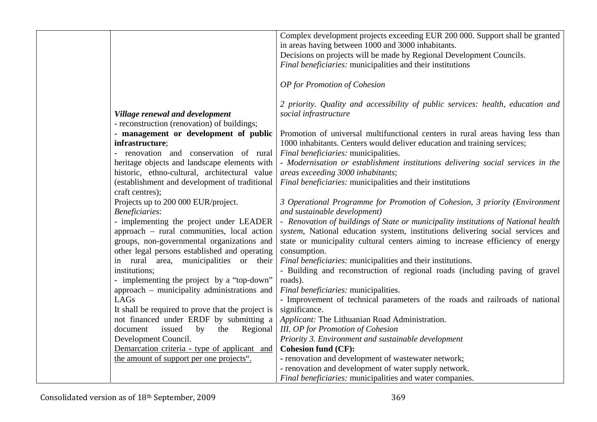|                                                   | Complex development projects exceeding EUR 200 000. Support shall be granted       |
|---------------------------------------------------|------------------------------------------------------------------------------------|
|                                                   | in areas having between 1000 and 3000 inhabitants.                                 |
|                                                   | Decisions on projects will be made by Regional Development Councils.               |
|                                                   | Final beneficiaries: municipalities and their institutions                         |
|                                                   |                                                                                    |
|                                                   | OP for Promotion of Cohesion                                                       |
|                                                   |                                                                                    |
|                                                   | 2 priority. Quality and accessibility of public services: health, education and    |
| Village renewal and development                   | social infrastructure                                                              |
| - reconstruction (renovation) of buildings;       |                                                                                    |
| - management or development of public             | Promotion of universal multifunctional centers in rural areas having less than     |
| infrastructure;                                   | 1000 inhabitants. Centers would deliver education and training services;           |
| renovation and conservation of rural              | Final beneficiaries: municipalities.                                               |
| heritage objects and landscape elements with      | - Modernisation or establishment institutions delivering social services in the    |
| historic, ethno-cultural, architectural value     | areas exceeding 3000 inhabitants;                                                  |
| (establishment and development of traditional     | Final beneficiaries: municipalities and their institutions                         |
| craft centres);                                   |                                                                                    |
| Projects up to 200 000 EUR/project.               | 3 Operational Programme for Promotion of Cohesion, 3 priority (Environment         |
| <b>Beneficiaries:</b>                             | and sustainable development)                                                       |
| - implementing the project under LEADER           | - Renovation of buildings of State or municipality institutions of National health |
| approach - rural communities, local action        | system, National education system, institutions delivering social services and     |
| groups, non-governmental organizations and        | state or municipality cultural centers aiming to increase efficiency of energy     |
| other legal persons established and operating     | consumption.                                                                       |
| in rural area, municipalities or their            | Final beneficiaries: municipalities and their institutions.                        |
| institutions;                                     | - Building and reconstruction of regional roads (including paving of gravel        |
| - implementing the project by a "top-down"        | roads).                                                                            |
| approach – municipality administrations and       | Final beneficiaries: municipalities.                                               |
| LAGs                                              | - Improvement of technical parameters of the roads and railroads of national       |
| It shall be required to prove that the project is | significance.                                                                      |
| not financed under ERDF by submitting a           | Applicant: The Lithuanian Road Administration.                                     |
| document<br>issued<br>Regional<br>by<br>the       | <b>III.</b> OP for Promotion of Cohesion                                           |
| Development Council.                              | Priority 3. Environment and sustainable development                                |
| Demarcation criteria - type of applicant and      | <b>Cohesion fund (CF):</b>                                                         |
| the amount of support per one projects".          | - renovation and development of wastewater network;                                |
|                                                   | - renovation and development of water supply network.                              |
|                                                   | Final beneficiaries: municipalities and water companies.                           |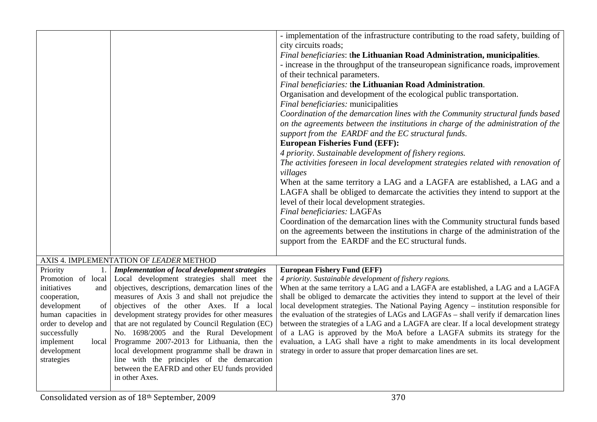|                                                                                                                                                                           |                                                                                                                                                                                                                                                                                                                                                                                                                                                                                                                        | - implementation of the infrastructure contributing to the road safety, building of<br>city circuits roads;<br>Final beneficiaries: the Lithuanian Road Administration, municipalities.<br>- increase in the throughput of the transeuropean significance roads, improvement<br>of their technical parameters.<br>Final beneficiaries: the Lithuanian Road Administration.<br>Organisation and development of the ecological public transportation.<br>Final beneficiaries: municipalities<br>Coordination of the demarcation lines with the Community structural funds based<br>on the agreements between the institutions in charge of the administration of the<br>support from the EARDF and the EC structural funds.<br><b>European Fisheries Fund (EFF):</b><br>4 priority. Sustainable development of fishery regions.<br>The activities foreseen in local development strategies related with renovation of<br>villages<br>When at the same territory a LAG and a LAGFA are established, a LAG and a |
|---------------------------------------------------------------------------------------------------------------------------------------------------------------------------|------------------------------------------------------------------------------------------------------------------------------------------------------------------------------------------------------------------------------------------------------------------------------------------------------------------------------------------------------------------------------------------------------------------------------------------------------------------------------------------------------------------------|--------------------------------------------------------------------------------------------------------------------------------------------------------------------------------------------------------------------------------------------------------------------------------------------------------------------------------------------------------------------------------------------------------------------------------------------------------------------------------------------------------------------------------------------------------------------------------------------------------------------------------------------------------------------------------------------------------------------------------------------------------------------------------------------------------------------------------------------------------------------------------------------------------------------------------------------------------------------------------------------------------------|
|                                                                                                                                                                           |                                                                                                                                                                                                                                                                                                                                                                                                                                                                                                                        | LAGFA shall be obliged to demarcate the activities they intend to support at the<br>level of their local development strategies.                                                                                                                                                                                                                                                                                                                                                                                                                                                                                                                                                                                                                                                                                                                                                                                                                                                                             |
|                                                                                                                                                                           |                                                                                                                                                                                                                                                                                                                                                                                                                                                                                                                        | <b>Final beneficiaries: LAGFAs</b>                                                                                                                                                                                                                                                                                                                                                                                                                                                                                                                                                                                                                                                                                                                                                                                                                                                                                                                                                                           |
|                                                                                                                                                                           |                                                                                                                                                                                                                                                                                                                                                                                                                                                                                                                        | Coordination of the demarcation lines with the Community structural funds based<br>on the agreements between the institutions in charge of the administration of the<br>support from the EARDF and the EC structural funds.                                                                                                                                                                                                                                                                                                                                                                                                                                                                                                                                                                                                                                                                                                                                                                                  |
|                                                                                                                                                                           | AXIS 4. IMPLEMENTATION OF LEADER METHOD                                                                                                                                                                                                                                                                                                                                                                                                                                                                                |                                                                                                                                                                                                                                                                                                                                                                                                                                                                                                                                                                                                                                                                                                                                                                                                                                                                                                                                                                                                              |
| Priority<br>1.<br>Promotion of local                                                                                                                                      | <b>Implementation of local development strategies</b><br>Local development strategies shall meet the                                                                                                                                                                                                                                                                                                                                                                                                                   | <b>European Fishery Fund (EFF)</b><br>4 priority. Sustainable development of fishery regions.                                                                                                                                                                                                                                                                                                                                                                                                                                                                                                                                                                                                                                                                                                                                                                                                                                                                                                                |
| initiatives<br>and<br>cooperation,<br>development<br>of<br>human capacities in<br>order to develop and<br>successfully<br>implement<br>local<br>development<br>strategies | objectives, descriptions, demarcation lines of the<br>measures of Axis 3 and shall not prejudice the<br>objectives of the other Axes. If a local<br>development strategy provides for other measures<br>that are not regulated by Council Regulation (EC)<br>No. 1698/2005 and the Rural Development<br>Programme 2007-2013 for Lithuania, then the<br>local development programme shall be drawn in<br>line with the principles of the demarcation<br>between the EAFRD and other EU funds provided<br>in other Axes. | When at the same territory a LAG and a LAGFA are established, a LAG and a LAGFA<br>shall be obliged to demarcate the activities they intend to support at the level of their<br>local development strategies. The National Paying Agency - institution responsible for<br>the evaluation of the strategies of LAGs and LAGFAs – shall verify if demarcation lines<br>between the strategies of a LAG and a LAGFA are clear. If a local development strategy<br>of a LAG is approved by the MoA before a LAGFA submits its strategy for the<br>evaluation, a LAG shall have a right to make amendments in its local development<br>strategy in order to assure that proper demarcation lines are set.                                                                                                                                                                                                                                                                                                         |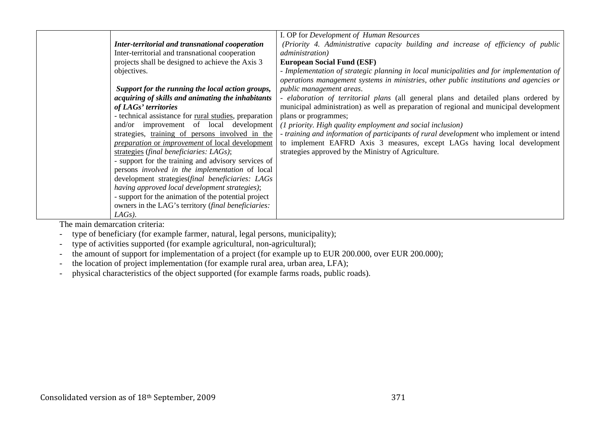|                                                                      | I. OP for Development of Human Resources                                                 |
|----------------------------------------------------------------------|------------------------------------------------------------------------------------------|
| Inter-territorial and transnational cooperation                      | (Priority 4. Administrative capacity building and increase of efficiency of public       |
| Inter-territorial and transnational cooperation                      | <i>administration</i> )                                                                  |
| projects shall be designed to achieve the Axis 3                     | <b>European Social Fund (ESF)</b>                                                        |
| objectives.                                                          | - Implementation of strategic planning in local municipalities and for implementation of |
|                                                                      | operations management systems in ministries, other public institutions and agencies or   |
| Support for the running the local action groups,                     | <i>public management areas.</i>                                                          |
| acquiring of skills and animating the inhabitants                    | - elaboration of territorial plans (all general plans and detailed plans ordered by      |
| of LAGs' territories                                                 | municipal administration) as well as preparation of regional and municipal development   |
| - technical assistance for <u>rural studies</u> , preparation        | plans or programmes;                                                                     |
| and/or improvement of local development                              | (1 priority. High quality employment and social inclusion)                               |
| strategies, training of persons involved in the                      | - training and information of participants of rural development who implement or intend  |
| <i><u><b>preparation or improvement of local development</b></u></i> | to implement EAFRD Axis 3 measures, except LAGs having local development                 |
| strategies (final beneficiaries: LAGs);                              | strategies approved by the Ministry of Agriculture.                                      |
| - support for the training and advisory services of                  |                                                                                          |
| persons involved in the implementation of local                      |                                                                                          |
| development strategies(final beneficiaries: LAGs                     |                                                                                          |
| having approved local development strategies);                       |                                                                                          |
| - support for the animation of the potential project                 |                                                                                          |
| owners in the LAG's territory (final beneficiaries:                  |                                                                                          |
| $LAGs$ ).                                                            |                                                                                          |

The main demarcation criteria:

- type of beneficiary (for example farmer, natural, legal persons, municipality);
- type of activities supported (for example agricultural, non-agricultural);
- the amount of support for implementation of a project (for example up to EUR 200.000, over EUR 200.000);
- the location of project implementation (for example rural area, urban area, LFA);
- physical characteristics of the object supported (for example farms roads, public roads).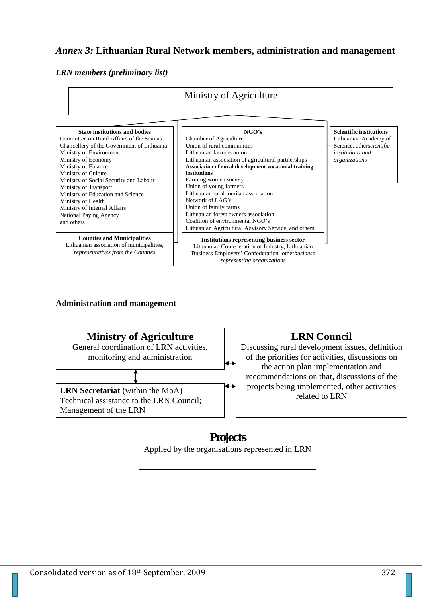## *Annex 3:* **Lithuanian Rural Network members, administration and management**

### *LRN members (preliminary list)*



## **Administration and management**



**Projects**  Applied by the organisations represented in LRN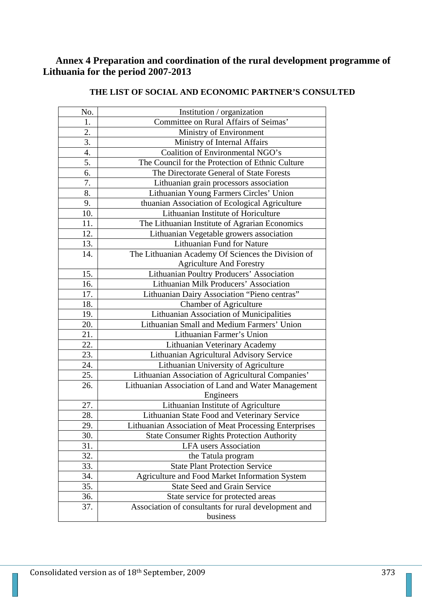## **Annex 4 Preparation and coordination of the rural development programme of Lithuania for the period 2007-2013**

| No.               | Institution / organization                                   |
|-------------------|--------------------------------------------------------------|
| 1.                | Committee on Rural Affairs of Seimas'                        |
| 2.                | Ministry of Environment                                      |
| 3.                | Ministry of Internal Affairs                                 |
| 4.                | Coalition of Environmental NGO's                             |
| 5.                | The Council for the Protection of Ethnic Culture             |
| 6.                | The Directorate General of State Forests                     |
| 7.                | Lithuanian grain processors association                      |
| 8.                | Lithuanian Young Farmers Circles' Union                      |
| 9.                | thuanian Association of Ecological Agriculture               |
| 10.               | Lithuanian Institute of Horiculture                          |
| 11.               | The Lithuanian Institute of Agrarian Economics               |
| 12.               | Lithuanian Vegetable growers association                     |
| 13.               | Lithuanian Fund for Nature                                   |
| 14.               | The Lithuanian Academy Of Sciences the Division of           |
|                   | <b>Agriculture And Forestry</b>                              |
| 15.               | Lithuanian Poultry Producers' Association                    |
| 16.               | Lithuanian Milk Producers' Association                       |
| 17.               | Lithuanian Dairy Association "Pieno centras"                 |
| 18.               | <b>Chamber of Agriculture</b>                                |
| 19.               | Lithuanian Association of Municipalities                     |
| 20.               | Lithuanian Small and Medium Farmers' Union                   |
| 21.               | Lithuanian Farmer's Union                                    |
| 22.               | Lithuanian Veterinary Academy                                |
| $\overline{23}$ . | Lithuanian Agricultural Advisory Service                     |
| 24.               | Lithuanian University of Agriculture                         |
| 25.               | Lithuanian Association of Agricultural Companies'            |
| 26.               | Lithuanian Association of Land and Water Management          |
|                   | Engineers                                                    |
| 27.               | Lithuanian Institute of Agriculture                          |
| 28.               | Lithuanian State Food and Veterinary Service                 |
| 29.               | <b>Lithuanian Association of Meat Processing Enterprises</b> |
| 30.               | <b>State Consumer Rights Protection Authority</b>            |
| 31.               | LFA users Association                                        |
| 32.               | the Tatula program                                           |
| 33.               | <b>State Plant Protection Service</b>                        |
| 34.               | Agriculture and Food Market Information System               |
| 35.               | <b>State Seed and Grain Service</b>                          |
| 36.               | State service for protected areas                            |
| 37.               | Association of consultants for rural development and         |
|                   | business                                                     |

## **THE LIST OF SOCIAL AND ECONOMIC PARTNER'S CONSULTED**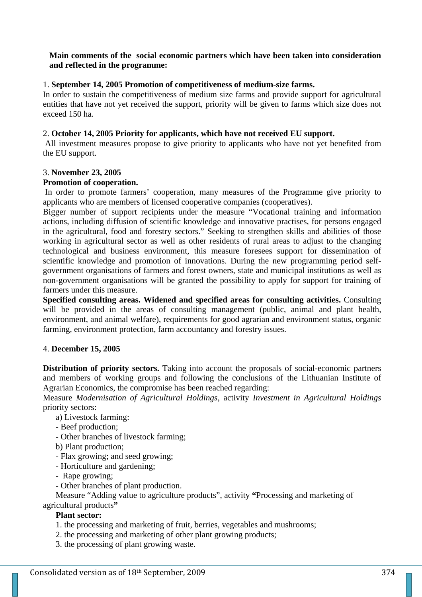## **Main comments of the social economic partners which have been taken into consideration and reflected in the programme:**

## 1. **September 14, 2005 Promotion of competitiveness of medium-size farms.**

In order to sustain the competitiveness of medium size farms and provide support for agricultural entities that have not yet received the support, priority will be given to farms which size does not exceed 150 ha.

### 2. **October 14, 2005 Priority for applicants, which have not received EU support.**

 All investment measures propose to give priority to applicants who have not yet benefited from the EU support.

#### 3. **November 23, 2005**

#### **Promotion of cooperation.**

 In order to promote farmers' cooperation, many measures of the Programme give priority to applicants who are members of licensed cooperative companies (cooperatives).

Bigger number of support recipients under the measure "Vocational training and information actions, including diffusion of scientific knowledge and innovative practises, for persons engaged in the agricultural, food and forestry sectors." Seeking to strengthen skills and abilities of those working in agricultural sector as well as other residents of rural areas to adjust to the changing technological and business environment, this measure foresees support for dissemination of scientific knowledge and promotion of innovations. During the new programming period selfgovernment organisations of farmers and forest owners, state and municipal institutions as well as non-government organisations will be granted the possibility to apply for support for training of farmers under this measure.

**Specified consulting areas. Widened and specified areas for consulting activities.** Consulting will be provided in the areas of consulting management (public, animal and plant health, environment, and animal welfare), requirements for good agrarian and environment status, organic farming, environment protection, farm accountancy and forestry issues.

#### 4. **December 15, 2005**

**Distribution of priority sectors.** Taking into account the proposals of social-economic partners and members of working groups and following the conclusions of the Lithuanian Institute of Agrarian Economics, the compromise has been reached regarding:

Measure *Modernisation of Agricultural Holdings*, activity *Investment in Agricultural Holdings* priority sectors:

- a) Livestock farming:
- Beef production;
- Other branches of livestock farming;
- b) Plant production;
- Flax growing; and seed growing;
- Horticulture and gardening;
- Rape growing;
- Other branches of plant production.

Measure "Adding value to agriculture products", activity **"**Processing and marketing of agricultural products**"**

## **Plant sector:**

- 1. the processing and marketing of fruit, berries, vegetables and mushrooms;
- 2. the processing and marketing of other plant growing products;
- 3. the processing of plant growing waste.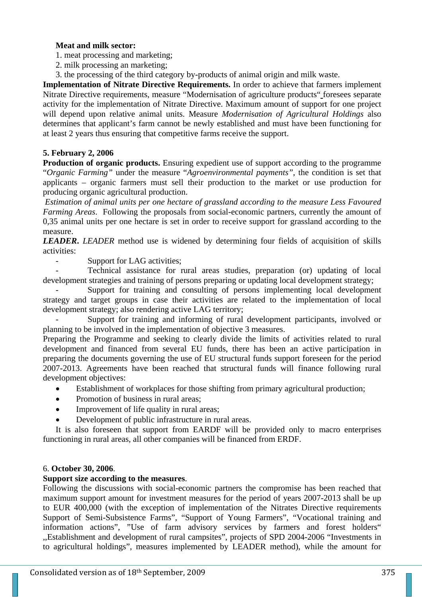#### **Meat and milk sector:**

- 1. meat processing and marketing;
- 2. milk processing an marketing;
- 3. the processing of the third category by-products of animal origin and milk waste.

**Implementation of Nitrate Directive Requirements.** In order to achieve that farmers implement Nitrate Directive requirements, measure "Modernisation of agriculture products" foresees separate activity for the implementation of Nitrate Directive. Maximum amount of support for one project will depend upon relative animal units. Measure *Modernisation of Agricultural Holdings* also determines that applicant's farm cannot be newly established and must have been functioning for at least 2 years thus ensuring that competitive farms receive the support.

### **5. February 2, 2006**

**Production of organic products.** Ensuring expedient use of support according to the programme "*Organic Farming"* under the measure "*Agroenvironmental payments"*, the condition is set that applicants – organic farmers must sell their production to the market or use production for producing organic agricultural production.

 *Estimation of animal units per one hectare of grassland according to the measure Less Favoured Farming Areas*. Following the proposals from social-economic partners, currently the amount of 0,35 animal units per one hectare is set in order to receive support for grassland according to the measure.

*LEADER***.** *LEADER* method use is widened by determining four fields of acquisition of skills activities:

Support for LAG activities;

- Technical assistance for rural areas studies, preparation (or) updating of local development strategies and training of persons preparing or updating local development strategy;

Support for training and consulting of persons implementing local development strategy and target groups in case their activities are related to the implementation of local development strategy; also rendering active LAG territory;

Support for training and informing of rural development participants, involved or planning to be involved in the implementation of objective 3 measures.

Preparing the Programme and seeking to clearly divide the limits of activities related to rural development and financed from several EU funds, there has been an active participation in preparing the documents governing the use of EU structural funds support foreseen for the period 2007-2013. Agreements have been reached that structural funds will finance following rural development objectives:

- Establishment of workplaces for those shifting from primary agricultural production;
- Promotion of business in rural areas;
- Improvement of life quality in rural areas;
- Development of public infrastructure in rural areas.

It is also foreseen that support from EARDF will be provided only to macro enterprises functioning in rural areas, all other companies will be financed from ERDF.

#### 6. **October 30, 2006**.

#### **Support size according to the measures**.

Following the discussions with social-economic partners the compromise has been reached that maximum support amount for investment measures for the period of years 2007-2013 shall be up to EUR 400,000 (with the exception of implementation of the Nitrates Directive requirements Support of Semi-Subsistence Farms", "Support of Young Farmers", "Vocational training and information actions", "Use of farm advisory services by farmers and forest holders" ,,Establishment and development of rural campsites", projects of SPD 2004-2006 "Investments in to agricultural holdings", measures implemented by LEADER method), while the amount for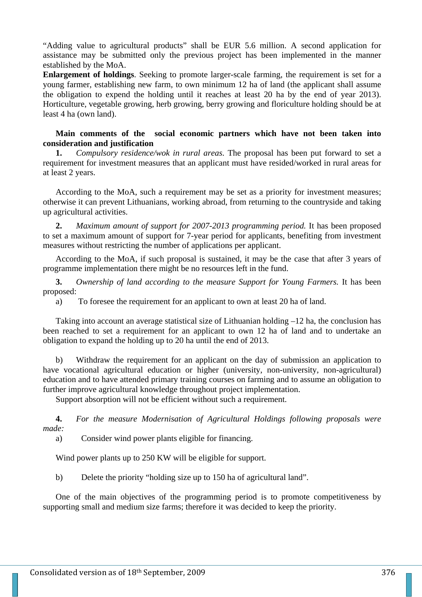"Adding value to agricultural products" shall be EUR 5.6 million. A second application for assistance may be submitted only the previous project has been implemented in the manner established by the MoA.

**Enlargement of holdings**. Seeking to promote larger-scale farming, the requirement is set for a young farmer, establishing new farm, to own minimum 12 ha of land (the applicant shall assume the obligation to expend the holding until it reaches at least 20 ha by the end of year 2013). Horticulture, vegetable growing, herb growing, berry growing and floriculture holding should be at least 4 ha (own land).

#### **Main comments of the social economic partners which have not been taken into consideration and justification**

**1.** *Compulsory residence/wok in rural areas.* The proposal has been put forward to set a requirement for investment measures that an applicant must have resided/worked in rural areas for at least 2 years.

According to the MoA, such a requirement may be set as a priority for investment measures; otherwise it can prevent Lithuanians, working abroad, from returning to the countryside and taking up agricultural activities.

**2.** *Maximum amount of support for 2007-2013 programming period.* It has been proposed to set a maximum amount of support for 7-year period for applicants, benefiting from investment measures without restricting the number of applications per applicant.

According to the MoA, if such proposal is sustained, it may be the case that after 3 years of programme implementation there might be no resources left in the fund.

**3.** *Ownership of land according to the measure Support for Young Farmers.* It has been proposed:

a) To foresee the requirement for an applicant to own at least 20 ha of land.

Taking into account an average statistical size of Lithuanian holding –12 ha, the conclusion has been reached to set a requirement for an applicant to own 12 ha of land and to undertake an obligation to expand the holding up to 20 ha until the end of 2013.

b) Withdraw the requirement for an applicant on the day of submission an application to have vocational agricultural education or higher (university, non-university, non-agricultural) education and to have attended primary training courses on farming and to assume an obligation to further improve agricultural knowledge throughout project implementation.

Support absorption will not be efficient without such a requirement.

**4.** *For the measure Modernisation of Agricultural Holdings following proposals were made:*

a) Consider wind power plants eligible for financing.

Wind power plants up to 250 KW will be eligible for support.

b) Delete the priority "holding size up to 150 ha of agricultural land".

One of the main objectives of the programming period is to promote competitiveness by supporting small and medium size farms; therefore it was decided to keep the priority.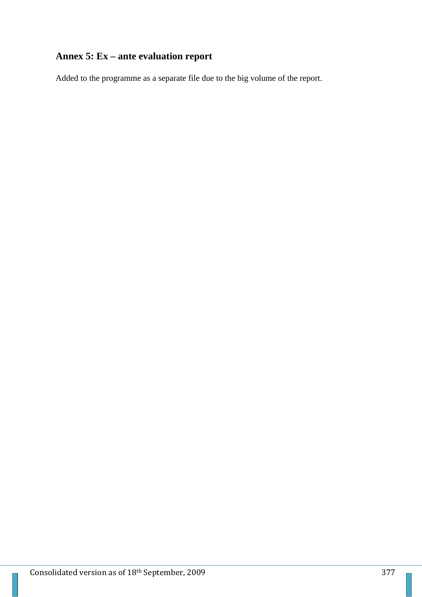# **Annex 5: Ex – ante evaluation report**

Added to the programme as a separate file due to the big volume of the report.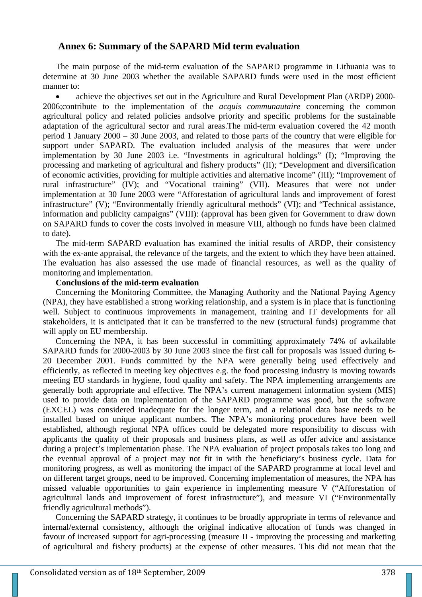## **Annex 6: Summary of the SAPARD Mid term evaluation**

The main purpose of the mid-term evaluation of the SAPARD programme in Lithuania was to determine at 30 June 2003 whether the available SAPARD funds were used in the most efficient manner to:

• achieve the objectives set out in the Agriculture and Rural Development Plan (ARDP) 2000- 2006;contribute to the implementation of the *acquis communautaire* concerning the common agricultural policy and related policies andsolve priority and specific problems for the sustainable adaptation of the agricultural sector and rural areas.The mid-term evaluation covered the 42 month period 1 January 2000 – 30 June 2003, and related to those parts of the country that were eligible for support under SAPARD. The evaluation included analysis of the measures that were under implementation by 30 June 2003 i.e. "Investments in agricultural holdings" (I); "Improving the processing and marketing of agricultural and fishery products" (II); "Development and diversification of economic activities, providing for multiple activities and alternative income" (III); "Improvement of rural infrastructure" (IV); and "Vocational training" (VII). Measures that were not under implementation at 30 June 2003 were "Afforestation of agricultural lands and improvement of forest infrastructure" (V); "Environmentally friendly agricultural methods" (VI); and "Technical assistance, information and publicity campaigns" (VIII): (approval has been given for Government to draw down on SAPARD funds to cover the costs involved in measure VIII, although no funds have been claimed to date).

The mid-term SAPARD evaluation has examined the initial results of ARDP, their consistency with the ex-ante appraisal, the relevance of the targets, and the extent to which they have been attained. The evaluation has also assessed the use made of financial resources, as well as the quality of monitoring and implementation.

#### **Conclusions of the mid-term evaluation**

Concerning the Monitoring Committee, the Managing Authority and the National Paying Agency (NPA), they have established a strong working relationship, and a system is in place that is functioning well. Subject to continuous improvements in management, training and IT developments for all stakeholders, it is anticipated that it can be transferred to the new (structural funds) programme that will apply on EU membership.

Concerning the NPA, it has been successful in committing approximately 74% of avkailable SAPARD funds for 2000-2003 by 30 June 2003 since the first call for proposals was issued during 6- 20 December 2001. Funds committed by the NPA were generally being used effectively and efficiently, as reflected in meeting key objectives e.g. the food processing industry is moving towards meeting EU standards in hygiene, food quality and safety. The NPA implementing arrangements are generally both appropriate and effective. The NPA's current management information system (MIS) used to provide data on implementation of the SAPARD programme was good, but the software (EXCEL) was considered inadequate for the longer term, and a relational data base needs to be installed based on unique applicant numbers. The NPA's monitoring procedures have been well established, although regional NPA offices could be delegated more responsibility to discuss with applicants the quality of their proposals and business plans, as well as offer advice and assistance during a project's implementation phase. The NPA evaluation of project proposals takes too long and the eventual approval of a project may not fit in with the beneficiary's business cycle. Data for monitoring progress, as well as monitoring the impact of the SAPARD programme at local level and on different target groups, need to be improved. Concerning implementation of measures, the NPA has missed valuable opportunities to gain experience in implementing measure V ("Afforestation of agricultural lands and improvement of forest infrastructure"), and measure VI ("Environmentally friendly agricultural methods").

Concerning the SAPARD strategy, it continues to be broadly appropriate in terms of relevance and internal/external consistency, although the original indicative allocation of funds was changed in favour of increased support for agri-processing (measure II - improving the processing and marketing of agricultural and fishery products) at the expense of other measures. This did not mean that the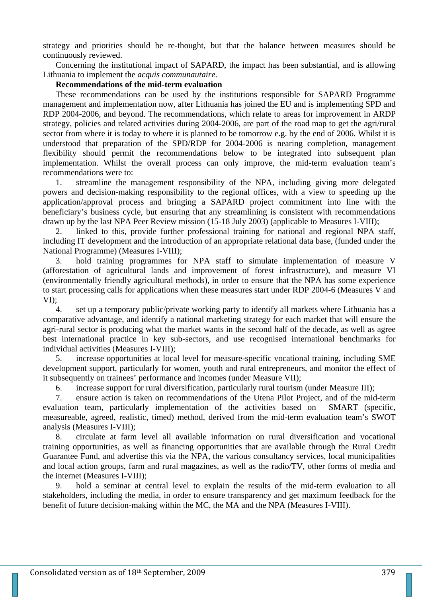strategy and priorities should be re-thought, but that the balance between measures should be continuously reviewed.

Concerning the institutional impact of SAPARD, the impact has been substantial, and is allowing Lithuania to implement the *acquis communautaire*.

#### **Recommendations of the mid-term evaluation**

These recommendations can be used by the institutions responsible for SAPARD Programme management and implementation now, after Lithuania has joined the EU and is implementing SPD and RDP 2004-2006, and beyond. The recommendations, which relate to areas for improvement in ARDP strategy, policies and related activities during 2004-2006, are part of the road map to get the agri/rural sector from where it is today to where it is planned to be tomorrow e.g. by the end of 2006. Whilst it is understood that preparation of the SPD/RDP for 2004-2006 is nearing completion, management flexibility should permit the recommendations below to be integrated into subsequent plan implementation. Whilst the overall process can only improve, the mid-term evaluation team's recommendations were to:

1. streamline the management responsibility of the NPA, including giving more delegated powers and decision-making responsibility to the regional offices, with a view to speeding up the application/approval process and bringing a SAPARD project commitment into line with the beneficiary's business cycle, but ensuring that any streamlining is consistent with recommendations drawn up by the last NPA Peer Review mission (15-18 July 2003) (applicable to Measures I-VIII);

2. linked to this, provide further professional training for national and regional NPA staff, including IT development and the introduction of an appropriate relational data base, (funded under the National Programme) (Measures I-VIII);

3. hold training programmes for NPA staff to simulate implementation of measure V (afforestation of agricultural lands and improvement of forest infrastructure), and measure VI (environmentally friendly agricultural methods), in order to ensure that the NPA has some experience to start processing calls for applications when these measures start under RDP 2004-6 (Measures V and VI);

4. set up a temporary public/private working party to identify all markets where Lithuania has a comparative advantage, and identify a national marketing strategy for each market that will ensure the agri-rural sector is producing what the market wants in the second half of the decade, as well as agree best international practice in key sub-sectors, and use recognised international benchmarks for individual activities (Measures I-VIII);

5. increase opportunities at local level for measure-specific vocational training, including SME development support, particularly for women, youth and rural entrepreneurs, and monitor the effect of it subsequently on trainees' performance and incomes (under Measure VII);

6. increase support for rural diversification, particularly rural tourism (under Measure III);

7. ensure action is taken on recommendations of the Utena Pilot Project, and of the mid-term evaluation team, particularly implementation of the activities based on SMART (specific, measureable, agreed, realistic, timed) method, derived from the mid-term evaluation team's SWOT analysis (Measures I-VIII);

8. circulate at farm level all available information on rural diversification and vocational training opportunities, as well as financing opportunities that are available through the Rural Credit Guarantee Fund, and advertise this via the NPA, the various consultancy services, local municipalities and local action groups, farm and rural magazines, as well as the radio/TV, other forms of media and the internet (Measures I-VIII);

9. hold a seminar at central level to explain the results of the mid-term evaluation to all stakeholders, including the media, in order to ensure transparency and get maximum feedback for the benefit of future decision-making within the MC, the MA and the NPA (Measures I-VIII).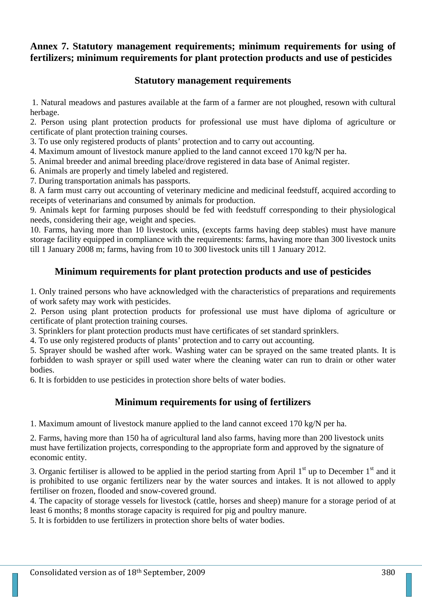## **Annex 7. Statutory management requirements; minimum requirements for using of fertilizers; minimum requirements for plant protection products and use of pesticides**

## **Statutory management requirements**

1. Natural meadows and pastures available at the farm of a farmer are not ploughed, resown with cultural herbage.

2. Person using plant protection products for professional use must have diploma of agriculture or certificate of plant protection training courses.

3. To use only registered products of plants' protection and to carry out accounting.

4. Maximum amount of livestock manure applied to the land cannot exceed 170 kg/N per ha.

5. Animal breeder and animal breeding place/drove registered in data base of Animal register.

6. Animals are properly and timely labeled and registered.

7. During transportation animals has passports.

8. A farm must carry out accounting of veterinary medicine and medicinal feedstuff, acquired according to receipts of veterinarians and consumed by animals for production.

9. Animals kept for farming purposes should be fed with feedstuff corresponding to their physiological needs, considering their age, weight and species.

10. Farms, having more than 10 livestock units, (excepts farms having deep stables) must have manure storage facility equipped in compliance with the requirements: farms, having more than 300 livestock units till 1 January 2008 m; farms, having from 10 to 300 livestock units till 1 January 2012.

## **Minimum requirements for plant protection products and use of pesticides**

1. Only trained persons who have acknowledged with the characteristics of preparations and requirements of work safety may work with pesticides.

2. Person using plant protection products for professional use must have diploma of agriculture or certificate of plant protection training courses.

3. Sprinklers for plant protection products must have certificates of set standard sprinklers.

4. To use only registered products of plants' protection and to carry out accounting.

5. Sprayer should be washed after work. Washing water can be sprayed on the same treated plants. It is forbidden to wash sprayer or spill used water where the cleaning water can run to drain or other water bodies.

6. It is forbidden to use pesticides in protection shore belts of water bodies.

## **Minimum requirements for using of fertilizers**

1. Maximum amount of livestock manure applied to the land cannot exceed 170 kg/N per ha.

2. Farms, having more than 150 ha of agricultural land also farms, having more than 200 livestock units must have fertilization projects, corresponding to the appropriate form and approved by the signature of economic entity.

3. Organic fertiliser is allowed to be applied in the period starting from April  $1<sup>st</sup>$  up to December  $1<sup>st</sup>$  and it is prohibited to use organic fertilizers near by the water sources and intakes. It is not allowed to apply fertiliser on frozen, flooded and snow-covered ground.

4. The capacity of storage vessels for livestock (cattle, horses and sheep) manure for a storage period of at least 6 months; 8 months storage capacity is required for pig and poultry manure.

5. It is forbidden to use fertilizers in protection shore belts of water bodies.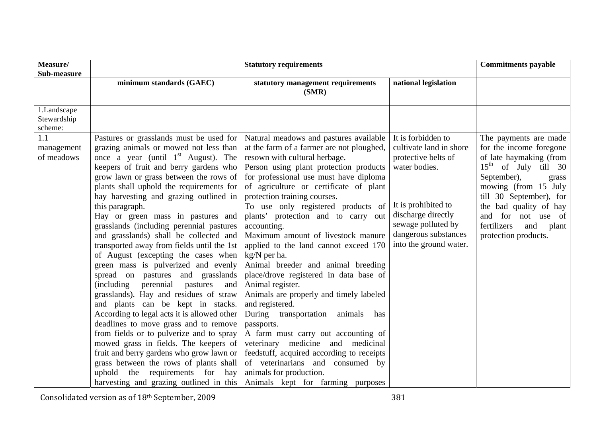| Measure/<br>Sub-measure               | <b>Statutory requirements</b>                                                                                                                                                                                                                                                                                                                                                                                                                                                                                                                                                                                                                                                                                                                                                                                                                                                                                                                                                                                                                                                                     |                                                                                                                                                                                                                                                                                                                                                                                                                                                                                                                                                                                                                                                                                                                                                                                                                                                                                                                                       |                                                                                                                                                                                                            | <b>Commitments payable</b>                                                                                                                                                                                                                                                              |
|---------------------------------------|---------------------------------------------------------------------------------------------------------------------------------------------------------------------------------------------------------------------------------------------------------------------------------------------------------------------------------------------------------------------------------------------------------------------------------------------------------------------------------------------------------------------------------------------------------------------------------------------------------------------------------------------------------------------------------------------------------------------------------------------------------------------------------------------------------------------------------------------------------------------------------------------------------------------------------------------------------------------------------------------------------------------------------------------------------------------------------------------------|---------------------------------------------------------------------------------------------------------------------------------------------------------------------------------------------------------------------------------------------------------------------------------------------------------------------------------------------------------------------------------------------------------------------------------------------------------------------------------------------------------------------------------------------------------------------------------------------------------------------------------------------------------------------------------------------------------------------------------------------------------------------------------------------------------------------------------------------------------------------------------------------------------------------------------------|------------------------------------------------------------------------------------------------------------------------------------------------------------------------------------------------------------|-----------------------------------------------------------------------------------------------------------------------------------------------------------------------------------------------------------------------------------------------------------------------------------------|
|                                       | minimum standards (GAEC)                                                                                                                                                                                                                                                                                                                                                                                                                                                                                                                                                                                                                                                                                                                                                                                                                                                                                                                                                                                                                                                                          | statutory management requirements<br>(SMR)                                                                                                                                                                                                                                                                                                                                                                                                                                                                                                                                                                                                                                                                                                                                                                                                                                                                                            | national legislation                                                                                                                                                                                       |                                                                                                                                                                                                                                                                                         |
| 1.Landscape<br>Stewardship<br>scheme: |                                                                                                                                                                                                                                                                                                                                                                                                                                                                                                                                                                                                                                                                                                                                                                                                                                                                                                                                                                                                                                                                                                   |                                                                                                                                                                                                                                                                                                                                                                                                                                                                                                                                                                                                                                                                                                                                                                                                                                                                                                                                       |                                                                                                                                                                                                            |                                                                                                                                                                                                                                                                                         |
| 1.1<br>management<br>of meadows       | Pastures or grasslands must be used for<br>grazing animals or mowed not less than<br>once a year (until $1st$ August). The<br>keepers of fruit and berry gardens who<br>grow lawn or grass between the rows of<br>plants shall uphold the requirements for<br>hay harvesting and grazing outlined in<br>this paragraph.<br>Hay or green mass in pastures and<br>grasslands (including perennial pastures<br>and grasslands) shall be collected and<br>transported away from fields until the 1st<br>of August (excepting the cases when<br>green mass is pulverized and evenly<br>spread on pastures and grasslands<br>(including perennial<br>pastures<br>and<br>grasslands). Hay and residues of straw<br>and plants can be kept in stacks.<br>According to legal acts it is allowed other<br>deadlines to move grass and to remove<br>from fields or to pulverize and to spray<br>mowed grass in fields. The keepers of<br>fruit and berry gardens who grow lawn or<br>grass between the rows of plants shall<br>uphold the requirements for<br>hay<br>harvesting and grazing outlined in this | Natural meadows and pastures available<br>at the farm of a farmer are not ploughed,<br>resown with cultural herbage.<br>Person using plant protection products<br>for professional use must have diploma<br>of agriculture or certificate of plant<br>protection training courses.<br>To use only registered products of<br>plants' protection and to carry out<br>accounting.<br>Maximum amount of livestock manure<br>applied to the land cannot exceed 170<br>kg/N per ha.<br>Animal breeder and animal breeding<br>place/drove registered in data base of<br>Animal register.<br>Animals are properly and timely labeled<br>and registered.<br>During transportation<br>animals<br>has<br>passports.<br>A farm must carry out accounting of<br>veterinary medicine and medicinal<br>feedstuff, acquired according to receipts<br>of veterinarians and consumed by<br>animals for production.<br>Animals kept for farming purposes | It is forbidden to<br>cultivate land in shore<br>protective belts of<br>water bodies.<br>It is prohibited to<br>discharge directly<br>sewage polluted by<br>dangerous substances<br>into the ground water. | The payments are made<br>for the income foregone<br>of late haymaking (from<br>$15th$ of July till 30<br>September),<br>grass<br>mowing (from 15 July<br>till 30 September), for<br>the bad quality of hay<br>and for not use of<br>fertilizers<br>and<br>plant<br>protection products. |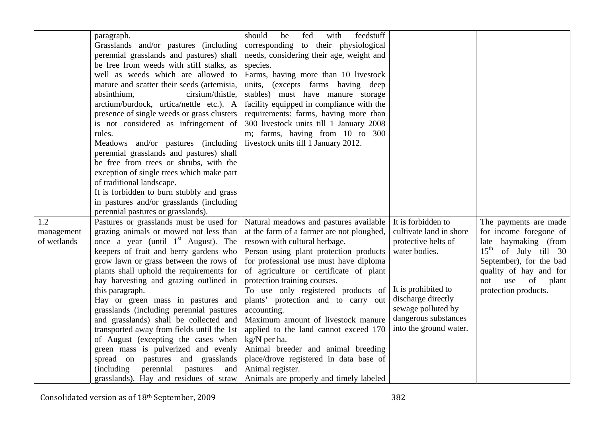|             | paragraph.                                 | should<br>feedstuff<br>be<br>fed<br>with  |                         |                           |
|-------------|--------------------------------------------|-------------------------------------------|-------------------------|---------------------------|
|             | Grasslands and/or pastures (including      | corresponding to their physiological      |                         |                           |
|             | perennial grasslands and pastures) shall   | needs, considering their age, weight and  |                         |                           |
|             | be free from weeds with stiff stalks, as   | species.                                  |                         |                           |
|             | well as weeds which are allowed to         | Farms, having more than 10 livestock      |                         |                           |
|             | mature and scatter their seeds (artemisia, | units, (excepts farms having deep         |                         |                           |
|             | absinthium,<br>cirsium/thistle,            | stables) must have manure storage         |                         |                           |
|             | arctium/burdock, urtica/nettle etc.). A    | facility equipped in compliance with the  |                         |                           |
|             | presence of single weeds or grass clusters | requirements: farms, having more than     |                         |                           |
|             | is not considered as infringement of       | 300 livestock units till 1 January 2008   |                         |                           |
|             | rules.                                     | m; farms, having from 10 to 300           |                         |                           |
|             | Meadows and/or pastures (including         | livestock units till 1 January 2012.      |                         |                           |
|             | perennial grasslands and pastures) shall   |                                           |                         |                           |
|             | be free from trees or shrubs, with the     |                                           |                         |                           |
|             | exception of single trees which make part  |                                           |                         |                           |
|             | of traditional landscape.                  |                                           |                         |                           |
|             | It is forbidden to burn stubbly and grass  |                                           |                         |                           |
|             | in pastures and/or grasslands (including   |                                           |                         |                           |
|             | perennial pastures or grasslands).         |                                           |                         |                           |
| 1.2         | Pastures or grasslands must be used for    | Natural meadows and pastures available    | It is forbidden to      | The payments are made     |
| management  | grazing animals or mowed not less than     | at the farm of a farmer are not ploughed, | cultivate land in shore | for income foregone of    |
| of wetlands | once a year (until $1st$ August). The      | resown with cultural herbage.             | protective belts of     | late haymaking (from      |
|             | keepers of fruit and berry gardens who     | Person using plant protection products    | water bodies.           | $15th$ of July till 30    |
|             | grow lawn or grass between the rows of     | for professional use must have diploma    |                         | September), for the bad   |
|             | plants shall uphold the requirements for   | of agriculture or certificate of plant    |                         | quality of hay and for    |
|             | hay harvesting and grazing outlined in     | protection training courses.              |                         | of<br>use<br>plant<br>not |
|             | this paragraph.                            | To use only registered products of        | It is prohibited to     | protection products.      |
|             | Hay or green mass in pastures and          | plants' protection and to carry out       | discharge directly      |                           |
|             | grasslands (including perennial pastures   | accounting.                               | sewage polluted by      |                           |
|             | and grasslands) shall be collected and     | Maximum amount of livestock manure        | dangerous substances    |                           |
|             | transported away from fields until the 1st | applied to the land cannot exceed 170     | into the ground water.  |                           |
|             | of August (excepting the cases when        | kg/N per ha.                              |                         |                           |
|             | green mass is pulverized and evenly        | Animal breeder and animal breeding        |                         |                           |
|             | spread on pastures and grasslands          | place/drove registered in data base of    |                         |                           |
|             | (including perennial pastures<br>and       | Animal register.                          |                         |                           |
|             | grasslands). Hay and residues of straw     | Animals are properly and timely labeled   |                         |                           |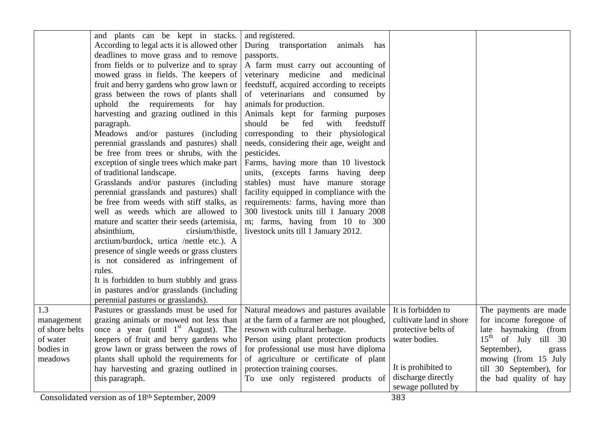| 1.3                                                              | and plants can be kept in stacks.<br>According to legal acts it is allowed other<br>deadlines to move grass and to remove<br>from fields or to pulverize and to spray<br>mowed grass in fields. The keepers of<br>fruit and berry gardens who grow lawn or<br>grass between the rows of plants shall<br>uphold the requirements for hay<br>harvesting and grazing outlined in this<br>paragraph.<br>Meadows and/or pastures (including<br>perennial grasslands and pastures) shall<br>be free from trees or shrubs, with the<br>exception of single trees which make part<br>of traditional landscape.<br>Grasslands and/or pastures (including<br>perennial grasslands and pastures) shall<br>be free from weeds with stiff stalks, as<br>well as weeds which are allowed to<br>mature and scatter their seeds (artemisia,<br>absinthium,<br>cirsium/thistle,<br>arctium/burdock, urtica /nettle etc.). A<br>presence of single weeds or grass clusters<br>is not considered as infringement of<br>rules.<br>It is forbidden to burn stubbly and grass<br>in pastures and/or grasslands (including<br>perennial pastures or grasslands).<br>Pastures or grasslands must be used for | and registered.<br>During transportation<br>animals<br>has<br>passports.<br>A farm must carry out accounting of<br>veterinary medicine and medicinal<br>feedstuff, acquired according to receipts<br>of veterinarians and consumed by<br>animals for production.<br>Animals kept for farming purposes<br>feedstuff<br>should<br>be<br>fed<br>with<br>corresponding to their physiological<br>needs, considering their age, weight and<br>pesticides.<br>Farms, having more than 10 livestock<br>units, (excepts farms having deep<br>stables) must have manure storage<br>facility equipped in compliance with the<br>requirements: farms, having more than<br>300 livestock units till 1 January 2008<br>m; farms, having from 10 to 300<br>livestock units till 1 January 2012.<br>Natural meadows and pastures available | It is forbidden to                                                                                                                 | The payments are made                                                                                                                                                                      |
|------------------------------------------------------------------|--------------------------------------------------------------------------------------------------------------------------------------------------------------------------------------------------------------------------------------------------------------------------------------------------------------------------------------------------------------------------------------------------------------------------------------------------------------------------------------------------------------------------------------------------------------------------------------------------------------------------------------------------------------------------------------------------------------------------------------------------------------------------------------------------------------------------------------------------------------------------------------------------------------------------------------------------------------------------------------------------------------------------------------------------------------------------------------------------------------------------------------------------------------------------------------|-----------------------------------------------------------------------------------------------------------------------------------------------------------------------------------------------------------------------------------------------------------------------------------------------------------------------------------------------------------------------------------------------------------------------------------------------------------------------------------------------------------------------------------------------------------------------------------------------------------------------------------------------------------------------------------------------------------------------------------------------------------------------------------------------------------------------------|------------------------------------------------------------------------------------------------------------------------------------|--------------------------------------------------------------------------------------------------------------------------------------------------------------------------------------------|
| management<br>of shore belts<br>of water<br>bodies in<br>meadows | grazing animals or mowed not less than<br>once a year (until $1st$ August). The<br>keepers of fruit and berry gardens who<br>grow lawn or grass between the rows of<br>plants shall uphold the requirements for<br>hay harvesting and grazing outlined in<br>this paragraph.                                                                                                                                                                                                                                                                                                                                                                                                                                                                                                                                                                                                                                                                                                                                                                                                                                                                                                         | at the farm of a farmer are not ploughed,<br>resown with cultural herbage.<br>Person using plant protection products<br>for professional use must have diploma<br>of agriculture or certificate of plant<br>protection training courses.<br>To use only registered products of                                                                                                                                                                                                                                                                                                                                                                                                                                                                                                                                              | cultivate land in shore<br>protective belts of<br>water bodies.<br>It is prohibited to<br>discharge directly<br>sewage polluted by | for income foregone of<br>late haymaking (from<br>$15^{\text{th}}$<br>of July till 30<br>September),<br>grass<br>mowing (from 15 July<br>till 30 September), for<br>the bad quality of hay |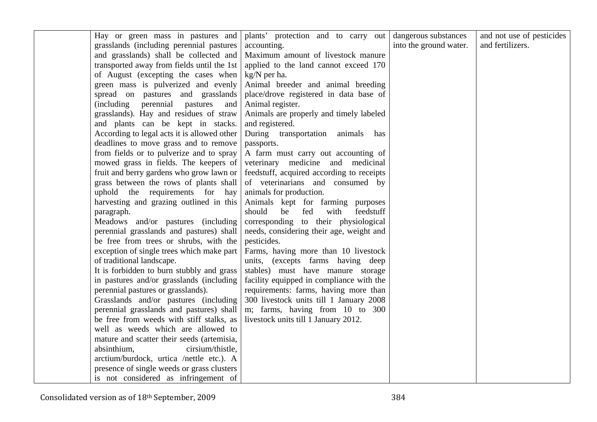| Hay or green mass in pastures and           | plants' protection and to carry out       | dangerous substances   | and not use of pesticides |
|---------------------------------------------|-------------------------------------------|------------------------|---------------------------|
| grasslands (including perennial pastures)   | accounting.                               | into the ground water. | and fertilizers.          |
| and grasslands) shall be collected and      | Maximum amount of livestock manure        |                        |                           |
| transported away from fields until the 1st  | applied to the land cannot exceed 170     |                        |                           |
| of August (excepting the cases when         | $kg/N$ per ha.                            |                        |                           |
| green mass is pulverized and evenly         | Animal breeder and animal breeding        |                        |                           |
| spread on pastures and grasslands           | place/drove registered in data base of    |                        |                           |
| (including perennial pastures<br>and        | Animal register.                          |                        |                           |
| grasslands). Hay and residues of straw      | Animals are properly and timely labeled   |                        |                           |
| and plants can be kept in stacks.           | and registered.                           |                        |                           |
| According to legal acts it is allowed other | During transportation animals has         |                        |                           |
| deadlines to move grass and to remove       | passports.                                |                        |                           |
| from fields or to pulverize and to spray    | A farm must carry out accounting of       |                        |                           |
| mowed grass in fields. The keepers of       | veterinary medicine and medicinal         |                        |                           |
| fruit and berry gardens who grow lawn or    | feedstuff, acquired according to receipts |                        |                           |
| grass between the rows of plants shall      | of veterinarians and consumed by          |                        |                           |
| uphold the requirements for hay             | animals for production.                   |                        |                           |
| harvesting and grazing outlined in this     | Animals kept for farming purposes         |                        |                           |
| paragraph.                                  | should<br>with<br>feedstuff<br>be<br>fed  |                        |                           |
| Meadows and/or pastures (including          | corresponding to their physiological      |                        |                           |
| perennial grasslands and pastures) shall    | needs, considering their age, weight and  |                        |                           |
| be free from trees or shrubs, with the      | pesticides.                               |                        |                           |
| exception of single trees which make part   | Farms, having more than 10 livestock      |                        |                           |
| of traditional landscape.                   | units, (excepts farms having deep         |                        |                           |
| It is forbidden to burn stubbly and grass   | stables) must have manure storage         |                        |                           |
| in pastures and/or grasslands (including    | facility equipped in compliance with the  |                        |                           |
| perennial pastures or grasslands).          | requirements: farms, having more than     |                        |                           |
| Grasslands and/or pastures (including       | 300 livestock units till 1 January 2008   |                        |                           |
| perennial grasslands and pastures) shall    | m; farms, having from 10 to 300           |                        |                           |
| be free from weeds with stiff stalks, as    | livestock units till 1 January 2012.      |                        |                           |
| well as weeds which are allowed to          |                                           |                        |                           |
| mature and scatter their seeds (artemisia,  |                                           |                        |                           |
| absinthium,<br>cirsium/thistle,             |                                           |                        |                           |
| arctium/burdock, urtica /nettle etc.). A    |                                           |                        |                           |
| presence of single weeds or grass clusters  |                                           |                        |                           |
| is not considered as infringement of        |                                           |                        |                           |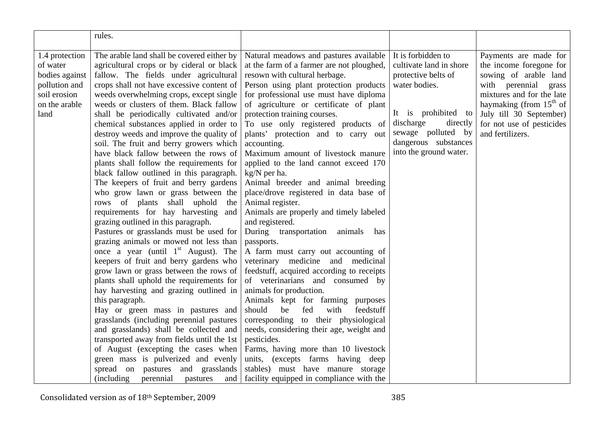|                | rules.                                             |                                           |                         |                           |
|----------------|----------------------------------------------------|-------------------------------------------|-------------------------|---------------------------|
|                |                                                    |                                           |                         |                           |
| 1.4 protection | The arable land shall be covered either by         | Natural meadows and pastures available    | It is forbidden to      | Payments are made for     |
| of water       | agricultural crops or by cideral or black          | at the farm of a farmer are not ploughed, | cultivate land in shore | the income foregone for   |
| bodies against | fallow. The fields under agricultural              | resown with cultural herbage.             | protective belts of     | sowing of arable land     |
| pollution and  | crops shall not have excessive content of          | Person using plant protection products    | water bodies.           | with perennial<br>grass   |
| soil erosion   | weeds overwhelming crops, except single            | for professional use must have diploma    |                         | mixtures and for the late |
| on the arable  | weeds or clusters of them. Black fallow            | of agriculture or certificate of plant    |                         | haymaking (from $15th$ of |
| land           | shall be periodically cultivated and/or            | protection training courses.              | It is prohibited to     | July till 30 September)   |
|                | chemical substances applied in order to            | To use only registered products of        | discharge<br>directly   | for not use of pesticides |
|                | destroy weeds and improve the quality of           | plants' protection and to carry out       | sewage polluted by      | and fertilizers.          |
|                | soil. The fruit and berry growers which            | accounting.                               | dangerous substances    |                           |
|                | have black fallow between the rows of              | Maximum amount of livestock manure        | into the ground water.  |                           |
|                | plants shall follow the requirements for           | applied to the land cannot exceed 170     |                         |                           |
|                | black fallow outlined in this paragraph.           | kg/N per ha.                              |                         |                           |
|                | The keepers of fruit and berry gardens             | Animal breeder and animal breeding        |                         |                           |
|                | who grow lawn or grass between the                 | place/drove registered in data base of    |                         |                           |
|                | rows of plants shall uphold<br>the                 | Animal register.                          |                         |                           |
|                | requirements for hay harvesting<br>and             | Animals are properly and timely labeled   |                         |                           |
|                | grazing outlined in this paragraph.                | and registered.                           |                         |                           |
|                | Pastures or grasslands must be used for            | During transportation<br>animals<br>has   |                         |                           |
|                | grazing animals or mowed not less than             | passports.                                |                         |                           |
|                | once a year (until $1st$ August). The              | A farm must carry out accounting of       |                         |                           |
|                | keepers of fruit and berry gardens who             | veterinary medicine and medicinal         |                         |                           |
|                | grow lawn or grass between the rows of             | feedstuff, acquired according to receipts |                         |                           |
|                | plants shall uphold the requirements for           | of veterinarians and consumed by          |                         |                           |
|                | hay harvesting and grazing outlined in             | animals for production.                   |                         |                           |
|                | this paragraph.                                    | Animals kept for farming purposes         |                         |                           |
|                | Hay or green mass in pastures and                  | should<br>be<br>fed<br>with<br>feedstuff  |                         |                           |
|                | grasslands (including perennial pastures           | corresponding to their physiological      |                         |                           |
|                | and grasslands) shall be collected and             | needs, considering their age, weight and  |                         |                           |
|                | transported away from fields until the 1st         | pesticides.                               |                         |                           |
|                | of August (excepting the cases when                | Farms, having more than 10 livestock      |                         |                           |
|                | green mass is pulverized and evenly                | units, (excepts farms having deep         |                         |                           |
|                | spread on pastures and grasslands                  | stables) must have manure storage         |                         |                           |
|                | <i>(including)</i><br>perennial<br>pastures<br>and | facility equipped in compliance with the  |                         |                           |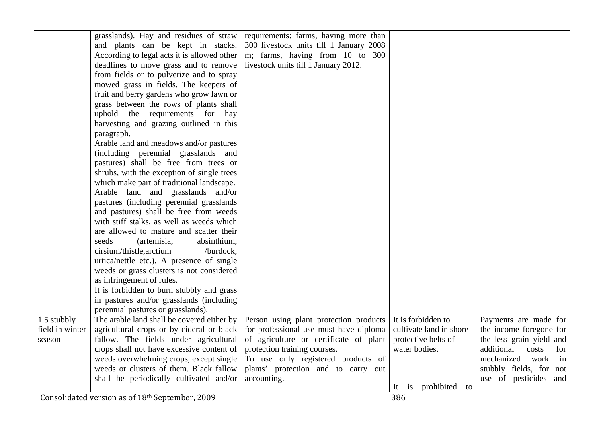|                 | grasslands). Hay and residues of straw      | requirements: farms, having more than   |                              |                            |
|-----------------|---------------------------------------------|-----------------------------------------|------------------------------|----------------------------|
|                 | and plants can be kept in stacks.           | 300 livestock units till 1 January 2008 |                              |                            |
|                 | According to legal acts it is allowed other | m; farms, having from 10 to 300         |                              |                            |
|                 | deadlines to move grass and to remove       | livestock units till 1 January 2012.    |                              |                            |
|                 | from fields or to pulverize and to spray    |                                         |                              |                            |
|                 | mowed grass in fields. The keepers of       |                                         |                              |                            |
|                 | fruit and berry gardens who grow lawn or    |                                         |                              |                            |
|                 | grass between the rows of plants shall      |                                         |                              |                            |
|                 | uphold the requirements for<br>hay          |                                         |                              |                            |
|                 | harvesting and grazing outlined in this     |                                         |                              |                            |
|                 | paragraph.                                  |                                         |                              |                            |
|                 | Arable land and meadows and/or pastures     |                                         |                              |                            |
|                 | (including perennial grasslands and         |                                         |                              |                            |
|                 | pastures) shall be free from trees or       |                                         |                              |                            |
|                 | shrubs, with the exception of single trees  |                                         |                              |                            |
|                 | which make part of traditional landscape.   |                                         |                              |                            |
|                 | Arable land and grasslands and/or           |                                         |                              |                            |
|                 | pastures (including perennial grasslands    |                                         |                              |                            |
|                 | and pastures) shall be free from weeds      |                                         |                              |                            |
|                 | with stiff stalks, as well as weeds which   |                                         |                              |                            |
|                 | are allowed to mature and scatter their     |                                         |                              |                            |
|                 | seeds<br>(artemisia,<br>absinthium,         |                                         |                              |                            |
|                 | cirsium/thistle, arctium<br>/burdock,       |                                         |                              |                            |
|                 | urtica/nettle etc.). A presence of single   |                                         |                              |                            |
|                 | weeds or grass clusters is not considered   |                                         |                              |                            |
|                 | as infringement of rules.                   |                                         |                              |                            |
|                 | It is forbidden to burn stubbly and grass   |                                         |                              |                            |
|                 | in pastures and/or grasslands (including    |                                         |                              |                            |
|                 | perennial pastures or grasslands).          |                                         |                              |                            |
| 1.5 stubbly     | The arable land shall be covered either by  | Person using plant protection products  | It is forbidden to           | Payments are made for      |
| field in winter | agricultural crops or by cideral or black   | for professional use must have diploma  | cultivate land in shore      | the income foregone for    |
| season          | fallow. The fields under agricultural       | of agriculture or certificate of plant  | protective belts of          | the less grain yield and   |
|                 | crops shall not have excessive content of   | protection training courses.            | water bodies.                | additional<br>costs<br>for |
|                 | weeds overwhelming crops, except single     | To use only registered products of      |                              | mechanized<br>work<br>in   |
|                 | weeds or clusters of them. Black fallow     | plants' protection and to carry out     |                              | stubbly fields, for<br>not |
|                 | shall be periodically cultivated and/or     | accounting.                             |                              | use of pesticides<br>and   |
|                 |                                             |                                         | prohibited<br>It<br>1S<br>to |                            |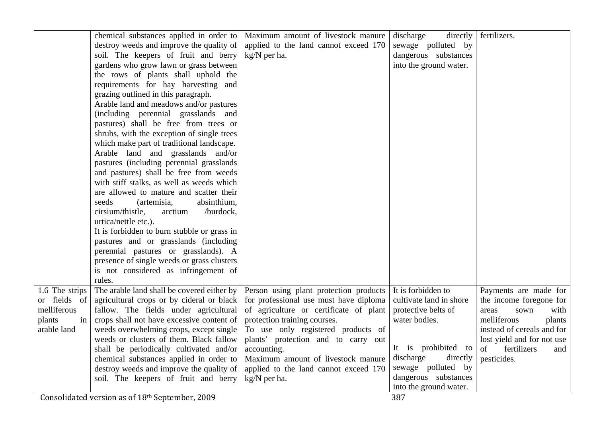| soil. The keepers of fruit and berry<br>kg/N per ha.<br>dangerous substances<br>gardens who grow lawn or grass between<br>into the ground water.<br>the rows of plants shall uphold the<br>requirements for hay harvesting and<br>grazing outlined in this paragraph.<br>Arable land and meadows and/or pastures<br>(including perennial grasslands and<br>pastures) shall be free from trees or<br>shrubs, with the exception of single trees<br>which make part of traditional landscape.<br>Arable land and grasslands and/or<br>pastures (including perennial grasslands)<br>and pastures) shall be free from weeds<br>with stiff stalks, as well as weeds which<br>are allowed to mature and scatter their<br>absinthium,<br>seeds<br>(artemisia,<br>cirsium/thistle,<br>arctium<br>/burdock,<br>urtica/nettle etc.).<br>It is forbidden to burn stubble or grass in<br>pastures and or grasslands (including<br>perennial pastures or grasslands). A<br>presence of single weeds or grass clusters<br>is not considered as infringement of<br>rules.<br>The arable land shall be covered either by<br>It is forbidden to<br>Payments are made for<br>1.6 The strips<br>Person using plant protection products<br>agricultural crops or by cideral or black<br>for professional use must have diploma<br>cultivate land in shore<br>the income foregone for<br>or fields of<br>melliferous<br>fallow. The fields under agricultural<br>of agriculture or certificate of plant<br>protective belts of<br>areas<br>sown<br>with<br>crops shall not have excessive content of<br>protection training courses.<br>in<br>water bodies.<br>melliferous<br>plants<br>plants<br>weeds overwhelming crops, except single<br>To use only registered products of<br>arable land<br>instead of cereals and for<br>plants' protection and to carry out<br>weeds or clusters of them. Black fallow<br>lost yield and for not use<br>It is prohibited to<br>of<br>fertilizers<br>shall be periodically cultivated and/or<br>accounting.<br>and<br>discharge<br>directly<br>chemical substances applied in order to<br>Maximum amount of livestock manure<br>pesticides.<br>sewage polluted by<br>destroy weeds and improve the quality of<br>applied to the land cannot exceed 170<br>dangerous substances<br>soil. The keepers of fruit and berry<br>kg/N per ha.<br>into the ground water. | chemical substances applied in order to<br>destroy weeds and improve the quality of | Maximum amount of livestock manure<br>applied to the land cannot exceed 170 | directly<br>discharge<br>sewage polluted by | fertilizers. |
|------------------------------------------------------------------------------------------------------------------------------------------------------------------------------------------------------------------------------------------------------------------------------------------------------------------------------------------------------------------------------------------------------------------------------------------------------------------------------------------------------------------------------------------------------------------------------------------------------------------------------------------------------------------------------------------------------------------------------------------------------------------------------------------------------------------------------------------------------------------------------------------------------------------------------------------------------------------------------------------------------------------------------------------------------------------------------------------------------------------------------------------------------------------------------------------------------------------------------------------------------------------------------------------------------------------------------------------------------------------------------------------------------------------------------------------------------------------------------------------------------------------------------------------------------------------------------------------------------------------------------------------------------------------------------------------------------------------------------------------------------------------------------------------------------------------------------------------------------------------------------------------------------------------------------------------------------------------------------------------------------------------------------------------------------------------------------------------------------------------------------------------------------------------------------------------------------------------------------------------------------------------------------------------------------------------------------------------------------------------------------------|-------------------------------------------------------------------------------------|-----------------------------------------------------------------------------|---------------------------------------------|--------------|
|                                                                                                                                                                                                                                                                                                                                                                                                                                                                                                                                                                                                                                                                                                                                                                                                                                                                                                                                                                                                                                                                                                                                                                                                                                                                                                                                                                                                                                                                                                                                                                                                                                                                                                                                                                                                                                                                                                                                                                                                                                                                                                                                                                                                                                                                                                                                                                                    |                                                                                     |                                                                             |                                             |              |
|                                                                                                                                                                                                                                                                                                                                                                                                                                                                                                                                                                                                                                                                                                                                                                                                                                                                                                                                                                                                                                                                                                                                                                                                                                                                                                                                                                                                                                                                                                                                                                                                                                                                                                                                                                                                                                                                                                                                                                                                                                                                                                                                                                                                                                                                                                                                                                                    |                                                                                     |                                                                             |                                             |              |
|                                                                                                                                                                                                                                                                                                                                                                                                                                                                                                                                                                                                                                                                                                                                                                                                                                                                                                                                                                                                                                                                                                                                                                                                                                                                                                                                                                                                                                                                                                                                                                                                                                                                                                                                                                                                                                                                                                                                                                                                                                                                                                                                                                                                                                                                                                                                                                                    |                                                                                     |                                                                             |                                             |              |
|                                                                                                                                                                                                                                                                                                                                                                                                                                                                                                                                                                                                                                                                                                                                                                                                                                                                                                                                                                                                                                                                                                                                                                                                                                                                                                                                                                                                                                                                                                                                                                                                                                                                                                                                                                                                                                                                                                                                                                                                                                                                                                                                                                                                                                                                                                                                                                                    |                                                                                     |                                                                             |                                             |              |
|                                                                                                                                                                                                                                                                                                                                                                                                                                                                                                                                                                                                                                                                                                                                                                                                                                                                                                                                                                                                                                                                                                                                                                                                                                                                                                                                                                                                                                                                                                                                                                                                                                                                                                                                                                                                                                                                                                                                                                                                                                                                                                                                                                                                                                                                                                                                                                                    |                                                                                     |                                                                             |                                             |              |
|                                                                                                                                                                                                                                                                                                                                                                                                                                                                                                                                                                                                                                                                                                                                                                                                                                                                                                                                                                                                                                                                                                                                                                                                                                                                                                                                                                                                                                                                                                                                                                                                                                                                                                                                                                                                                                                                                                                                                                                                                                                                                                                                                                                                                                                                                                                                                                                    |                                                                                     |                                                                             |                                             |              |
|                                                                                                                                                                                                                                                                                                                                                                                                                                                                                                                                                                                                                                                                                                                                                                                                                                                                                                                                                                                                                                                                                                                                                                                                                                                                                                                                                                                                                                                                                                                                                                                                                                                                                                                                                                                                                                                                                                                                                                                                                                                                                                                                                                                                                                                                                                                                                                                    |                                                                                     |                                                                             |                                             |              |
|                                                                                                                                                                                                                                                                                                                                                                                                                                                                                                                                                                                                                                                                                                                                                                                                                                                                                                                                                                                                                                                                                                                                                                                                                                                                                                                                                                                                                                                                                                                                                                                                                                                                                                                                                                                                                                                                                                                                                                                                                                                                                                                                                                                                                                                                                                                                                                                    |                                                                                     |                                                                             |                                             |              |
|                                                                                                                                                                                                                                                                                                                                                                                                                                                                                                                                                                                                                                                                                                                                                                                                                                                                                                                                                                                                                                                                                                                                                                                                                                                                                                                                                                                                                                                                                                                                                                                                                                                                                                                                                                                                                                                                                                                                                                                                                                                                                                                                                                                                                                                                                                                                                                                    |                                                                                     |                                                                             |                                             |              |
|                                                                                                                                                                                                                                                                                                                                                                                                                                                                                                                                                                                                                                                                                                                                                                                                                                                                                                                                                                                                                                                                                                                                                                                                                                                                                                                                                                                                                                                                                                                                                                                                                                                                                                                                                                                                                                                                                                                                                                                                                                                                                                                                                                                                                                                                                                                                                                                    |                                                                                     |                                                                             |                                             |              |
|                                                                                                                                                                                                                                                                                                                                                                                                                                                                                                                                                                                                                                                                                                                                                                                                                                                                                                                                                                                                                                                                                                                                                                                                                                                                                                                                                                                                                                                                                                                                                                                                                                                                                                                                                                                                                                                                                                                                                                                                                                                                                                                                                                                                                                                                                                                                                                                    |                                                                                     |                                                                             |                                             |              |
|                                                                                                                                                                                                                                                                                                                                                                                                                                                                                                                                                                                                                                                                                                                                                                                                                                                                                                                                                                                                                                                                                                                                                                                                                                                                                                                                                                                                                                                                                                                                                                                                                                                                                                                                                                                                                                                                                                                                                                                                                                                                                                                                                                                                                                                                                                                                                                                    |                                                                                     |                                                                             |                                             |              |
|                                                                                                                                                                                                                                                                                                                                                                                                                                                                                                                                                                                                                                                                                                                                                                                                                                                                                                                                                                                                                                                                                                                                                                                                                                                                                                                                                                                                                                                                                                                                                                                                                                                                                                                                                                                                                                                                                                                                                                                                                                                                                                                                                                                                                                                                                                                                                                                    |                                                                                     |                                                                             |                                             |              |
|                                                                                                                                                                                                                                                                                                                                                                                                                                                                                                                                                                                                                                                                                                                                                                                                                                                                                                                                                                                                                                                                                                                                                                                                                                                                                                                                                                                                                                                                                                                                                                                                                                                                                                                                                                                                                                                                                                                                                                                                                                                                                                                                                                                                                                                                                                                                                                                    |                                                                                     |                                                                             |                                             |              |
|                                                                                                                                                                                                                                                                                                                                                                                                                                                                                                                                                                                                                                                                                                                                                                                                                                                                                                                                                                                                                                                                                                                                                                                                                                                                                                                                                                                                                                                                                                                                                                                                                                                                                                                                                                                                                                                                                                                                                                                                                                                                                                                                                                                                                                                                                                                                                                                    |                                                                                     |                                                                             |                                             |              |
|                                                                                                                                                                                                                                                                                                                                                                                                                                                                                                                                                                                                                                                                                                                                                                                                                                                                                                                                                                                                                                                                                                                                                                                                                                                                                                                                                                                                                                                                                                                                                                                                                                                                                                                                                                                                                                                                                                                                                                                                                                                                                                                                                                                                                                                                                                                                                                                    |                                                                                     |                                                                             |                                             |              |
|                                                                                                                                                                                                                                                                                                                                                                                                                                                                                                                                                                                                                                                                                                                                                                                                                                                                                                                                                                                                                                                                                                                                                                                                                                                                                                                                                                                                                                                                                                                                                                                                                                                                                                                                                                                                                                                                                                                                                                                                                                                                                                                                                                                                                                                                                                                                                                                    |                                                                                     |                                                                             |                                             |              |
|                                                                                                                                                                                                                                                                                                                                                                                                                                                                                                                                                                                                                                                                                                                                                                                                                                                                                                                                                                                                                                                                                                                                                                                                                                                                                                                                                                                                                                                                                                                                                                                                                                                                                                                                                                                                                                                                                                                                                                                                                                                                                                                                                                                                                                                                                                                                                                                    |                                                                                     |                                                                             |                                             |              |
|                                                                                                                                                                                                                                                                                                                                                                                                                                                                                                                                                                                                                                                                                                                                                                                                                                                                                                                                                                                                                                                                                                                                                                                                                                                                                                                                                                                                                                                                                                                                                                                                                                                                                                                                                                                                                                                                                                                                                                                                                                                                                                                                                                                                                                                                                                                                                                                    |                                                                                     |                                                                             |                                             |              |
|                                                                                                                                                                                                                                                                                                                                                                                                                                                                                                                                                                                                                                                                                                                                                                                                                                                                                                                                                                                                                                                                                                                                                                                                                                                                                                                                                                                                                                                                                                                                                                                                                                                                                                                                                                                                                                                                                                                                                                                                                                                                                                                                                                                                                                                                                                                                                                                    |                                                                                     |                                                                             |                                             |              |
|                                                                                                                                                                                                                                                                                                                                                                                                                                                                                                                                                                                                                                                                                                                                                                                                                                                                                                                                                                                                                                                                                                                                                                                                                                                                                                                                                                                                                                                                                                                                                                                                                                                                                                                                                                                                                                                                                                                                                                                                                                                                                                                                                                                                                                                                                                                                                                                    |                                                                                     |                                                                             |                                             |              |
|                                                                                                                                                                                                                                                                                                                                                                                                                                                                                                                                                                                                                                                                                                                                                                                                                                                                                                                                                                                                                                                                                                                                                                                                                                                                                                                                                                                                                                                                                                                                                                                                                                                                                                                                                                                                                                                                                                                                                                                                                                                                                                                                                                                                                                                                                                                                                                                    |                                                                                     |                                                                             |                                             |              |
|                                                                                                                                                                                                                                                                                                                                                                                                                                                                                                                                                                                                                                                                                                                                                                                                                                                                                                                                                                                                                                                                                                                                                                                                                                                                                                                                                                                                                                                                                                                                                                                                                                                                                                                                                                                                                                                                                                                                                                                                                                                                                                                                                                                                                                                                                                                                                                                    |                                                                                     |                                                                             |                                             |              |
|                                                                                                                                                                                                                                                                                                                                                                                                                                                                                                                                                                                                                                                                                                                                                                                                                                                                                                                                                                                                                                                                                                                                                                                                                                                                                                                                                                                                                                                                                                                                                                                                                                                                                                                                                                                                                                                                                                                                                                                                                                                                                                                                                                                                                                                                                                                                                                                    |                                                                                     |                                                                             |                                             |              |
|                                                                                                                                                                                                                                                                                                                                                                                                                                                                                                                                                                                                                                                                                                                                                                                                                                                                                                                                                                                                                                                                                                                                                                                                                                                                                                                                                                                                                                                                                                                                                                                                                                                                                                                                                                                                                                                                                                                                                                                                                                                                                                                                                                                                                                                                                                                                                                                    |                                                                                     |                                                                             |                                             |              |
|                                                                                                                                                                                                                                                                                                                                                                                                                                                                                                                                                                                                                                                                                                                                                                                                                                                                                                                                                                                                                                                                                                                                                                                                                                                                                                                                                                                                                                                                                                                                                                                                                                                                                                                                                                                                                                                                                                                                                                                                                                                                                                                                                                                                                                                                                                                                                                                    |                                                                                     |                                                                             |                                             |              |
|                                                                                                                                                                                                                                                                                                                                                                                                                                                                                                                                                                                                                                                                                                                                                                                                                                                                                                                                                                                                                                                                                                                                                                                                                                                                                                                                                                                                                                                                                                                                                                                                                                                                                                                                                                                                                                                                                                                                                                                                                                                                                                                                                                                                                                                                                                                                                                                    |                                                                                     |                                                                             |                                             |              |
|                                                                                                                                                                                                                                                                                                                                                                                                                                                                                                                                                                                                                                                                                                                                                                                                                                                                                                                                                                                                                                                                                                                                                                                                                                                                                                                                                                                                                                                                                                                                                                                                                                                                                                                                                                                                                                                                                                                                                                                                                                                                                                                                                                                                                                                                                                                                                                                    |                                                                                     |                                                                             |                                             |              |
|                                                                                                                                                                                                                                                                                                                                                                                                                                                                                                                                                                                                                                                                                                                                                                                                                                                                                                                                                                                                                                                                                                                                                                                                                                                                                                                                                                                                                                                                                                                                                                                                                                                                                                                                                                                                                                                                                                                                                                                                                                                                                                                                                                                                                                                                                                                                                                                    |                                                                                     |                                                                             |                                             |              |
|                                                                                                                                                                                                                                                                                                                                                                                                                                                                                                                                                                                                                                                                                                                                                                                                                                                                                                                                                                                                                                                                                                                                                                                                                                                                                                                                                                                                                                                                                                                                                                                                                                                                                                                                                                                                                                                                                                                                                                                                                                                                                                                                                                                                                                                                                                                                                                                    |                                                                                     |                                                                             |                                             |              |
|                                                                                                                                                                                                                                                                                                                                                                                                                                                                                                                                                                                                                                                                                                                                                                                                                                                                                                                                                                                                                                                                                                                                                                                                                                                                                                                                                                                                                                                                                                                                                                                                                                                                                                                                                                                                                                                                                                                                                                                                                                                                                                                                                                                                                                                                                                                                                                                    |                                                                                     |                                                                             |                                             |              |
|                                                                                                                                                                                                                                                                                                                                                                                                                                                                                                                                                                                                                                                                                                                                                                                                                                                                                                                                                                                                                                                                                                                                                                                                                                                                                                                                                                                                                                                                                                                                                                                                                                                                                                                                                                                                                                                                                                                                                                                                                                                                                                                                                                                                                                                                                                                                                                                    |                                                                                     |                                                                             |                                             |              |
|                                                                                                                                                                                                                                                                                                                                                                                                                                                                                                                                                                                                                                                                                                                                                                                                                                                                                                                                                                                                                                                                                                                                                                                                                                                                                                                                                                                                                                                                                                                                                                                                                                                                                                                                                                                                                                                                                                                                                                                                                                                                                                                                                                                                                                                                                                                                                                                    |                                                                                     |                                                                             |                                             |              |
|                                                                                                                                                                                                                                                                                                                                                                                                                                                                                                                                                                                                                                                                                                                                                                                                                                                                                                                                                                                                                                                                                                                                                                                                                                                                                                                                                                                                                                                                                                                                                                                                                                                                                                                                                                                                                                                                                                                                                                                                                                                                                                                                                                                                                                                                                                                                                                                    |                                                                                     |                                                                             |                                             |              |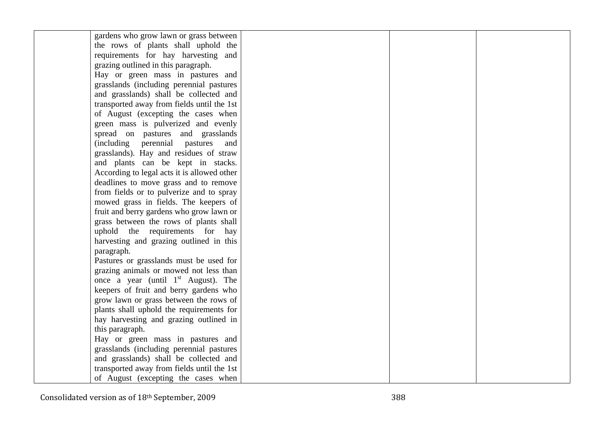| gardens who grow lawn or grass between      |  |  |
|---------------------------------------------|--|--|
| the rows of plants shall uphold the         |  |  |
| requirements for hay harvesting and         |  |  |
| grazing outlined in this paragraph.         |  |  |
| Hay or green mass in pastures and           |  |  |
| grasslands (including perennial pastures    |  |  |
| and grasslands) shall be collected and      |  |  |
| transported away from fields until the 1st  |  |  |
| of August (excepting the cases when         |  |  |
| green mass is pulverized and evenly         |  |  |
| spread on pastures and grasslands           |  |  |
| (including perennial pastures<br>and        |  |  |
| grasslands). Hay and residues of straw      |  |  |
| and plants can be kept in stacks.           |  |  |
| According to legal acts it is allowed other |  |  |
| deadlines to move grass and to remove       |  |  |
| from fields or to pulverize and to spray    |  |  |
| mowed grass in fields. The keepers of       |  |  |
| fruit and berry gardens who grow lawn or    |  |  |
| grass between the rows of plants shall      |  |  |
| uphold the requirements for hay             |  |  |
| harvesting and grazing outlined in this     |  |  |
| paragraph.                                  |  |  |
| Pastures or grasslands must be used for     |  |  |
| grazing animals or mowed not less than      |  |  |
| once a year (until $1st$ August). The       |  |  |
| keepers of fruit and berry gardens who      |  |  |
| grow lawn or grass between the rows of      |  |  |
| plants shall uphold the requirements for    |  |  |
| hay harvesting and grazing outlined in      |  |  |
| this paragraph.                             |  |  |
| Hay or green mass in pastures and           |  |  |
| grasslands (including perennial pastures    |  |  |
| and grasslands) shall be collected and      |  |  |
| transported away from fields until the 1st  |  |  |
| of August (excepting the cases when         |  |  |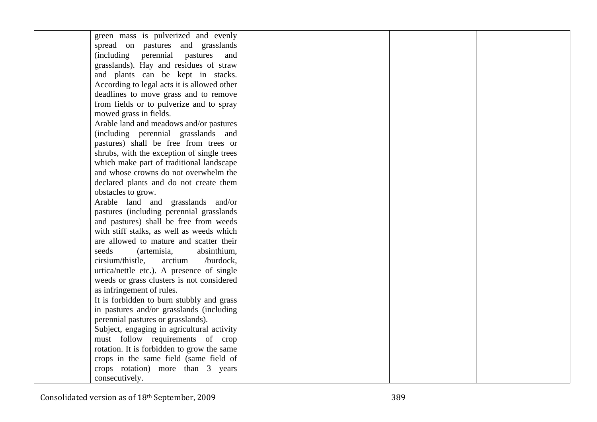| green mass is pulverized and evenly             |  |  |
|-------------------------------------------------|--|--|
| spread on pastures and grasslands               |  |  |
| <i>(including)</i><br>perennial pastures<br>and |  |  |
| grasslands). Hay and residues of straw          |  |  |
| and plants can be kept in stacks.               |  |  |
| According to legal acts it is allowed other     |  |  |
| deadlines to move grass and to remove           |  |  |
| from fields or to pulverize and to spray        |  |  |
| mowed grass in fields.                          |  |  |
| Arable land and meadows and/or pastures         |  |  |
| (including perennial grasslands and             |  |  |
| pastures) shall be free from trees or           |  |  |
| shrubs, with the exception of single trees      |  |  |
| which make part of traditional landscape        |  |  |
| and whose crowns do not overwhelm the           |  |  |
| declared plants and do not create them          |  |  |
| obstacles to grow.                              |  |  |
| Arable land and grasslands and/or               |  |  |
| pastures (including perennial grasslands        |  |  |
| and pastures) shall be free from weeds          |  |  |
| with stiff stalks, as well as weeds which       |  |  |
| are allowed to mature and scatter their         |  |  |
| seeds<br>absinthium,<br>(artemisia,             |  |  |
| cirsium/thistle,<br>arctium<br>/burdock,        |  |  |
| urtica/nettle etc.). A presence of single       |  |  |
| weeds or grass clusters is not considered       |  |  |
| as infringement of rules.                       |  |  |
| It is forbidden to burn stubbly and grass       |  |  |
| in pastures and/or grasslands (including        |  |  |
| perennial pastures or grasslands).              |  |  |
| Subject, engaging in agricultural activity      |  |  |
| must follow requirements of crop                |  |  |
| rotation. It is forbidden to grow the same      |  |  |
| crops in the same field (same field of          |  |  |
| crops rotation) more than 3 years               |  |  |
| consecutively.                                  |  |  |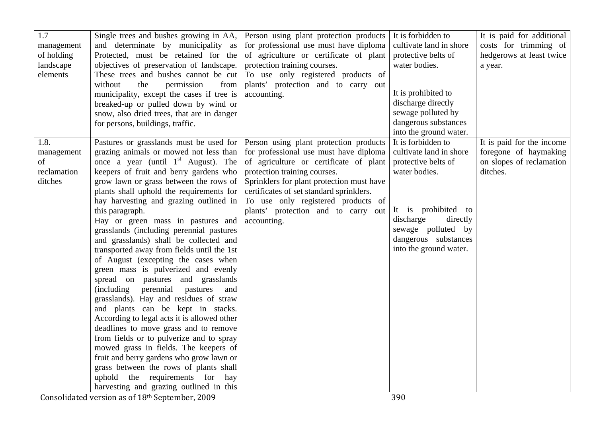| 1.7<br>management<br>of holding<br>landscape<br>elements | Single trees and bushes growing in AA,<br>and determinate by municipality as<br>Protected, must be retained for the<br>objectives of preservation of landscape.<br>These trees and bushes cannot be cut<br>without<br>permission<br>from<br>the<br>municipality, except the cases if tree is<br>breaked-up or pulled down by wind or<br>snow, also dried trees, that are in danger<br>for persons, buildings, traffic.                                                                                                                                                                                                                                                                                                                                                                                                                                                                                                                                                                                                                                                                                                                    | Person using plant protection products<br>for professional use must have diploma<br>of agriculture or certificate of plant<br>protection training courses.<br>To use only registered products of<br>plants' protection and to carry out<br>accounting.                                                | It is forbidden to<br>cultivate land in shore<br>protective belts of<br>water bodies.<br>It is prohibited to<br>discharge directly<br>sewage polluted by<br>dangerous substances<br>into the ground water.    | It is paid for additional<br>costs for trimming of<br>hedgerows at least twice<br>a year.  |
|----------------------------------------------------------|-------------------------------------------------------------------------------------------------------------------------------------------------------------------------------------------------------------------------------------------------------------------------------------------------------------------------------------------------------------------------------------------------------------------------------------------------------------------------------------------------------------------------------------------------------------------------------------------------------------------------------------------------------------------------------------------------------------------------------------------------------------------------------------------------------------------------------------------------------------------------------------------------------------------------------------------------------------------------------------------------------------------------------------------------------------------------------------------------------------------------------------------|-------------------------------------------------------------------------------------------------------------------------------------------------------------------------------------------------------------------------------------------------------------------------------------------------------|---------------------------------------------------------------------------------------------------------------------------------------------------------------------------------------------------------------|--------------------------------------------------------------------------------------------|
| 1.8.<br>management<br>of<br>reclamation<br>ditches       | Pastures or grasslands must be used for Person using plant protection products<br>grazing animals or mowed not less than<br>once a year (until $1st$ August). The<br>keepers of fruit and berry gardens who<br>grow lawn or grass between the rows of<br>plants shall uphold the requirements for<br>hay harvesting and grazing outlined in<br>this paragraph.<br>Hay or green mass in pastures and<br>grasslands (including perennial pastures<br>and grasslands) shall be collected and<br>transported away from fields until the 1st<br>of August (excepting the cases when<br>green mass is pulverized and evenly<br>spread on pastures and grasslands<br>perennial<br>(including)<br>pastures<br>and<br>grasslands). Hay and residues of straw<br>and plants can be kept in stacks.<br>According to legal acts it is allowed other<br>deadlines to move grass and to remove<br>from fields or to pulverize and to spray<br>mowed grass in fields. The keepers of<br>fruit and berry gardens who grow lawn or<br>grass between the rows of plants shall<br>uphold the requirements for hay<br>harvesting and grazing outlined in this | for professional use must have diploma<br>of agriculture or certificate of plant<br>protection training courses.<br>Sprinklers for plant protection must have<br>certificates of set standard sprinklers.<br>To use only registered products of<br>plants' protection and to carry out<br>accounting. | It is forbidden to<br>cultivate land in shore<br>protective belts of<br>water bodies.<br>It is prohibited to<br>discharge<br>directly<br>sewage polluted by<br>dangerous substances<br>into the ground water. | It is paid for the income<br>foregone of haymaking<br>on slopes of reclamation<br>ditches. |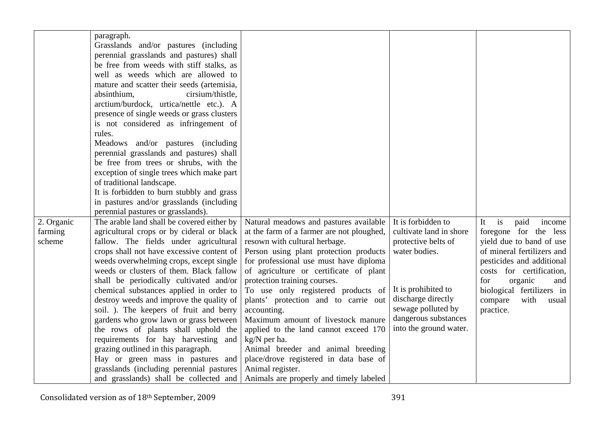|            | paragraph.                                 |                                           |                         |                            |
|------------|--------------------------------------------|-------------------------------------------|-------------------------|----------------------------|
|            | Grasslands and/or pastures (including      |                                           |                         |                            |
|            | perennial grasslands and pastures) shall   |                                           |                         |                            |
|            | be free from weeds with stiff stalks, as   |                                           |                         |                            |
|            | well as weeds which are allowed to         |                                           |                         |                            |
|            | mature and scatter their seeds (artemisia, |                                           |                         |                            |
|            | absinthium,<br>cirsium/thistle,            |                                           |                         |                            |
|            | arctium/burdock, urtica/nettle etc.). A    |                                           |                         |                            |
|            | presence of single weeds or grass clusters |                                           |                         |                            |
|            | is not considered as infringement of       |                                           |                         |                            |
|            | rules.                                     |                                           |                         |                            |
|            | Meadows and/or pastures (including         |                                           |                         |                            |
|            | perennial grasslands and pastures) shall   |                                           |                         |                            |
|            | be free from trees or shrubs, with the     |                                           |                         |                            |
|            | exception of single trees which make part  |                                           |                         |                            |
|            | of traditional landscape.                  |                                           |                         |                            |
|            | It is forbidden to burn stubbly and grass  |                                           |                         |                            |
|            | in pastures and/or grasslands (including   |                                           |                         |                            |
|            | perennial pastures or grasslands).         |                                           |                         |                            |
| 2. Organic | The arable land shall be covered either by | Natural meadows and pastures available    | It is forbidden to      | paid<br>is<br>It<br>income |
| farming    | agricultural crops or by cideral or black  | at the farm of a farmer are not ploughed, | cultivate land in shore | foregone for the less      |
| scheme     | fallow. The fields under agricultural      | resown with cultural herbage.             | protective belts of     | yield due to band of use   |
|            | crops shall not have excessive content of  | Person using plant protection products    | water bodies.           | of mineral fertilizers and |
|            | weeds overwhelming crops, except single    | for professional use must have diploma    |                         | pesticides and additional  |
|            | weeds or clusters of them. Black fallow    | of agriculture or certificate of plant    |                         | costs for certification,   |
|            | shall be periodically cultivated and/or    | protection training courses.              |                         | organic<br>for<br>and      |
|            | chemical substances applied in order to    | To use only registered products of        | It is prohibited to     | biological fertilizers in  |
|            | destroy weeds and improve the quality of   | plants' protection and to carrie out      | discharge directly      | compare<br>with<br>usual   |
|            | soil. ). The keepers of fruit and berry    | accounting.                               | sewage polluted by      | practice.                  |
|            | gardens who grow lawn or grass between     | Maximum amount of livestock manure        | dangerous substances    |                            |
|            | the rows of plants shall uphold the        | applied to the land cannot exceed 170     | into the ground water.  |                            |
|            | requirements for hay harvesting and        | kg/N per ha.                              |                         |                            |
|            | grazing outlined in this paragraph.        | Animal breeder and animal breeding        |                         |                            |
|            | Hay or green mass in pastures and          | place/drove registered in data base of    |                         |                            |
|            | grasslands (including perennial pastures   | Animal register.                          |                         |                            |
|            | and grasslands) shall be collected and     | Animals are properly and timely labeled   |                         |                            |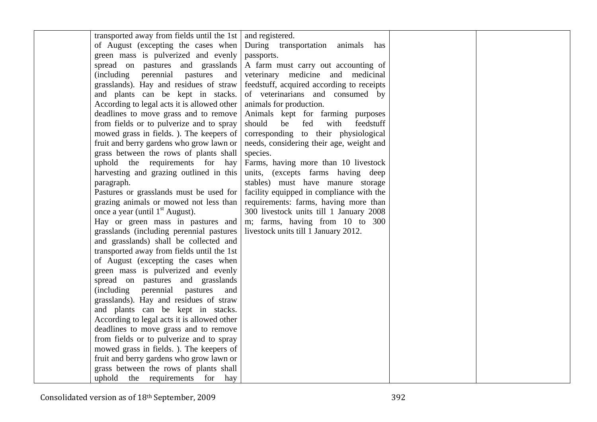| transported away from fields until the 1st  | and registered.                           |  |
|---------------------------------------------|-------------------------------------------|--|
| of August (excepting the cases when         | During transportation animals has         |  |
| green mass is pulverized and evenly         | passports.                                |  |
| spread on pastures and grasslands           | A farm must carry out accounting of       |  |
| (including perennial pastures<br>and        | veterinary medicine and medicinal         |  |
| grasslands). Hay and residues of straw      | feedstuff, acquired according to receipts |  |
| and plants can be kept in stacks.           | of veterinarians and consumed by          |  |
| According to legal acts it is allowed other | animals for production.                   |  |
| deadlines to move grass and to remove       | Animals kept for farming purposes         |  |
| from fields or to pulverize and to spray    | be fed<br>should<br>with<br>feedstuff     |  |
| mowed grass in fields.). The keepers of     | corresponding to their physiological      |  |
| fruit and berry gardens who grow lawn or    | needs, considering their age, weight and  |  |
| grass between the rows of plants shall      | species.                                  |  |
| uphold the requirements for<br>hay          | Farms, having more than 10 livestock      |  |
| harvesting and grazing outlined in this     | units, (excepts farms having deep         |  |
| paragraph.                                  | stables) must have manure storage         |  |
| Pastures or grasslands must be used for     | facility equipped in compliance with the  |  |
| grazing animals or mowed not less than      | requirements: farms, having more than     |  |
| once a year (until 1 <sup>st</sup> August). | 300 livestock units till 1 January 2008   |  |
| Hay or green mass in pastures and           | m; farms, having from 10 to 300           |  |
| grasslands (including perennial pastures    | livestock units till 1 January 2012.      |  |
| and grasslands) shall be collected and      |                                           |  |
| transported away from fields until the 1st  |                                           |  |
| of August (excepting the cases when         |                                           |  |
| green mass is pulverized and evenly         |                                           |  |
| spread on pastures and grasslands           |                                           |  |
| (including perennial pastures<br>and        |                                           |  |
| grasslands). Hay and residues of straw      |                                           |  |
| and plants can be kept in stacks.           |                                           |  |
| According to legal acts it is allowed other |                                           |  |
| deadlines to move grass and to remove       |                                           |  |
| from fields or to pulverize and to spray    |                                           |  |
| mowed grass in fields. ). The keepers of    |                                           |  |
| fruit and berry gardens who grow lawn or    |                                           |  |
| grass between the rows of plants shall      |                                           |  |
| uphold the requirements<br>for<br>hay       |                                           |  |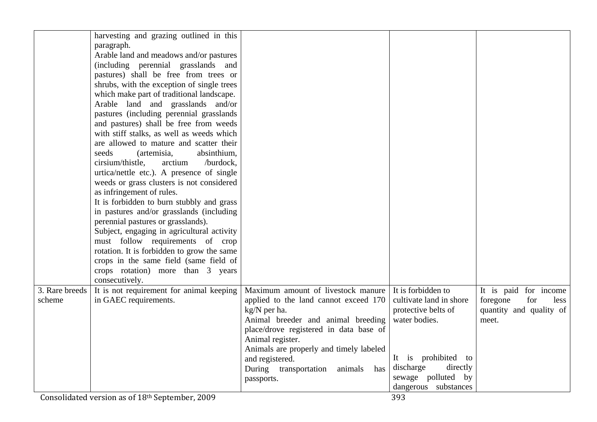|                | harvesting and grazing outlined in this    |                                         |                         |                         |
|----------------|--------------------------------------------|-----------------------------------------|-------------------------|-------------------------|
|                |                                            |                                         |                         |                         |
|                | paragraph.                                 |                                         |                         |                         |
|                | Arable land and meadows and/or pastures    |                                         |                         |                         |
|                | (including perennial grasslands and        |                                         |                         |                         |
|                | pastures) shall be free from trees or      |                                         |                         |                         |
|                | shrubs, with the exception of single trees |                                         |                         |                         |
|                | which make part of traditional landscape.  |                                         |                         |                         |
|                | Arable land and grasslands and/or          |                                         |                         |                         |
|                | pastures (including perennial grasslands)  |                                         |                         |                         |
|                | and pastures) shall be free from weeds     |                                         |                         |                         |
|                | with stiff stalks, as well as weeds which  |                                         |                         |                         |
|                | are allowed to mature and scatter their    |                                         |                         |                         |
|                | seeds<br>(artemisia,<br>absinthium,        |                                         |                         |                         |
|                | cirsium/thistle.<br>arctium<br>/burdock,   |                                         |                         |                         |
|                | urtica/nettle etc.). A presence of single  |                                         |                         |                         |
|                | weeds or grass clusters is not considered  |                                         |                         |                         |
|                | as infringement of rules.                  |                                         |                         |                         |
|                | It is forbidden to burn stubbly and grass  |                                         |                         |                         |
|                | in pastures and/or grasslands (including   |                                         |                         |                         |
|                | perennial pastures or grasslands).         |                                         |                         |                         |
|                | Subject, engaging in agricultural activity |                                         |                         |                         |
|                | must follow requirements of crop           |                                         |                         |                         |
|                | rotation. It is forbidden to grow the same |                                         |                         |                         |
|                | crops in the same field (same field of     |                                         |                         |                         |
|                | crops rotation) more than 3 years          |                                         |                         |                         |
|                | consecutively.                             |                                         |                         |                         |
| 3. Rare breeds | It is not requirement for animal keeping   | Maximum amount of livestock manure      | It is forbidden to      | It is paid for income   |
| scheme         | in GAEC requirements.                      | applied to the land cannot exceed 170   | cultivate land in shore | foregone<br>for<br>less |
|                |                                            | kg/N per ha.                            | protective belts of     | quantity and quality of |
|                |                                            | Animal breeder and animal breeding      | water bodies.           | meet.                   |
|                |                                            | place/drove registered in data base of  |                         |                         |
|                |                                            | Animal register.                        |                         |                         |
|                |                                            | Animals are properly and timely labeled |                         |                         |
|                |                                            | and registered.                         | It is prohibited to     |                         |
|                |                                            | During transportation<br>animals has    | discharge<br>directly   |                         |
|                |                                            | passports.                              | sewage polluted by      |                         |
|                |                                            |                                         | dangerous substances    |                         |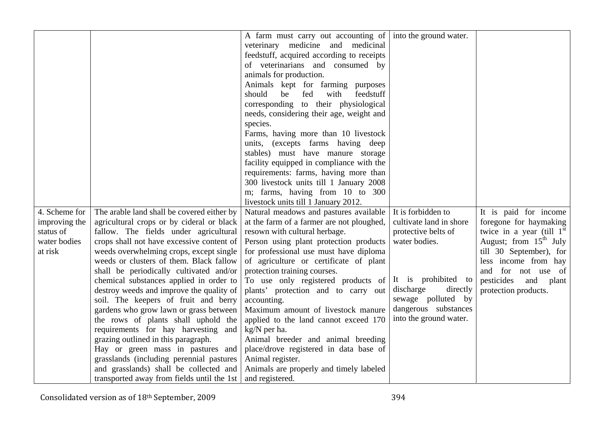|               |                                            | A farm must carry out accounting of $ $ into the ground water. |                         |                                           |
|---------------|--------------------------------------------|----------------------------------------------------------------|-------------------------|-------------------------------------------|
|               |                                            |                                                                |                         |                                           |
|               |                                            | veterinary medicine and medicinal                              |                         |                                           |
|               |                                            | feedstuff, acquired according to receipts                      |                         |                                           |
|               |                                            | of veterinarians and consumed by                               |                         |                                           |
|               |                                            | animals for production.                                        |                         |                                           |
|               |                                            | Animals kept for farming purposes                              |                         |                                           |
|               |                                            | fed<br>should<br>be<br>with<br>feedstuff                       |                         |                                           |
|               |                                            | corresponding to their physiological                           |                         |                                           |
|               |                                            | needs, considering their age, weight and                       |                         |                                           |
|               |                                            | species.                                                       |                         |                                           |
|               |                                            | Farms, having more than 10 livestock                           |                         |                                           |
|               |                                            | units, (excepts farms having deep                              |                         |                                           |
|               |                                            | stables) must have manure storage                              |                         |                                           |
|               |                                            | facility equipped in compliance with the                       |                         |                                           |
|               |                                            | requirements: farms, having more than                          |                         |                                           |
|               |                                            | 300 livestock units till 1 January 2008                        |                         |                                           |
|               |                                            | m; farms, having from 10 to 300                                |                         |                                           |
|               |                                            | livestock units till 1 January 2012.                           |                         |                                           |
|               |                                            |                                                                | It is forbidden to      |                                           |
| 4. Scheme for | The arable land shall be covered either by | Natural meadows and pastures available                         |                         | It is paid for income                     |
| improving the | agricultural crops or by cideral or black  | at the farm of a farmer are not ploughed,                      | cultivate land in shore | foregone for haymaking                    |
| status of     | fallow. The fields under agricultural      | resown with cultural herbage.                                  | protective belts of     | twice in a year (till $1^{\overline{st}}$ |
| water bodies  | crops shall not have excessive content of  | Person using plant protection products                         | water bodies.           | August; from $15th$ July                  |
| at risk       | weeds overwhelming crops, except single    | for professional use must have diploma                         |                         | till 30 September), for                   |
|               | weeds or clusters of them. Black fallow    | of agriculture or certificate of plant                         |                         | less income from hay                      |
|               | shall be periodically cultivated and/or    | protection training courses.                                   |                         | and for not use of                        |
|               | chemical substances applied in order to    | To use only registered products of                             | It is prohibited to     | pesticides<br>and<br>plant                |
|               | destroy weeds and improve the quality of   | plants' protection and to carry out                            | discharge<br>directly   | protection products.                      |
|               | soil. The keepers of fruit and berry       | accounting.                                                    | sewage polluted by      |                                           |
|               | gardens who grow lawn or grass between     | Maximum amount of livestock manure                             | dangerous substances    |                                           |
|               | the rows of plants shall uphold the        | applied to the land cannot exceed 170                          | into the ground water.  |                                           |
|               | requirements for hay harvesting and        | kg/N per ha.                                                   |                         |                                           |
|               | grazing outlined in this paragraph.        | Animal breeder and animal breeding                             |                         |                                           |
|               | Hay or green mass in pastures and          | place/drove registered in data base of                         |                         |                                           |
|               | grasslands (including perennial pastures)  | Animal register.                                               |                         |                                           |
|               | and grasslands) shall be collected and     | Animals are properly and timely labeled                        |                         |                                           |
|               |                                            |                                                                |                         |                                           |
|               |                                            |                                                                |                         |                                           |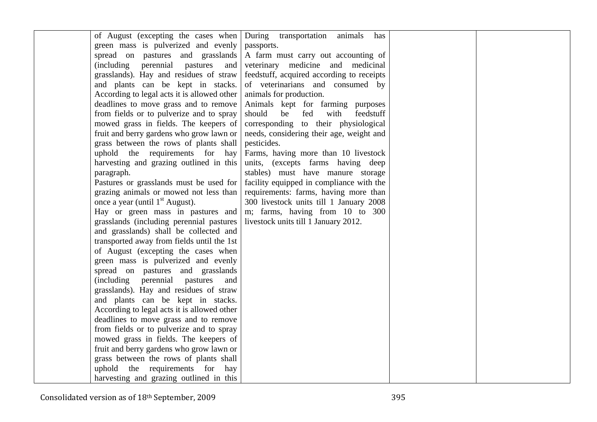| of August (excepting the cases when         | During transportation animals<br>has      |  |
|---------------------------------------------|-------------------------------------------|--|
| green mass is pulverized and evenly         | passports.                                |  |
| spread on pastures and grasslands           | A farm must carry out accounting of       |  |
| (including perennial pastures<br>and        | veterinary medicine and medicinal         |  |
| grasslands). Hay and residues of straw      | feedstuff, acquired according to receipts |  |
| and plants can be kept in stacks.           | of veterinarians and consumed by          |  |
| According to legal acts it is allowed other | animals for production.                   |  |
| deadlines to move grass and to remove       | Animals kept for farming purposes         |  |
| from fields or to pulverize and to spray    | should<br>be<br>fed<br>with<br>feedstuff  |  |
| mowed grass in fields. The keepers of       | corresponding to their physiological      |  |
| fruit and berry gardens who grow lawn or    | needs, considering their age, weight and  |  |
| grass between the rows of plants shall      | pesticides.                               |  |
| uphold the requirements for hay             | Farms, having more than 10 livestock      |  |
| harvesting and grazing outlined in this     | units, (excepts farms having deep         |  |
| paragraph.                                  | stables) must have manure storage         |  |
| Pastures or grasslands must be used for     | facility equipped in compliance with the  |  |
| grazing animals or mowed not less than      | requirements: farms, having more than     |  |
| once a year (until 1 <sup>st</sup> August). | 300 livestock units till 1 January 2008   |  |
| Hay or green mass in pastures and           | m; farms, having from 10 to 300           |  |
| grasslands (including perennial pastures    | livestock units till 1 January 2012.      |  |
| and grasslands) shall be collected and      |                                           |  |
| transported away from fields until the 1st  |                                           |  |
| of August (excepting the cases when         |                                           |  |
| green mass is pulverized and evenly         |                                           |  |
| spread on pastures and grasslands           |                                           |  |
| (including perennial pastures<br>and        |                                           |  |
| grasslands). Hay and residues of straw      |                                           |  |
| and plants can be kept in stacks.           |                                           |  |
| According to legal acts it is allowed other |                                           |  |
| deadlines to move grass and to remove       |                                           |  |
| from fields or to pulverize and to spray    |                                           |  |
| mowed grass in fields. The keepers of       |                                           |  |
| fruit and berry gardens who grow lawn or    |                                           |  |
| grass between the rows of plants shall      |                                           |  |
| uphold the requirements for hay             |                                           |  |
| harvesting and grazing outlined in this     |                                           |  |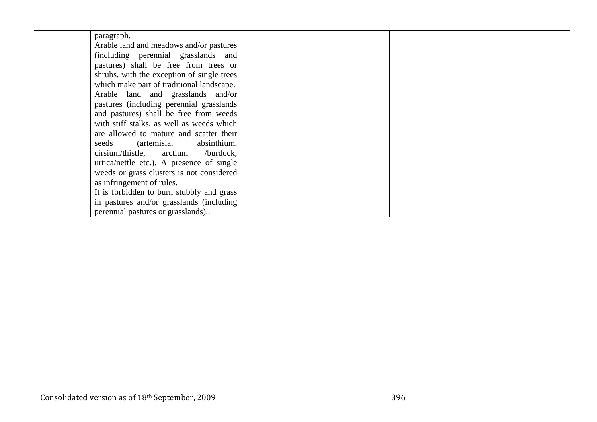| paragraph.                                 |  |  |
|--------------------------------------------|--|--|
| Arable land and meadows and/or pastures    |  |  |
| (including perennial grasslands and        |  |  |
| pastures) shall be free from trees or      |  |  |
| shrubs, with the exception of single trees |  |  |
| which make part of traditional landscape.  |  |  |
| Arable land and grasslands and/or          |  |  |
| pastures (including perennial grasslands)  |  |  |
| and pastures) shall be free from weeds     |  |  |
| with stiff stalks, as well as weeds which  |  |  |
| are allowed to mature and scatter their    |  |  |
| seeds (artemisia, absinthium,              |  |  |
| cirsium/thistle, arctium /burdock,         |  |  |
| urtica/nettle etc.). A presence of single  |  |  |
| weeds or grass clusters is not considered  |  |  |
| as infringement of rules.                  |  |  |
| It is forbidden to burn stubbly and grass  |  |  |
| in pastures and/or grasslands (including   |  |  |
| perennial pastures or grasslands)          |  |  |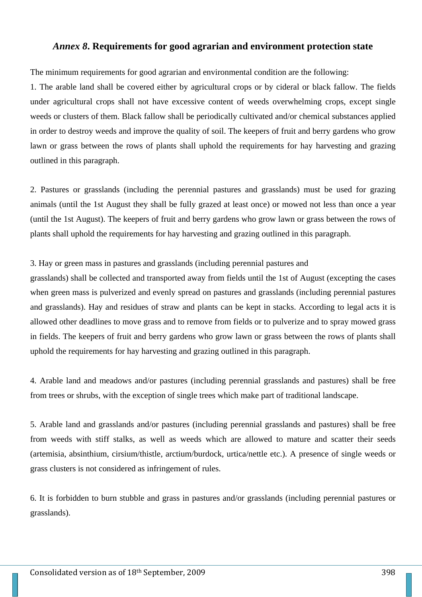## *Annex 8***. Requirements for good agrarian and environment protection state**

The minimum requirements for good agrarian and environmental condition are the following:

1. The arable land shall be covered either by agricultural crops or by cideral or black fallow. The fields under agricultural crops shall not have excessive content of weeds overwhelming crops, except single weeds or clusters of them. Black fallow shall be periodically cultivated and/or chemical substances applied in order to destroy weeds and improve the quality of soil. The keepers of fruit and berry gardens who grow lawn or grass between the rows of plants shall uphold the requirements for hay harvesting and grazing outlined in this paragraph.

2. Pastures or grasslands (including the perennial pastures and grasslands) must be used for grazing animals (until the 1st August they shall be fully grazed at least once) or mowed not less than once a year (until the 1st August). The keepers of fruit and berry gardens who grow lawn or grass between the rows of plants shall uphold the requirements for hay harvesting and grazing outlined in this paragraph.

## 3. Hay or green mass in pastures and grasslands (including perennial pastures and

grasslands) shall be collected and transported away from fields until the 1st of August (excepting the cases when green mass is pulverized and evenly spread on pastures and grasslands (including perennial pastures and grasslands). Hay and residues of straw and plants can be kept in stacks. According to legal acts it is allowed other deadlines to move grass and to remove from fields or to pulverize and to spray mowed grass in fields. The keepers of fruit and berry gardens who grow lawn or grass between the rows of plants shall uphold the requirements for hay harvesting and grazing outlined in this paragraph.

4. Arable land and meadows and/or pastures (including perennial grasslands and pastures) shall be free from trees or shrubs, with the exception of single trees which make part of traditional landscape.

5. Arable land and grasslands and/or pastures (including perennial grasslands and pastures) shall be free from weeds with stiff stalks, as well as weeds which are allowed to mature and scatter their seeds (artemisia, absinthium, cirsium/thistle, arctium/burdock, urtica/nettle etc.). A presence of single weeds or grass clusters is not considered as infringement of rules.

6. It is forbidden to burn stubble and grass in pastures and/or grasslands (including perennial pastures or grasslands).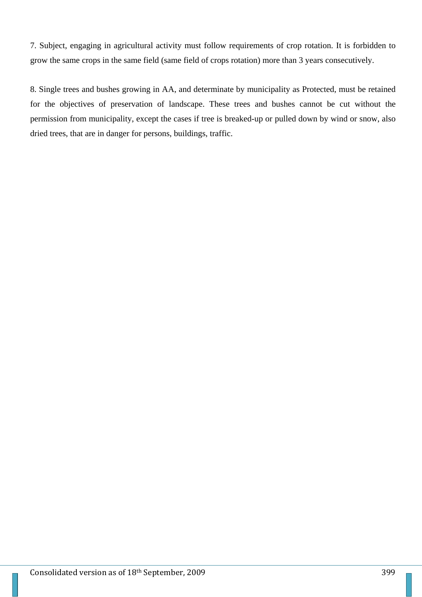7. Subject, engaging in agricultural activity must follow requirements of crop rotation. It is forbidden to grow the same crops in the same field (same field of crops rotation) more than 3 years consecutively.

8. Single trees and bushes growing in AA, and determinate by municipality as Protected, must be retained for the objectives of preservation of landscape. These trees and bushes cannot be cut without the permission from municipality, except the cases if tree is breaked-up or pulled down by wind or snow, also dried trees, that are in danger for persons, buildings, traffic.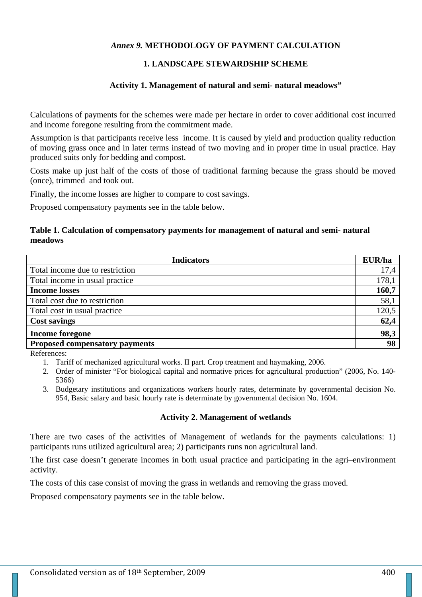## *Annex 9.* **METHODOLOGY OF PAYMENT CALCULATION**

## **1. LANDSCAPE STEWARDSHIP SCHEME**

#### **Activity 1. Management of natural and semi- natural meadows"**

Calculations of payments for the schemes were made per hectare in order to cover additional cost incurred and income foregone resulting from the commitment made.

Assumption is that participants receive less income. It is caused by yield and production quality reduction of moving grass once and in later terms instead of two moving and in proper time in usual practice. Hay produced suits only for bedding and compost.

Costs make up just half of the costs of those of traditional farming because the grass should be moved (once), trimmed and took out.

Finally, the income losses are higher to compare to cost savings.

Proposed compensatory payments see in the table below.

### **Table 1. Calculation of compensatory payments for management of natural and semi- natural meadows**

| <b>Indicators</b>                     | EUR/ha |
|---------------------------------------|--------|
| Total income due to restriction       | 17,4   |
| Total income in usual practice        | 178,1  |
| <b>Income losses</b>                  | 160,7  |
| Total cost due to restriction         | 58,1   |
| Total cost in usual practice          | 120,5  |
| <b>Cost savings</b>                   | 62,4   |
| <b>Income foregone</b>                | 98,3   |
| <b>Proposed compensatory payments</b> | 98     |

References:

- 1. Tariff of mechanized agricultural works. II part. Crop treatment and haymaking, 2006.
- 2. Order of minister "For biological capital and normative prices for agricultural production" (2006, No. 140- 5366)
- 3. Budgetary institutions and organizations workers hourly rates, determinate by governmental decision No. 954, Basic salary and basic hourly rate is determinate by governmental decision No. 1604.

#### **Activity 2. Management of wetlands**

There are two cases of the activities of Management of wetlands for the payments calculations: 1) participants runs utilized agricultural area; 2) participants runs non agricultural land.

The first case doesn't generate incomes in both usual practice and participating in the agri–environment activity.

The costs of this case consist of moving the grass in wetlands and removing the grass moved.

Proposed compensatory payments see in the table below.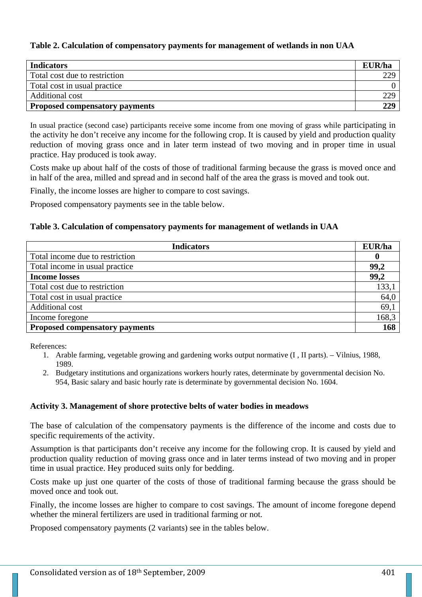## **Table 2. Calculation of compensatory payments for management of wetlands in non UAA**

| <b>Indicators</b>                     | EUR/ha |
|---------------------------------------|--------|
| Total cost due to restriction         | 229    |
| Total cost in usual practice          |        |
| Additional cost                       | 229    |
| <b>Proposed compensatory payments</b> | 229    |

In usual practice (second case) participants receive some income from one moving of grass while participating in the activity he don't receive any income for the following crop. It is caused by yield and production quality reduction of moving grass once and in later term instead of two moving and in proper time in usual practice. Hay produced is took away.

Costs make up about half of the costs of those of traditional farming because the grass is moved once and in half of the area, milled and spread and in second half of the area the grass is moved and took out.

Finally, the income losses are higher to compare to cost savings.

Proposed compensatory payments see in the table below.

### **Table 3. Calculation of compensatory payments for management of wetlands in UAA**

| <b>Indicators</b>                     | EUR/ha |
|---------------------------------------|--------|
| Total income due to restriction       | 0      |
| Total income in usual practice        | 99,2   |
| <b>Income losses</b>                  | 99,2   |
| Total cost due to restriction         | 133,1  |
| Total cost in usual practice          | 64,0   |
| Additional cost                       | 69,1   |
| Income foregone                       | 168,3  |
| <b>Proposed compensatory payments</b> | 168    |

References:

- 1. Arable farming, vegetable growing and gardening works output normative (I , II parts). Vilnius, 1988, 1989.
- 2. Budgetary institutions and organizations workers hourly rates, determinate by governmental decision No. 954, Basic salary and basic hourly rate is determinate by governmental decision No. 1604.

## **Activity 3. Management of shore protective belts of water bodies in meadows**

The base of calculation of the compensatory payments is the difference of the income and costs due to specific requirements of the activity.

Assumption is that participants don't receive any income for the following crop. It is caused by yield and production quality reduction of moving grass once and in later terms instead of two moving and in proper time in usual practice. Hey produced suits only for bedding.

Costs make up just one quarter of the costs of those of traditional farming because the grass should be moved once and took out.

Finally, the income losses are higher to compare to cost savings. The amount of income foregone depend whether the mineral fertilizers are used in traditional farming or not.

Proposed compensatory payments (2 variants) see in the tables below.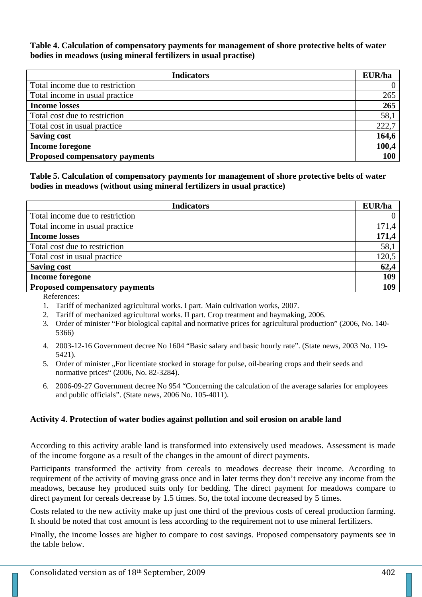#### **Table 4. Calculation of compensatory payments for management of shore protective belts of water bodies in meadows (using mineral fertilizers in usual practise)**

| <b>Indicators</b>                     | EUR/ha |
|---------------------------------------|--------|
| Total income due to restriction       |        |
| Total income in usual practice        | 265    |
| <b>Income losses</b>                  | 265    |
| Total cost due to restriction         | 58,1   |
| Total cost in usual practice          | 222,7  |
| <b>Saving cost</b>                    | 164,6  |
| <b>Income foregone</b>                | 100,4  |
| <b>Proposed compensatory payments</b> | 100    |

### **Table 5. Calculation of compensatory payments for management of shore protective belts of water bodies in meadows (without using mineral fertilizers in usual practice)**

| <b>Indicators</b>                     | EUR/ha |
|---------------------------------------|--------|
| Total income due to restriction       |        |
| Total income in usual practice        | 171,4  |
| <b>Income losses</b>                  | 171,4  |
| Total cost due to restriction         | 58,1   |
| Total cost in usual practice          | 120,5  |
| <b>Saving cost</b>                    | 62,4   |
| <b>Income foregone</b>                | 109    |
| <b>Proposed compensatory payments</b> | 109    |

References:

- 1. Tariff of mechanized agricultural works. I part. Main cultivation works, 2007.
- 2. Tariff of mechanized agricultural works. II part. Crop treatment and haymaking, 2006.
- 3. Order of minister "For biological capital and normative prices for agricultural production" (2006, No. 140- 5366)
- 4. 2003-12-16 Government decree No 1604 "Basic salary and basic hourly rate". (State news, 2003 No. 119- 5421).
- 5. Order of minister "For licentiate stocked in storage for pulse, oil-bearing crops and their seeds and normative prices" (2006, No. 82-3284).
- 6. 2006-09-27 Government decree No 954 "Concerning the calculation of the average salaries for employees and public officials". (State news, 2006 No. 105-4011).

## **Activity 4. Protection of water bodies against pollution and soil erosion on arable land**

According to this activity arable land is transformed into extensively used meadows. Assessment is made of the income forgone as a result of the changes in the amount of direct payments.

Participants transformed the activity from cereals to meadows decrease their income. According to requirement of the activity of moving grass once and in later terms they don't receive any income from the meadows, because hey produced suits only for bedding. The direct payment for meadows compare to direct payment for cereals decrease by 1.5 times. So, the total income decreased by 5 times.

Costs related to the new activity make up just one third of the previous costs of cereal production farming. It should be noted that cost amount is less according to the requirement not to use mineral fertilizers.

Finally, the income losses are higher to compare to cost savings. Proposed compensatory payments see in the table below.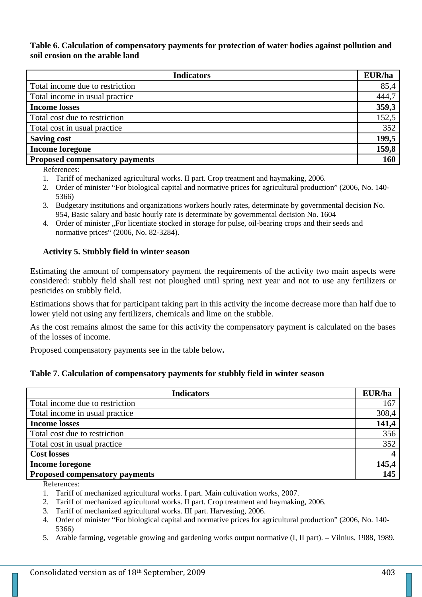### **Table 6. Calculation of compensatory payments for protection of water bodies against pollution and soil erosion on the arable land**

| <b>Indicators</b>               | EUR/ha |
|---------------------------------|--------|
| Total income due to restriction | 85,4   |
| Total income in usual practice  | 444,7  |
| <b>Income losses</b>            | 359,3  |
| Total cost due to restriction   | 152,5  |
| Total cost in usual practice    | 352    |
| <b>Saving cost</b>              | 199,5  |
| <b>Income foregone</b>          | 159,8  |
| Proposed compensatory payments  | 160    |

References:

- 1. Tariff of mechanized agricultural works. II part. Crop treatment and haymaking, 2006.
- 2. Order of minister "For biological capital and normative prices for agricultural production" (2006, No. 140- 5366)
- 3. Budgetary institutions and organizations workers hourly rates, determinate by governmental decision No. 954, Basic salary and basic hourly rate is determinate by governmental decision No. 1604
- 4. Order of minister . For licentiate stocked in storage for pulse, oil-bearing crops and their seeds and normative prices" (2006, No. 82-3284).

## **Activity 5. Stubbly field in winter season**

Estimating the amount of compensatory payment the requirements of the activity two main aspects were considered: stubbly field shall rest not ploughed until spring next year and not to use any fertilizers or pesticides on stubbly field.

Estimations shows that for participant taking part in this activity the income decrease more than half due to lower yield not using any fertilizers, chemicals and lime on the stubble.

As the cost remains almost the same for this activity the compensatory payment is calculated on the bases of the losses of income.

Proposed compensatory payments see in the table below**.** 

## **Table 7. Calculation of compensatory payments for stubbly field in winter season**

| <b>Indicators</b>                     | EUR/ha |
|---------------------------------------|--------|
| Total income due to restriction       | 167    |
| Total income in usual practice        | 308,4  |
| <b>Income losses</b>                  | 141,4  |
| Total cost due to restriction         | 356    |
| Total cost in usual practice          | 352    |
| <b>Cost losses</b>                    |        |
| <b>Income foregone</b>                | 145,4  |
| <b>Proposed compensatory payments</b> | 145    |

References:

- 2. Tariff of mechanized agricultural works. II part. Crop treatment and haymaking, 2006.
- 3. Tariff of mechanized agricultural works. III part. Harvesting, 2006.
- 4. Order of minister "For biological capital and normative prices for agricultural production" (2006, No. 140- 5366)
- 5. Arable farming, vegetable growing and gardening works output normative (I, II part). Vilnius, 1988, 1989.

<sup>1.</sup> Tariff of mechanized agricultural works. I part. Main cultivation works, 2007.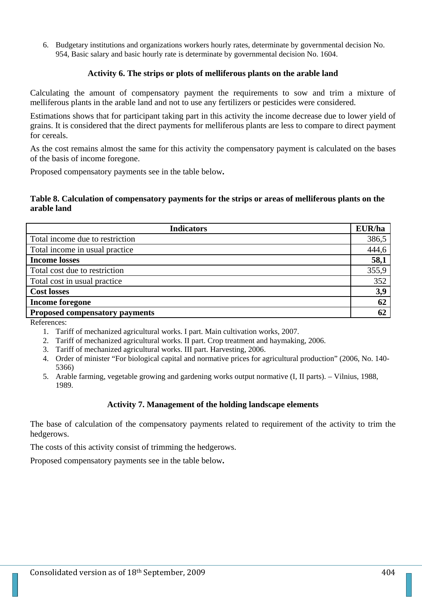6. Budgetary institutions and organizations workers hourly rates, determinate by governmental decision No. 954, Basic salary and basic hourly rate is determinate by governmental decision No. 1604.

#### **Activity 6. The strips or plots of melliferous plants on the arable land**

Calculating the amount of compensatory payment the requirements to sow and trim a mixture of melliferous plants in the arable land and not to use any fertilizers or pesticides were considered.

Estimations shows that for participant taking part in this activity the income decrease due to lower yield of grains. It is considered that the direct payments for melliferous plants are less to compare to direct payment for cereals.

As the cost remains almost the same for this activity the compensatory payment is calculated on the bases of the basis of income foregone.

Proposed compensatory payments see in the table below**.** 

#### **Table 8. Calculation of compensatory payments for the strips or areas of melliferous plants on the arable land**

| <b>Indicators</b>                     | EUR/ha |
|---------------------------------------|--------|
| Total income due to restriction       | 386,5  |
| Total income in usual practice        | 444,6  |
| <b>Income losses</b>                  | 58,1   |
| Total cost due to restriction         | 355,9  |
| Total cost in usual practice          | 352    |
| <b>Cost losses</b>                    | 3,9    |
| <b>Income foregone</b>                | 62     |
| <b>Proposed compensatory payments</b> | 62     |

References:

- 1. Tariff of mechanized agricultural works. I part. Main cultivation works, 2007.
- 2. Tariff of mechanized agricultural works. II part. Crop treatment and haymaking, 2006.
- 3. Tariff of mechanized agricultural works. III part. Harvesting, 2006.
- 4. Order of minister "For biological capital and normative prices for agricultural production" (2006, No. 140- 5366)
- 5. Arable farming, vegetable growing and gardening works output normative (I, II parts). Vilnius, 1988, 1989.

#### **Activity 7. Management of the holding landscape elements**

The base of calculation of the compensatory payments related to requirement of the activity to trim the hedgerows.

The costs of this activity consist of trimming the hedgerows.

Proposed compensatory payments see in the table below**.**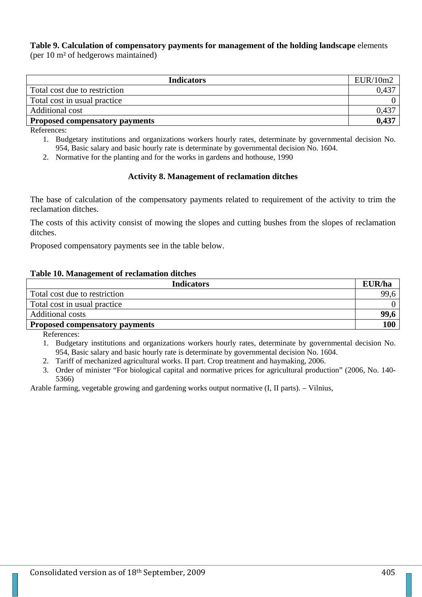## **Table 9. Calculation of compensatory payments for management of the holding landscape** elements

(per 10 m² of hedgerows maintained)

| <b>Indicators</b>                     | EUR/10m2 |
|---------------------------------------|----------|
| Total cost due to restriction         |          |
| Total cost in usual practice          |          |
| Additional cost                       | 0,437    |
| <b>Proposed compensatory payments</b> | 0,437    |

References:

- 1. Budgetary institutions and organizations workers hourly rates, determinate by governmental decision No. 954, Basic salary and basic hourly rate is determinate by governmental decision No. 1604.
- 2. Normative for the planting and for the works in gardens and hothouse, 1990

## **Activity 8. Management of reclamation ditches**

The base of calculation of the compensatory payments related to requirement of the activity to trim the reclamation ditches.

The costs of this activity consist of mowing the slopes and cutting bushes from the slopes of reclamation ditches.

Proposed compensatory payments see in the table below.

### **Table 10. Management of reclamation ditches**

| <b>Indicators</b>                     | EUR/ha |
|---------------------------------------|--------|
| Total cost due to restriction         | 99,6   |
| Total cost in usual practice          |        |
| Additional costs                      | 99,6   |
| <b>Proposed compensatory payments</b> | 100    |

References:

- 1. Budgetary institutions and organizations workers hourly rates, determinate by governmental decision No. 954, Basic salary and basic hourly rate is determinate by governmental decision No. 1604.
- 2. Tariff of mechanized agricultural works. II part. Crop treatment and haymaking, 2006.
- 3. Order of minister "For biological capital and normative prices for agricultural production" (2006, No. 140- 5366)

Arable farming, vegetable growing and gardening works output normative (I, II parts). – Vilnius,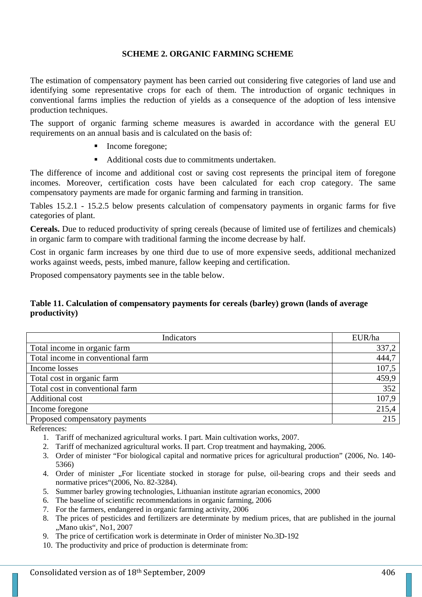### **SCHEME 2. ORGANIC FARMING SCHEME**

The estimation of compensatory payment has been carried out considering five categories of land use and identifying some representative crops for each of them. The introduction of organic techniques in conventional farms implies the reduction of yields as a consequence of the adoption of less intensive production techniques.

The support of organic farming scheme measures is awarded in accordance with the general EU requirements on an annual basis and is calculated on the basis of:

- Income foregone;
- Additional costs due to commitments undertaken.

The difference of income and additional cost or saving cost represents the principal item of foregone incomes. Moreover, certification costs have been calculated for each crop category. The same compensatory payments are made for organic farming and farming in transition.

Tables 15.2.1 - 15.2.5 below presents calculation of compensatory payments in organic farms for five categories of plant.

**Cereals.** Due to reduced productivity of spring cereals (because of limited use of fertilizes and chemicals) in organic farm to compare with traditional farming the income decrease by half.

Cost in organic farm increases by one third due to use of more expensive seeds, additional mechanized works against weeds, pests, imbed manure, fallow keeping and certification.

Proposed compensatory payments see in the table below.

### **Table 11. Calculation of compensatory payments for cereals (barley) grown (lands of average productivity)**

| Indicators                        | EUR/ha |
|-----------------------------------|--------|
| Total income in organic farm      | 337,2  |
| Total income in conventional farm | 444,7  |
| Income losses                     | 107,5  |
| Total cost in organic farm        | 459,9  |
| Total cost in conventional farm   | 352    |
| Additional cost                   | 107,9  |
| Income foregone                   | 215,4  |
| Proposed compensatory payments    | 215    |

References:

- 1. Tariff of mechanized agricultural works. I part. Main cultivation works, 2007.
- 2. Tariff of mechanized agricultural works. II part. Crop treatment and haymaking, 2006.
- 3. Order of minister "For biological capital and normative prices for agricultural production" (2006, No. 140- 5366)
- 4. Order of minister "For licentiate stocked in storage for pulse, oil-bearing crops and their seeds and normative prices"(2006, No. 82-3284).
- 5. Summer barley growing technologies, Lithuanian institute agrarian economics, 2000
- 6. The baseline of scientific recommendations in organic farming, 2006
- 7. For the farmers, endangered in organic farming activity, 2006
- 8. The prices of pesticides and fertilizers are determinate by medium prices, that are published in the journal "Mano ukis", No1, 2007
- 9. The price of certification work is determinate in Order of minister No.3D-192
- 10. The productivity and price of production is determinate from: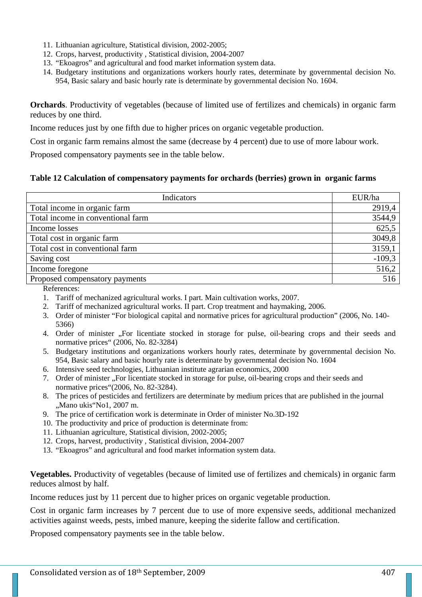- 11. Lithuanian agriculture, Statistical division, 2002-2005;
- 12. Crops, harvest, productivity , Statistical division, 2004-2007
- 13. "Ekoagros" and agricultural and food market information system data.
- 14. Budgetary institutions and organizations workers hourly rates, determinate by governmental decision No. 954, Basic salary and basic hourly rate is determinate by governmental decision No. 1604.

**Orchards**. Productivity of vegetables (because of limited use of fertilizes and chemicals) in organic farm reduces by one third.

Income reduces just by one fifth due to higher prices on organic vegetable production.

Cost in organic farm remains almost the same (decrease by 4 percent) due to use of more labour work.

Proposed compensatory payments see in the table below.

#### **Table 12 Calculation of compensatory payments for orchards (berries) grown in organic farms**

| Indicators                        | EUR/ha   |
|-----------------------------------|----------|
| Total income in organic farm      | 2919,4   |
| Total income in conventional farm | 3544,9   |
| Income losses                     | 625,5    |
| Total cost in organic farm        | 3049,8   |
| Total cost in conventional farm   | 3159,1   |
| Saving cost                       | $-109,3$ |
| Income foregone                   | 516,2    |
| Proposed compensatory payments    | 516      |

References:

- 1. Tariff of mechanized agricultural works. I part. Main cultivation works, 2007.
- 2. Tariff of mechanized agricultural works. II part. Crop treatment and haymaking, 2006.
- 3. Order of minister "For biological capital and normative prices for agricultural production" (2006, No. 140- 5366)
- 4. Order of minister "For licentiate stocked in storage for pulse, oil-bearing crops and their seeds and normative prices" (2006, No. 82-3284)
- 5. Budgetary institutions and organizations workers hourly rates, determinate by governmental decision No. 954, Basic salary and basic hourly rate is determinate by governmental decision No. 1604
- 6. Intensive seed technologies, Lithuanian institute agrarian economics, 2000
- 7. Order of minister . For licentiate stocked in storage for pulse, oil-bearing crops and their seeds and normative prices"(2006, No. 82-3284).
- 8. The prices of pesticides and fertilizers are determinate by medium prices that are published in the journal "Mano ukis"No1, 2007 m.
- 9. The price of certification work is determinate in Order of minister No.3D-192
- 10. The productivity and price of production is determinate from:
- 11. Lithuanian agriculture, Statistical division, 2002-2005;
- 12. Crops, harvest, productivity , Statistical division, 2004-2007
- 13. "Ekoagros" and agricultural and food market information system data.

**Vegetables.** Productivity of vegetables (because of limited use of fertilizes and chemicals) in organic farm reduces almost by half.

Income reduces just by 11 percent due to higher prices on organic vegetable production.

Cost in organic farm increases by 7 percent due to use of more expensive seeds, additional mechanized activities against weeds, pests, imbed manure, keeping the siderite fallow and certification.

Proposed compensatory payments see in the table below.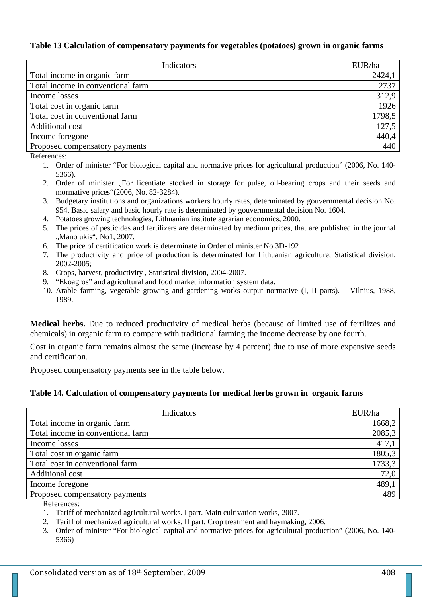#### **Table 13 Calculation of compensatory payments for vegetables (potatoes) grown in organic farms**

| Indicators                        | EUR/ha |
|-----------------------------------|--------|
| Total income in organic farm      | 2424,1 |
| Total income in conventional farm | 2737   |
| Income losses                     | 312,9  |
| Total cost in organic farm        | 1926   |
| Total cost in conventional farm   | 1798,5 |
| Additional cost                   | 127,5  |
| Income foregone                   | 440,4  |
| Proposed compensatory payments    | 440    |

References:

- 1. Order of minister "For biological capital and normative prices for agricultural production" (2006, No. 140- 5366).
- 2. Order of minister ...For licentiate stocked in storage for pulse, oil-bearing crops and their seeds and mormative prices"(2006, No. 82-3284).
- 3. Budgetary institutions and organizations workers hourly rates, determinated by gouvernmental decision No. 954, Basic salary and basic hourly rate is determinated by gouvernmental decision No. 1604.
- 4. Potatoes growing technologies, Lithuanian institute agrarian economics, 2000.
- 5. The prices of pesticides and fertilizers are determinated by medium prices, that are published in the journal .Mano ukis", No1, 2007.
- 6. The price of certification work is determinate in Order of minister No.3D-192
- 7. The productivity and price of production is determinated for Lithuanian agriculture; Statistical division, 2002-2005;
- 8. Crops, harvest, productivity , Statistical division, 2004-2007.
- 9. "Ekoagros" and agricultural and food market information system data.
- 10. Arable farming, vegetable growing and gardening works output normative (I, II parts). Vilnius, 1988, 1989.

**Medical herbs.** Due to reduced productivity of medical herbs (because of limited use of fertilizes and chemicals) in organic farm to compare with traditional farming the income decrease by one fourth.

Cost in organic farm remains almost the same (increase by 4 percent) due to use of more expensive seeds and certification.

Proposed compensatory payments see in the table below.

#### **Table 14. Calculation of compensatory payments for medical herbs grown in organic farms**

| Indicators                        | EUR/ha |
|-----------------------------------|--------|
| Total income in organic farm      | 1668,2 |
| Total income in conventional farm | 2085,3 |
| Income losses                     | 417,1  |
| Total cost in organic farm        | 1805,3 |
| Total cost in conventional farm   | 1733,3 |
| Additional cost                   | 72,0   |
| Income foregone                   | 489,1  |
| Proposed compensatory payments    | 489    |
| $\mathbf{r}$                      |        |

References:

1. Tariff of mechanized agricultural works. I part. Main cultivation works, 2007.

- 2. Tariff of mechanized agricultural works. II part. Crop treatment and haymaking, 2006.
- 3. Order of minister "For biological capital and normative prices for agricultural production" (2006, No. 140- 5366)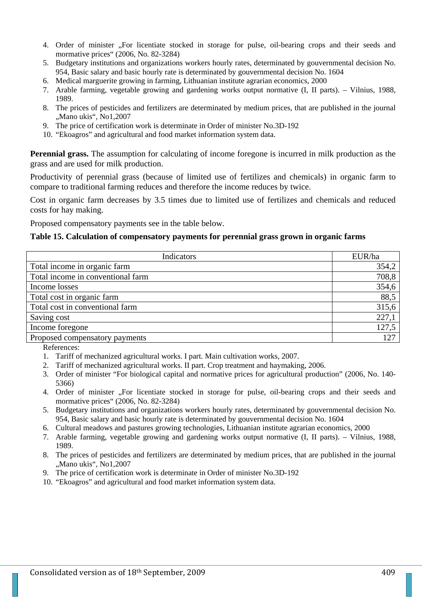- 4. Order of minister "For licentiate stocked in storage for pulse, oil-bearing crops and their seeds and mormative prices" (2006, No. 82-3284)
- 5. Budgetary institutions and organizations workers hourly rates, determinated by gouvernmental decision No. 954, Basic salary and basic hourly rate is determinated by gouvernmental decision No. 1604
- 6. Medical marguerite growing in farming, Lithuanian institute agrarian economics, 2000
- 7. Arable farming, vegetable growing and gardening works output normative (I, II parts). Vilnius, 1988, 1989.
- 8. The prices of pesticides and fertilizers are determinated by medium prices, that are published in the journal "Mano ukis", No1,2007
- 9. The price of certification work is determinate in Order of minister No.3D-192
- 10. "Ekoagros" and agricultural and food market information system data.

**Perennial grass.** The assumption for calculating of income foregone is incurred in milk production as the grass and are used for milk production.

Productivity of perennial grass (because of limited use of fertilizes and chemicals) in organic farm to compare to traditional farming reduces and therefore the income reduces by twice.

Cost in organic farm decreases by 3.5 times due to limited use of fertilizes and chemicals and reduced costs for hay making.

Proposed compensatory payments see in the table below.

#### **Table 15. Calculation of compensatory payments for perennial grass grown in organic farms**

| Indicators                        | EUR/ha |
|-----------------------------------|--------|
| Total income in organic farm      | 354,2  |
| Total income in conventional farm | 708,8  |
| Income losses                     | 354,6  |
| Total cost in organic farm        | 88,5   |
| Total cost in conventional farm   | 315,6  |
| Saving cost                       | 227,1  |
| Income foregone                   | 127,5  |
| Proposed compensatory payments    | 127    |

References:

- 1. Tariff of mechanized agricultural works. I part. Main cultivation works, 2007.
- 2. Tariff of mechanized agricultural works. II part. Crop treatment and haymaking, 2006.
- 3. Order of minister "For biological capital and normative prices for agricultural production" (2006, No. 140- 5366)
- 4. Order of minister ...For licentiate stocked in storage for pulse, oil-bearing crops and their seeds and mormative prices" (2006, No. 82-3284)
- 5. Budgetary institutions and organizations workers hourly rates, determinated by gouvernmental decision No. 954, Basic salary and basic hourly rate is determinated by gouvernmental decision No. 1604
- 6. Cultural meadows and pastures growing technologies, Lithuanian institute agrarian economics, 2000
- 7. Arable farming, vegetable growing and gardening works output normative (I, II parts). Vilnius, 1988, 1989.
- 8. The prices of pesticides and fertilizers are determinated by medium prices, that are published in the journal ., Mano ukis", No1, 2007
- 9. The price of certification work is determinate in Order of minister No.3D-192
- 10. "Ekoagros" and agricultural and food market information system data.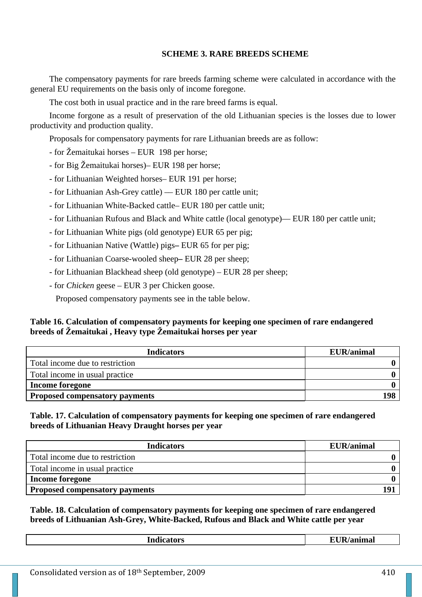### **SCHEME 3. RARE BREEDS SCHEME**

The compensatory payments for rare breeds farming scheme were calculated in accordance with the general EU requirements on the basis only of income foregone.

The cost both in usual practice and in the rare breed farms is equal.

Income forgone as a result of preservation of the old Lithuanian species is the losses due to lower productivity and production quality.

Proposals for compensatory payments for rare Lithuanian breeds are as follow:

- for Žemaitukai horses EUR 198 per horse;
- for Big Žemaitukai horses)– EUR 198 per horse;
- for Lithuanian Weighted horses– EUR 191 per horse;
- for Lithuanian Ash-Grey cattle) –– EUR 180 per cattle unit;
- for Lithuanian White-Backed cattle– EUR 180 per cattle unit;
- for Lithuanian Rufous and Black and White cattle (local genotype)–– EUR 180 per cattle unit;
- for Lithuanian White pigs (old genotype) EUR 65 per pig;
- for Lithuanian Native (Wattle) pigs**–** EUR 65 for per pig;
- for Lithuanian Coarse-wooled sheep**–** EUR 28 per sheep;
- for Lithuanian Blackhead sheep (old genotype) EUR 28 per sheep;
- for *Chicken* geese EUR 3 per Chicken goose.

Proposed compensatory payments see in the table below.

### **Table 16. Calculation of compensatory payments for keeping one specimen of rare endangered breeds of Žemaitukai , Heavy type Žemaitukai horses per year**

| <b>Indicators</b>                     | <b>EUR/animal</b> |
|---------------------------------------|-------------------|
| Total income due to restriction       |                   |
| Total income in usual practice        |                   |
| <b>Income foregone</b>                |                   |
| <b>Proposed compensatory payments</b> | 198               |

**Table. 17. Calculation of compensatory payments for keeping one specimen of rare endangered breeds of Lithuanian Heavy Draught horses per year** 

| <b>Indicators</b>                     | <b>EUR/animal</b> |
|---------------------------------------|-------------------|
| Total income due to restriction       |                   |
| Total income in usual practice        |                   |
| <b>Income foregone</b>                |                   |
| <b>Proposed compensatory payments</b> | 101               |

**Table. 18. Calculation of compensatory payments for keeping one specimen of rare endangered breeds of Lithuanian Ash-Grey, White-Backed, Rufous and Black and White cattle per year** 

| <b>Indicators</b> | <b>EUR/animal</b> |
|-------------------|-------------------|
|                   |                   |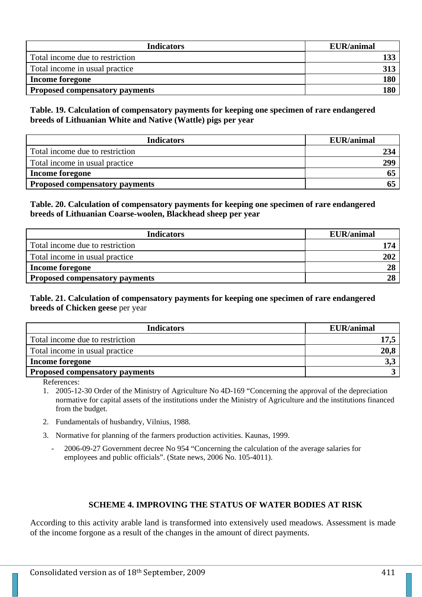| <b>Indicators</b>                     | <b>EUR/animal</b> |
|---------------------------------------|-------------------|
| Total income due to restriction       |                   |
| Total income in usual practice        |                   |
| <b>Income foregone</b>                | 180               |
| <b>Proposed compensatory payments</b> | 180               |

**Table. 19. Calculation of compensatory payments for keeping one specimen of rare endangered breeds of Lithuanian White and Native (Wattle) pigs per year** 

| <b>Indicators</b>                     | EUR/animal |
|---------------------------------------|------------|
| Total income due to restriction       | 234        |
| Total income in usual practice        | 299        |
| Income foregone                       |            |
| <b>Proposed compensatory payments</b> |            |

## **Table. 20. Calculation of compensatory payments for keeping one specimen of rare endangered breeds of Lithuanian Coarse-woolen, Blackhead sheep per year**

| <b>Indicators</b>                     | <b>EUR/animal</b> |
|---------------------------------------|-------------------|
| Total income due to restriction       | 174               |
| Total income in usual practice        | 202               |
| <b>Income foregone</b>                | $2\epsilon$       |
| <b>Proposed compensatory payments</b> | 28                |

## **Table. 21. Calculation of compensatory payments for keeping one specimen of rare endangered breeds of Chicken geese** per year

| <b>Indicators</b>                     | <b>EUR/animal</b> |
|---------------------------------------|-------------------|
| Total income due to restriction       |                   |
| Total income in usual practice        | 20,8              |
| Income foregone                       | 3,3               |
| <b>Proposed compensatory payments</b> |                   |

References:

1. 2005-12-30 Order of the Ministry of Agriculture No 4D-169 "Concerning the approval of the depreciation normative for capital assets of the institutions under the Ministry of Agriculture and the institutions financed from the budget.

- 2. Fundamentals of husbandry, Vilnius, 1988.
- 3. Normative for planning of the farmers production activities. Kaunas, 1999.
	- 2006-09-27 Government decree No 954 "Concerning the calculation of the average salaries for employees and public officials". (State news, 2006 No. 105-4011).

## **SCHEME 4. IMPROVING THE STATUS OF WATER BODIES AT RISK**

According to this activity arable land is transformed into extensively used meadows. Assessment is made of the income forgone as a result of the changes in the amount of direct payments.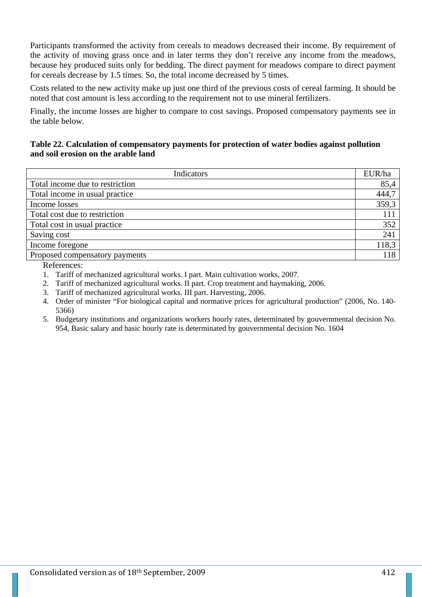Participants transformed the activity from cereals to meadows decreased their income. By requirement of the activity of moving grass once and in later terms they don't receive any income from the meadows, because hey produced suits only for bedding. The direct payment for meadows compare to direct payment for cereals decrease by 1.5 times. So, the total income decreased by 5 times.

Costs related to the new activity make up just one third of the previous costs of cereal farming. It should be noted that cost amount is less according to the requirement not to use mineral fertilizers.

Finally, the income losses are higher to compare to cost savings. Proposed compensatory payments see in the table below.

## **Table 22. Calculation of compensatory payments for protection of water bodies against pollution and soil erosion on the arable land**

| Indicators                      | EUR/ha |
|---------------------------------|--------|
| Total income due to restriction | 85,4   |
| Total income in usual practice  | 444,7  |
| Income losses                   | 359,3  |
| Total cost due to restriction   | 111    |
| Total cost in usual practice    | 352    |
| Saving cost                     | 241    |
| Income foregone                 | 118,3  |
| Proposed compensatory payments  | 118    |

References:

- 1. Tariff of mechanized agricultural works. I part. Main cultivation works, 2007.
- 2. Tariff of mechanized agricultural works. II part. Crop treatment and haymaking, 2006.
- 3. Tariff of mechanized agricultural works. III part. Harvesting, 2006.
- 4. Order of minister "For biological capital and normative prices for agricultural production" (2006, No. 140- 5366)
- 5. Budgetary institutions and organizations workers hourly rates, determinated by gouvernmental decision No. 954, Basic salary and basic hourly rate is determinated by gouvernmental decision No. 1604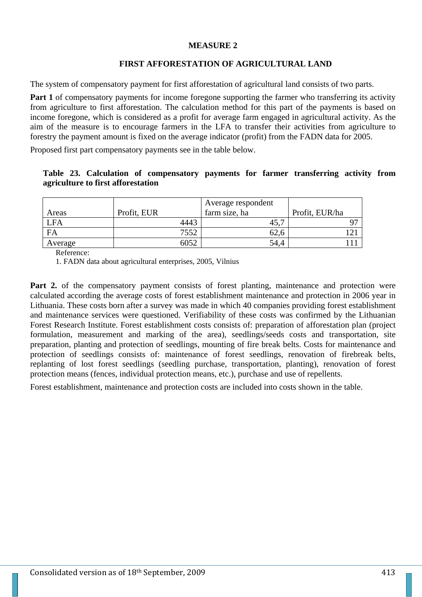#### **MEASURE 2**

## **FIRST AFFORESTATION OF AGRICULTURAL LAND**

The system of compensatory payment for first afforestation of agricultural land consists of two parts.

**Part 1** of compensatory payments for income foregone supporting the farmer who transferring its activity from agriculture to first afforestation. The calculation method for this part of the payments is based on income foregone, which is considered as a profit for average farm engaged in agricultural activity. As the aim of the measure is to encourage farmers in the LFA to transfer their activities from agriculture to forestry the payment amount is fixed on the average indicator (profit) from the FADN data for 2005.

Proposed first part compensatory payments see in the table below.

### **Table 23. Calculation of compensatory payments for farmer transferring activity from agriculture to first afforestation**

| Areas      | Profit, EUR | Average respondent<br>farm size, ha | Profit, EUR/ha |
|------------|-------------|-------------------------------------|----------------|
| <b>LFA</b> | 4443        | IJ.                                 |                |
| FA         | 7552        | 02.C                                |                |
| Average    | 6052        | 54.4                                |                |

Reference:

1. FADN data about agricultural enterprises, 2005, Vilnius

**Part 2.** of the compensatory payment consists of forest planting, maintenance and protection were calculated according the average costs of forest establishment maintenance and protection in 2006 year in Lithuania. These costs born after a survey was made in which 40 companies providing forest establishment and maintenance services were questioned. Verifiability of these costs was confirmed by the Lithuanian Forest Research Institute. Forest establishment costs consists of: preparation of afforestation plan (project formulation, measurement and marking of the area), seedlings/seeds costs and transportation, site preparation, planting and protection of seedlings, mounting of fire break belts. Costs for maintenance and protection of seedlings consists of: maintenance of forest seedlings, renovation of firebreak belts, replanting of lost forest seedlings (seedling purchase, transportation, planting), renovation of forest protection means (fences, individual protection means, etc.), purchase and use of repellents.

Forest establishment, maintenance and protection costs are included into costs shown in the table.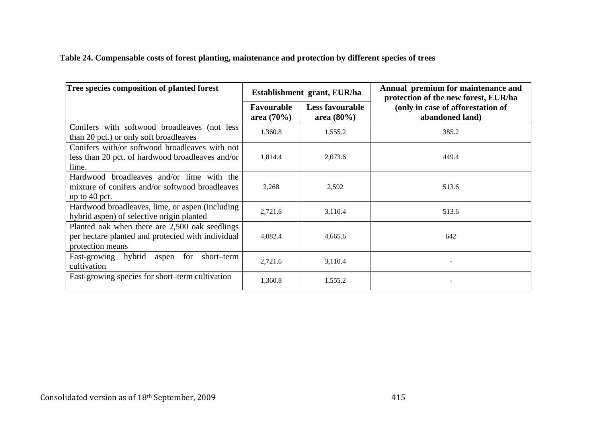**Table 24. Compensable costs of forest planting, maintenance and protection by different species of trees** 

| Tree species composition of planted forest                                                                              |                            | Establishment grant, EUR/ha             | Annual premium for maintenance and<br>protection of the new forest, EUR/ha |
|-------------------------------------------------------------------------------------------------------------------------|----------------------------|-----------------------------------------|----------------------------------------------------------------------------|
|                                                                                                                         | Favourable<br>area $(70%)$ | <b>Less favourable</b><br>area $(80\%)$ | (only in case of afforestation of<br>abandoned land)                       |
| Conifers with softwood broadleaves (not less<br>than 20 pct.) or only soft broadleaves                                  | 1,360.8                    | 1,555.2                                 | 385.2                                                                      |
| Conifers with/or softwood broadleaves with not<br>less than 20 pct. of hardwood broadleaves and/or<br>lime.             | 1,814.4                    | 2,073.6                                 | 449.4                                                                      |
| Hardwood broadleaves and/or lime with the<br>mixture of conifers and/or softwood broadleaves<br>up to $40$ pct.         | 2,268                      | 2,592                                   | 513.6                                                                      |
| Hardwood broadleaves, lime, or aspen (including)<br>hybrid aspen) of selective origin planted                           | 2,721.6                    | 3,110.4                                 | 513.6                                                                      |
| Planted oak when there are 2,500 oak seedlings<br>per hectare planted and protected with individual<br>protection means | 4,082.4                    | 4,665.6                                 | 642                                                                        |
| Fast-growing hybrid<br>for<br>short–term<br>aspen<br>cultivation                                                        | 2,721.6                    | 3,110.4                                 |                                                                            |
| Fast-growing species for short-term cultivation                                                                         | 1,360.8                    | 1,555.2                                 |                                                                            |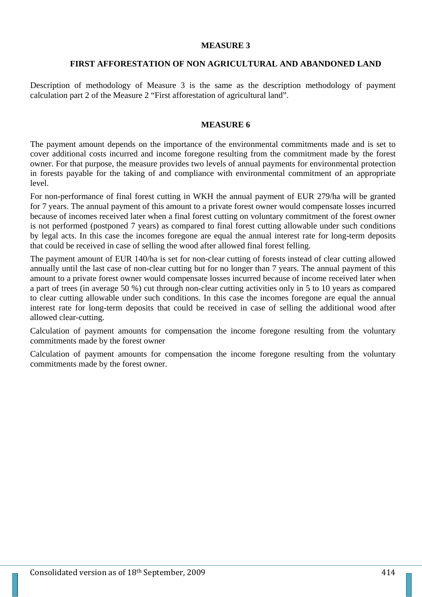#### **MEASURE 3**

#### **FIRST AFFORESTATION OF NON AGRICULTURAL AND ABANDONED LAND**

Description of methodology of Measure 3 is the same as the description methodology of payment calculation part 2 of the Measure 2 "First afforestation of agricultural land".

#### **MEASURE 6**

The payment amount depends on the importance of the environmental commitments made and is set to cover additional costs incurred and income foregone resulting from the commitment made by the forest owner. For that purpose, the measure provides two levels of annual payments for environmental protection in forests payable for the taking of and compliance with environmental commitment of an appropriate level.

For non-performance of final forest cutting in WKH the annual payment of EUR 279/ha will be granted for 7 years. The annual payment of this amount to a private forest owner would compensate losses incurred because of incomes received later when a final forest cutting on voluntary commitment of the forest owner is not performed (postponed 7 years) as compared to final forest cutting allowable under such conditions by legal acts. In this case the incomes foregone are equal the annual interest rate for long-term deposits that could be received in case of selling the wood after allowed final forest felling.

The payment amount of EUR 140/ha is set for non-clear cutting of forests instead of clear cutting allowed annually until the last case of non-clear cutting but for no longer than 7 years. The annual payment of this amount to a private forest owner would compensate losses incurred because of income received later when a part of trees (in average 50 %) cut through non-clear cutting activities only in 5 to 10 years as compared to clear cutting allowable under such conditions. In this case the incomes foregone are equal the annual interest rate for long-term deposits that could be received in case of selling the additional wood after allowed clear-cutting.

Calculation of payment amounts for compensation the income foregone resulting from the voluntary commitments made by the forest owner

Calculation of payment amounts for compensation the income foregone resulting from the voluntary commitments made by the forest owner.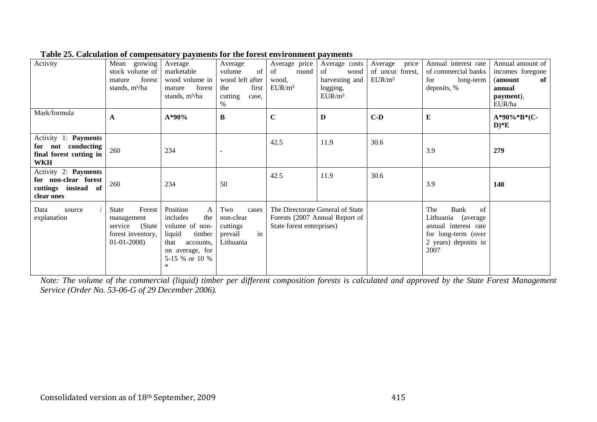| Activity                                                                               | growing<br>Mean<br>stock volume of<br>forest<br>mature<br>stands, m <sup>3</sup> /ha     | Average<br>marketable<br>wood volume in<br>forest<br>mature<br>stands, m <sup>3</sup> /ha                                                  | Average<br>of<br>volume<br>wood left after<br>first<br>the<br>cutting<br>case.<br>% | Average price<br>of<br>round<br>wood,<br>EUR/m <sup>3</sup> | Average costs<br>of<br>wood<br>harvesting and<br>logging,<br>EUR/m <sup>3</sup> | price<br>Average<br>of uncut forest,<br>EUR/m <sup>3</sup> | Annual interest rate<br>of commercial banks<br>for<br>long-term<br>deposits, %                                         | Annual amount of<br>incomes foregone<br>(amount)<br>of<br>annual<br>payment),<br>EUR/ha |
|----------------------------------------------------------------------------------------|------------------------------------------------------------------------------------------|--------------------------------------------------------------------------------------------------------------------------------------------|-------------------------------------------------------------------------------------|-------------------------------------------------------------|---------------------------------------------------------------------------------|------------------------------------------------------------|------------------------------------------------------------------------------------------------------------------------|-----------------------------------------------------------------------------------------|
| Mark/formula                                                                           | A                                                                                        | A*90%                                                                                                                                      | $\bf{B}$                                                                            | $\mathbf C$                                                 | D                                                                               | $C-D$                                                      | ${\bf E}$                                                                                                              | A*90%*B*(C-<br>$D)*E$                                                                   |
| Activity 1: Payments<br>not conducting<br>for<br>final forest cutting in<br><b>WKH</b> | 260                                                                                      | 234                                                                                                                                        |                                                                                     | 42.5                                                        | 11.9                                                                            | 30.6                                                       | 3.9                                                                                                                    | 279                                                                                     |
| Activity 2: Payments<br>for non-clear forest<br>cuttings instead of<br>clear ones      | 260                                                                                      | 234                                                                                                                                        | 50                                                                                  | 42.5                                                        | 11.9                                                                            | 30.6                                                       | 3.9                                                                                                                    | 140                                                                                     |
| Data<br>source<br>explanation                                                          | Forest<br>State<br>management<br>(State)<br>service<br>forest inventory,<br>$01-01-2008$ | Position<br>A<br>includes<br>the<br>volume of non-<br>liquid<br>timber<br>that<br>accounts,<br>on average, for<br>5-15 % or 10 %<br>$\ast$ | Two<br>cases<br>non-clear<br>cuttings<br>in<br>prevail<br>Lithuania                 | State forest enterprises)                                   | The Directorate General of State<br>Forests (2007 Annual Report of              |                                                            | The<br>Bank<br>of<br>Lithuania (average<br>annual interest rate<br>for long-term (over<br>2 years) deposits in<br>2007 |                                                                                         |

**Table 25. Calculation of compensatory payments for the forest environment payments** 

*Note: The volume of the commercial (liquid) timber per different composition forests is calculated and approved by the State Forest Management Service (Order No. 53-06-G of 29 December 2006).*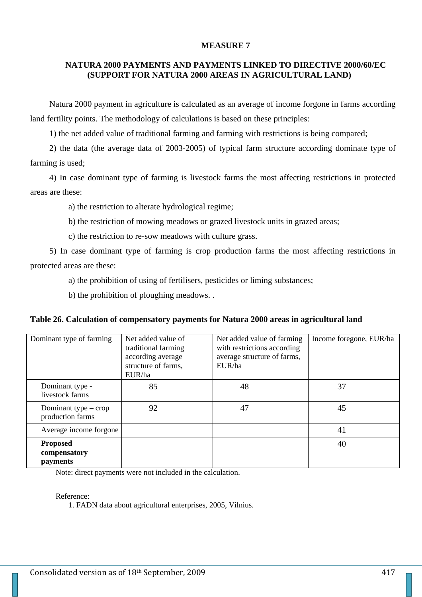#### **MEASURE 7**

## **NATURA 2000 PAYMENTS AND PAYMENTS LINKED TO DIRECTIVE 2000/60/EC (SUPPORT FOR NATURA 2000 AREAS IN AGRICULTURAL LAND)**

Natura 2000 payment in agriculture is calculated as an average of income forgone in farms according land fertility points. The methodology of calculations is based on these principles:

1) the net added value of traditional farming and farming with restrictions is being compared;

2) the data (the average data of 2003-2005) of typical farm structure according dominate type of farming is used;

4) In case dominant type of farming is livestock farms the most affecting restrictions in protected areas are these:

a) the restriction to alterate hydrological regime;

b) the restriction of mowing meadows or grazed livestock units in grazed areas;

c) the restriction to re-sow meadows with culture grass.

5) In case dominant type of farming is crop production farms the most affecting restrictions in protected areas are these:

a) the prohibition of using of fertilisers, pesticides or liming substances;

b) the prohibition of ploughing meadows. .

#### **Table 26. Calculation of compensatory payments for Natura 2000 areas in agricultural land**

| Dominant type of farming                    | Net added value of<br>traditional farming<br>according average<br>structure of farms,<br>EUR/ha | Net added value of farming<br>with restrictions according<br>average structure of farms,<br>EUR/ha | Income foregone, EUR/ha |
|---------------------------------------------|-------------------------------------------------------------------------------------------------|----------------------------------------------------------------------------------------------------|-------------------------|
| Dominant type -<br>livestock farms          | 85                                                                                              | 48                                                                                                 | 37                      |
| Dominant type $-$ crop<br>production farms  | 92                                                                                              | 47                                                                                                 | 45                      |
| Average income forgone                      |                                                                                                 |                                                                                                    | 41                      |
| <b>Proposed</b><br>compensatory<br>payments |                                                                                                 |                                                                                                    | 40                      |

Note: direct payments were not included in the calculation.

Reference:

1. FADN data about agricultural enterprises, 2005, Vilnius.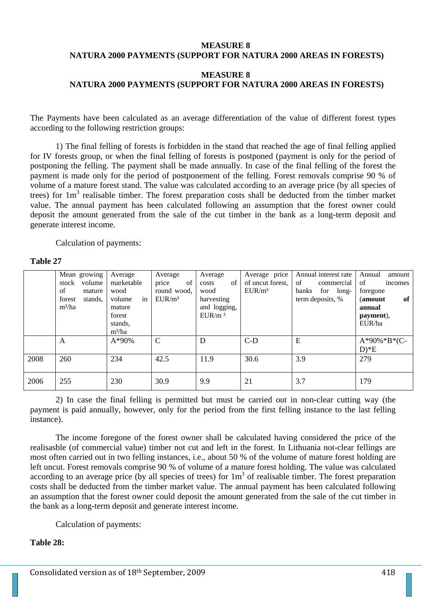#### **MEASURE 8 NATURA 2000 PAYMENTS (SUPPORT FOR NATURA 2000 AREAS IN FORESTS)**

## **MEASURE 8 NATURA 2000 PAYMENTS (SUPPORT FOR NATURA 2000 AREAS IN FORESTS)**

The Payments have been calculated as an average differentiation of the value of different forest types according to the following restriction groups:

1) The final felling of forests is forbidden in the stand that reached the age of final felling applied for IV forests group, or when the final felling of forests is postponed (payment is only for the period of postponing the felling. The payment shall be made annually. In case of the final felling of the forest the payment is made only for the period of postponement of the felling. Forest removals comprise 90 % of volume of a mature forest stand. The value was calculated according to an average price (by all species of trees) for 1m<sup>3</sup> realisable timber. The forest preparation costs shall be deducted from the timber market value. The annual payment has been calculated following an assumption that the forest owner could deposit the amount generated from the sale of the cut timber in the bank as a long-term deposit and generate interest income.

Calculation of payments:

#### **Table 27**

|      | Mean growing      | Average      | Average            | Average            | Average price      | Annual interest rate | Annual<br>amount |
|------|-------------------|--------------|--------------------|--------------------|--------------------|----------------------|------------------|
|      | stock<br>volume   | marketable   | of<br>price        | of<br>costs        | of uncut forest,   | of<br>commercial     | of<br>incomes    |
|      | of<br>mature      | wood         | round wood.        | wood               | EUR/m <sup>3</sup> | banks<br>for long-   | foregone         |
|      | forest<br>stands. | in<br>volume | EUR/m <sup>3</sup> | harvesting         |                    | term deposits, %     | of<br>(amount    |
|      | $m^3/ha$          | mature       |                    | and logging,       |                    |                      | annual           |
|      |                   | forest       |                    | EUR/m <sup>3</sup> |                    |                      | payment),        |
|      |                   | stands,      |                    |                    |                    |                      | EUR/ha           |
|      |                   | $m^3/ha$     |                    |                    |                    |                      |                  |
|      | A                 | $A*90%$      | $\mathcal{C}$      | D                  | $C-D$              | E                    | $A*90\%*B*(C-$   |
|      |                   |              |                    |                    |                    |                      | $D)*E$           |
| 2008 | 260               | 234          | 42.5               | 11.9               | 30.6               | 3.9                  | 279              |
|      |                   |              |                    |                    |                    |                      |                  |
| 2006 | 255               | 230          | 30.9               | 9.9                | 21                 | 3.7                  | 179              |
|      |                   |              |                    |                    |                    |                      |                  |

2) In case the final felling is permitted but must be carried out in non-clear cutting way (the payment is paid annually, however, only for the period from the first felling instance to the last felling instance).

The income foregone of the forest owner shall be calculated having considered the price of the realisasble (of commercial value) timber not cut and left in the forest. In Lithuania not-clear fellings are most often carried out in two felling instances, i.e., about 50 % of the volume of mature forest holding are left uncut. Forest removals comprise 90 % of volume of a mature forest holding. The value was calculated according to an average price (by all species of trees) for  $1m<sup>3</sup>$  of realisable timber. The forest preparation costs shall be deducted from the timber market value. The annual payment has been calculated following an assumption that the forest owner could deposit the amount generated from the sale of the cut timber in the bank as a long-term deposit and generate interest income.

Calculation of payments:

#### **Table 28:**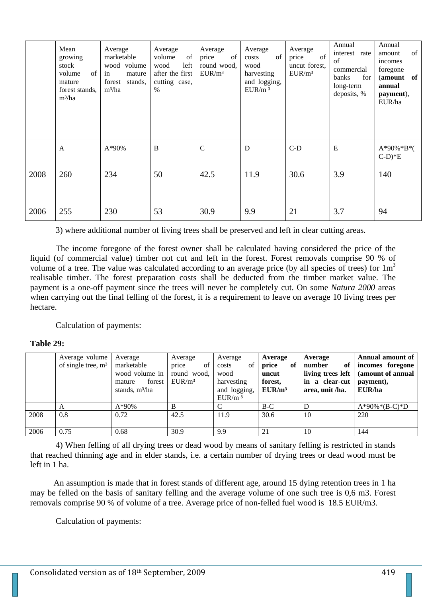|      | Mean<br>growing<br>stock<br>$\sigma$<br>volume<br>mature<br>forest stands.<br>$m^3/ha$ | Average<br>marketable<br>wood volume<br>mature<br>in<br>forest stands,<br>$m^3/ha$ | Average<br>volume<br>of<br>left<br>wood<br>after the first<br>cutting case,<br>$\%$ | Average<br>of<br>price<br>round wood.<br>EUR/m <sup>3</sup> | Average<br>of<br>costs<br>wood<br>harvesting<br>and logging,<br>EUR/m <sup>3</sup> | Average<br>of<br>price<br>uncut forest,<br>EUR/m <sup>3</sup> | Annual<br>interest rate<br>of<br>commercial<br>banks<br>for<br>long-term<br>deposits, % | Annual<br>of<br>amount<br>incomes<br>foregone<br>(amount of<br>annual<br>payment),<br>EUR/ha |
|------|----------------------------------------------------------------------------------------|------------------------------------------------------------------------------------|-------------------------------------------------------------------------------------|-------------------------------------------------------------|------------------------------------------------------------------------------------|---------------------------------------------------------------|-----------------------------------------------------------------------------------------|----------------------------------------------------------------------------------------------|
|      | A                                                                                      | $A*90%$                                                                            | B                                                                                   | $\mathcal{C}$                                               | D                                                                                  | $C-D$                                                         | E                                                                                       | $A*90\%*B*$<br>$C-D$ <sup>*</sup> E                                                          |
| 2008 | 260                                                                                    | 234                                                                                | 50                                                                                  | 42.5                                                        | 11.9                                                                               | 30.6                                                          | 3.9                                                                                     | 140                                                                                          |
| 2006 | 255                                                                                    | 230                                                                                | 53                                                                                  | 30.9                                                        | 9.9                                                                                | 21                                                            | 3.7                                                                                     | 94                                                                                           |

3) where additional number of living trees shall be preserved and left in clear cutting areas.

The income foregone of the forest owner shall be calculated having considered the price of the liquid (of commercial value) timber not cut and left in the forest. Forest removals comprise 90 % of volume of a tree. The value was calculated according to an average price (by all species of trees) for  $1m<sup>3</sup>$ realisable timber. The forest preparation costs shall be deducted from the timber market value. The payment is a one-off payment since the trees will never be completely cut. On some *Natura 2000* areas when carrying out the final felling of the forest, it is a requirement to leave on average 10 living trees per hectare.

Calculation of payments:

#### **Table 29:**

|      | Average volume<br>of single tree, $m3$ | Average<br>marketable<br>wood volume in<br>forest<br>mature<br>stands, m <sup>3</sup> /ha | Average<br>of<br>price<br>round wood,<br>EUR/m <sup>3</sup> | Average<br>of<br>costs<br>wood<br>harvesting<br>and logging,<br>EUR/m <sup>3</sup> | Average<br>price<br>of<br>uncut<br>forest.<br>EUR/m <sup>3</sup> | Average<br>number<br>of<br>living trees left<br>in a clear-cut<br>area, unit /ha. | Annual amount of<br>incomes foregone<br>(amount of annual<br>payment),<br>EUR/ha |
|------|----------------------------------------|-------------------------------------------------------------------------------------------|-------------------------------------------------------------|------------------------------------------------------------------------------------|------------------------------------------------------------------|-----------------------------------------------------------------------------------|----------------------------------------------------------------------------------|
|      | A                                      | $A*90%$                                                                                   | B                                                           |                                                                                    | $B-C$                                                            | D                                                                                 | $A*90\%*(B-C)*D$                                                                 |
| 2008 | 0.8                                    | 0.72                                                                                      | 42.5                                                        | 11.9                                                                               | 30.6                                                             | 10                                                                                | 220                                                                              |
| 2006 | 0.75                                   | 0.68                                                                                      | 30.9                                                        | 9.9                                                                                | 21                                                               | 10                                                                                | 144                                                                              |

4) When felling of all drying trees or dead wood by means of sanitary felling is restricted in stands that reached thinning age and in elder stands, i.e. a certain number of drying trees or dead wood must be left in 1 ha.

 An assumption is made that in forest stands of different age, around 15 dying retention trees in 1 ha may be felled on the basis of sanitary felling and the average volume of one such tree is 0,6 m3. Forest removals comprise 90 % of volume of a tree. Average price of non-felled fuel wood is 18.5 EUR/m3.

Calculation of payments: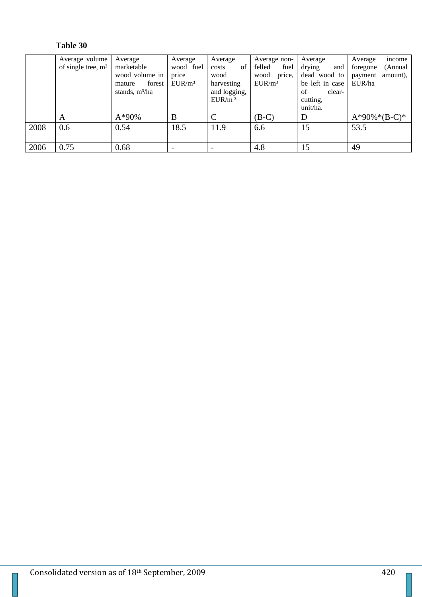# **Table 30**

|      | Average volume<br>of single tree, $m3$ | Average<br>marketable<br>wood volume in<br>forest<br>mature<br>stands, m <sup>3</sup> /ha | Average<br>wood fuel<br>price<br>EUR/m <sup>3</sup> | Average<br>of<br>costs<br>wood<br>harvesting<br>and logging,<br>EUR/m <sup>3</sup> | Average non-<br>felled<br>fuel<br>wood<br>price,<br>EUR/m <sup>3</sup> | Average<br>drying<br>and<br>dead wood to<br>be left in case<br>of<br>clear-<br>cutting, | income<br>Average<br>(Annual<br>foregone<br>amount),<br>payment<br>EUR/ha |
|------|----------------------------------------|-------------------------------------------------------------------------------------------|-----------------------------------------------------|------------------------------------------------------------------------------------|------------------------------------------------------------------------|-----------------------------------------------------------------------------------------|---------------------------------------------------------------------------|
|      |                                        |                                                                                           |                                                     |                                                                                    |                                                                        | unit/ha.                                                                                |                                                                           |
|      | A                                      | $A*90%$                                                                                   | B                                                   |                                                                                    | $(B-C)$                                                                | D                                                                                       | $A*90\%*(B-C)*$                                                           |
| 2008 | 0.6                                    | 0.54                                                                                      | 18.5                                                | 11.9                                                                               | 6.6                                                                    | 15                                                                                      | 53.5                                                                      |
| 2006 | 0.75                                   | 0.68                                                                                      | $\overline{\phantom{0}}$                            |                                                                                    | 4.8                                                                    | 15                                                                                      | 49                                                                        |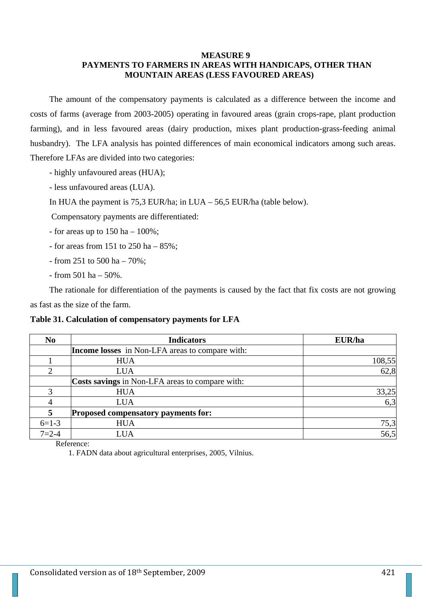#### **MEASURE 9**

## **PAYMENTS TO FARMERS IN AREAS WITH HANDICAPS, OTHER THAN MOUNTAIN AREAS (LESS FAVOURED AREAS)**

The amount of the compensatory payments is calculated as a difference between the income and costs of farms (average from 2003-2005) operating in favoured areas (grain crops-rape, plant production farming), and in less favoured areas (dairy production, mixes plant production-grass-feeding animal husbandry). The LFA analysis has pointed differences of main economical indicators among such areas. Therefore LFAs are divided into two categories:

- highly unfavoured areas (HUA);
- less unfavoured areas (LUA).
- In HUA the payment is  $75.3$  EUR/ha; in LUA  $56.5$  EUR/ha (table below).

Compensatory payments are differentiated:

- for areas up to  $150$  ha  $100\%$ ;
- for areas from 151 to  $250$  ha  $-85\%$ ;
- from 251 to 500 ha 70%;
- $-$  from 501 ha  $-$  50%.

The rationale for differentiation of the payments is caused by the fact that fix costs are not growing as fast as the size of the farm.

#### **Table 31. Calculation of compensatory payments for LFA**

| N <sub>0</sub> | <b>Indicators</b>                                      | EUR/ha |
|----------------|--------------------------------------------------------|--------|
|                | <b>Income losses</b> in Non-LFA areas to compare with: |        |
|                | <b>HUA</b>                                             | 108,55 |
|                | <b>LUA</b>                                             | 62,8   |
|                | Costs savings in Non-LFA areas to compare with:        |        |
| 3              | <b>HUA</b>                                             | 33,25  |
|                | <b>LUA</b>                                             | 6,3    |
| 5              | <b>Proposed compensatory payments for:</b>             |        |
| $6=1-3$        | <b>HUA</b>                                             | 75,3   |
| $7 = 2 - 4$    | <b>LUA</b>                                             | 56,5   |

Reference:

1. FADN data about agricultural enterprises, 2005, Vilnius.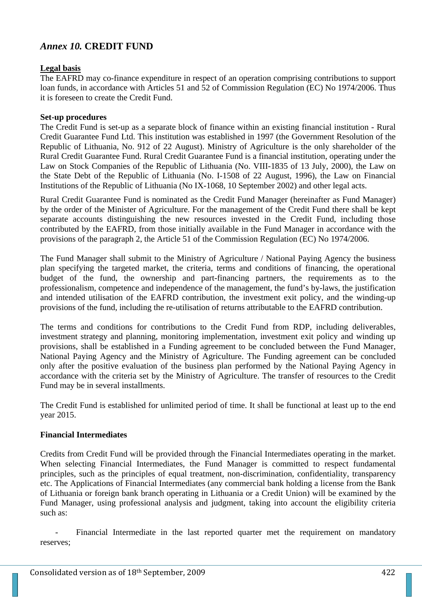## *Annex 10.* **CREDIT FUND**

## **Legal basis**

The EAFRD may co-finance expenditure in respect of an operation comprising contributions to support loan funds, in accordance with Articles 51 and 52 of Commission Regulation (EC) No 1974/2006. Thus it is foreseen to create the Credit Fund.

## **Set-up procedures**

The Credit Fund is set-up as a separate block of finance within an existing financial institution - Rural Credit Guarantee Fund Ltd. This institution was established in 1997 (the Government Resolution of the Republic of Lithuania, No. 912 of 22 August). Ministry of Agriculture is the only shareholder of the Rural Credit Guarantee Fund. Rural Credit Guarantee Fund is a financial institution, operating under the Law on Stock Companies of the Republic of Lithuania (No. VIII-1835 of 13 July, 2000), the Law on the State Debt of the Republic of Lithuania (No. I-1508 of 22 August, 1996), the Law on Financial Institutions of the Republic of Lithuania (No IX-1068, 10 September 2002) and other legal acts.

Rural Credit Guarantee Fund is nominated as the Credit Fund Manager (hereinafter as Fund Manager) by the order of the Minister of Agriculture. For the management of the Credit Fund there shall be kept separate accounts distinguishing the new resources invested in the Credit Fund, including those contributed by the EAFRD, from those initially available in the Fund Manager in accordance with the provisions of the paragraph 2, the Article 51 of the Commission Regulation (EC) No 1974/2006.

The Fund Manager shall submit to the Ministry of Agriculture / National Paying Agency the business plan specifying the targeted market, the criteria, terms and conditions of financing, the operational budget of the fund, the ownership and part-financing partners, the requirements as to the professionalism, competence and independence of the management, the fund's by-laws, the justification and intended utilisation of the EAFRD contribution, the investment exit policy, and the winding-up provisions of the fund, including the re-utilisation of returns attributable to the EAFRD contribution.

The terms and conditions for contributions to the Credit Fund from RDP, including deliverables, investment strategy and planning, monitoring implementation, investment exit policy and winding up provisions, shall be established in a Funding agreement to be concluded between the Fund Manager, National Paying Agency and the Ministry of Agriculture. The Funding agreement can be concluded only after the positive evaluation of the business plan performed by the National Paying Agency in accordance with the criteria set by the Ministry of Agriculture. The transfer of resources to the Credit Fund may be in several installments.

The Credit Fund is established for unlimited period of time. It shall be functional at least up to the end year 2015.

## **Financial Intermediates**

Credits from Credit Fund will be provided through the Financial Intermediates operating in the market. When selecting Financial Intermediates, the Fund Manager is committed to respect fundamental principles, such as the principles of equal treatment, non-discrimination, confidentiality, transparency etc. The Applications of Financial Intermediates (any commercial bank holding a license from the Bank of Lithuania or foreign bank branch operating in Lithuania or a Credit Union) will be examined by the Fund Manager, using professional analysis and judgment, taking into account the eligibility criteria such as:

Financial Intermediate in the last reported quarter met the requirement on mandatory reserves;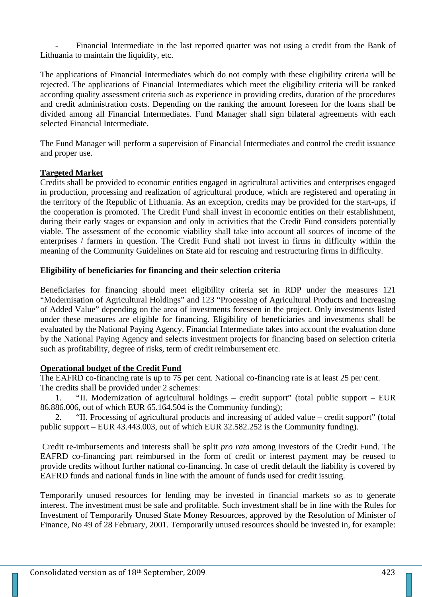Financial Intermediate in the last reported quarter was not using a credit from the Bank of Lithuania to maintain the liquidity, etc.

The applications of Financial Intermediates which do not comply with these eligibility criteria will be rejected. The applications of Financial Intermediates which meet the eligibility criteria will be ranked according quality assessment criteria such as experience in providing credits, duration of the procedures and credit administration costs. Depending on the ranking the amount foreseen for the loans shall be divided among all Financial Intermediates. Fund Manager shall sign bilateral agreements with each selected Financial Intermediate.

The Fund Manager will perform a supervision of Financial Intermediates and control the credit issuance and proper use.

## **Targeted Market**

Credits shall be provided to economic entities engaged in agricultural activities and enterprises engaged in production, processing and realization of agricultural produce, which are registered and operating in the territory of the Republic of Lithuania. As an exception, credits may be provided for the start-ups, if the cooperation is promoted. The Credit Fund shall invest in economic entities on their establishment, during their early stages or expansion and only in activities that the Credit Fund considers potentially viable. The assessment of the economic viability shall take into account all sources of income of the enterprises / farmers in question. The Credit Fund shall not invest in firms in difficulty within the meaning of the Community Guidelines on State aid for rescuing and restructuring firms in difficulty.

### **Eligibility of beneficiaries for financing and their selection criteria**

Beneficiaries for financing should meet eligibility criteria set in RDP under the measures 121 "Modernisation of Agricultural Holdings" and 123 "Processing of Agricultural Products and Increasing of Added Value" depending on the area of investments foreseen in the project. Only investments listed under these measures are eligible for financing. Eligibility of beneficiaries and investments shall be evaluated by the National Paying Agency. Financial Intermediate takes into account the evaluation done by the National Paying Agency and selects investment projects for financing based on selection criteria such as profitability, degree of risks, term of credit reimbursement etc.

## **Operational budget of the Credit Fund**

The EAFRD co-financing rate is up to 75 per cent. National co-financing rate is at least 25 per cent. The credits shall be provided under 2 schemes:

1. "II. Modernization of agricultural holdings – credit support" (total public support – EUR 86.886.006, out of which EUR 65.164.504 is the Community funding);

2. "II. Processing of agricultural products and increasing of added value – credit support" (total public support – EUR 43.443.003, out of which EUR 32.582.252 is the Community funding).

 Credit re-imbursements and interests shall be split *pro rata* among investors of the Credit Fund. The EAFRD co-financing part reimbursed in the form of credit or interest payment may be reused to provide credits without further national co-financing. In case of credit default the liability is covered by EAFRD funds and national funds in line with the amount of funds used for credit issuing.

Temporarily unused resources for lending may be invested in financial markets so as to generate interest. The investment must be safe and profitable. Such investment shall be in line with the Rules for Investment of Temporarily Unused State Money Resources, approved by the Resolution of Minister of Finance, No 49 of 28 February, 2001. Temporarily unused resources should be invested in, for example: